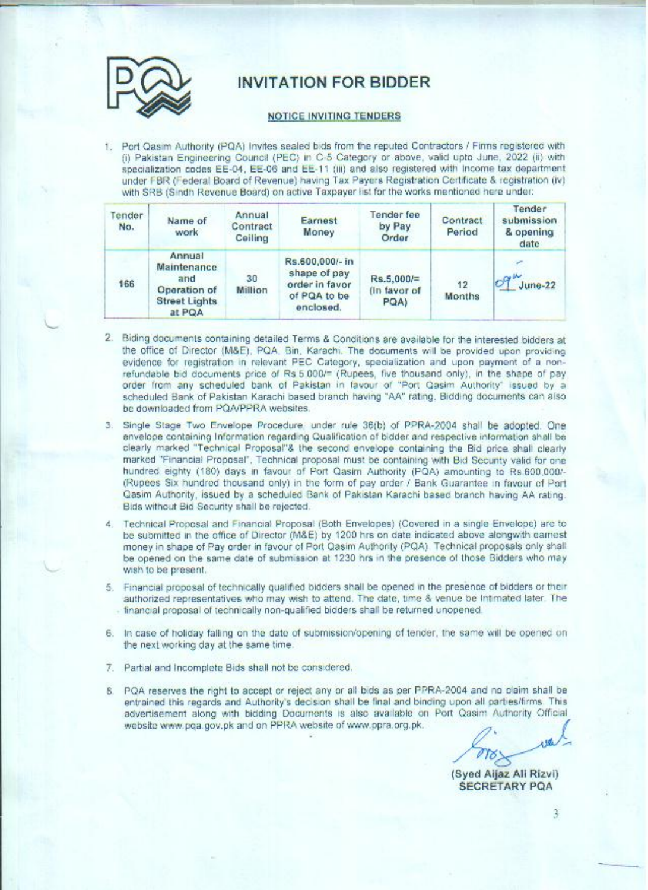

# **INVITATION FOR BIDDER**

#### NOTICE INVITING TENDERS

1. Port Qasim Authority (PQA) Invites sealed bids from the reputed Contractors / Firms registered with (i) Pakistan Engineering Council (PEC) in C-5 Category or above, valid upto June, 2022 (ii) with specialization codes EE-04, EE-06 and EE-11 (iii) and also registered with Income tax department under FBR (Federal Board of Revenue) having Tax Payers Registration Certificate & registration (iv) with SRB (Sindh Revenue Board) on active Taxpayer list for the works mentioned here under:

| Tender<br>No. | Name of<br>work                                                                | Annual<br>Contract<br>Ceiling | Earnest<br>Money                                                               | Tender fee<br>by Pay<br>Order        | Contract<br>Period | Tender<br>submission<br>& opening<br>date |
|---------------|--------------------------------------------------------------------------------|-------------------------------|--------------------------------------------------------------------------------|--------------------------------------|--------------------|-------------------------------------------|
| 166           | Annual<br>Maintenance<br>and<br>Operation of<br><b>Street Lights</b><br>at PQA | 30<br>Million                 | Rs.600,000/- in<br>shape of pay<br>order in favor<br>of PQA to be<br>enclosed. | $Rs.5.000 =$<br>(In favor of<br>PQA) | 12<br>Months       | 109 <sup>W</sup><br>$June-22$             |

- 2. Biding documents containing detailed Terms & Conditions are available for the interested bidders at the office of Director (M&E), PQA. Bin, Karachi. The documents will be provided upon providing evidence for registration in relevant PEC Category, specialization and upon payment of a nonrefundable bid documents price of Rs 5,000/= (Rupees, five thousand only), in the shape of pay order from any scheduled bank of Pakistan in favour of "Port Qasim Authority" issued by a scheduled Bank of Pakistan Karachi based branch having "AA" rating. Bidding documents can also be downloaded from PQA/PPRA websites.
- 3. Single Stage Two Envelope Procedure, under rule 36(b) of PPRA-2004 shall be adopted. One envelope containing Information regarding Qualification of bidder and respective information shall be clearly marked "Technical Proposal"& the second envelope containing the Bid price shall clearly marked "Financial Proposal", Technical proposal must be containing with Bid Security valid for one hundred eighty (180) days in favour of Port Qasim Authority (PQA) amounting to Rs.600.000/-(Rupees Six hundred thousand only) in the form of pay order / Bank Guarantee in favour of Port Qasim Authority, issued by a scheduled Bank of Pakistan Karachi based branch having AA rating. Bids without Bid Security shall be rejected.
- 4. Technical Proposal and Financial Proposal (Both Envelopes) (Covered in a single Envelope) are to be submitted in the office of Director (M&E) by 1200 hrs on date indicated above alongwith earnest money in shape of Pay order in favour of Port Qasim Authority (PQA). Technical proposals only shall be opened on the same date of submission at 1230 hrs in the presence of those Bidders who may wish to be present.
- 5. Financial proposal of technically qualified bidders shall be opened in the presence of bidders or their authorized representatives who may wish to attend. The date, time & venue be Intimated later. The - financial proposal of technically non-qualified bidders shall be returned unopened.
- 6. In case of holiday falling on the date of submission/opening of tender, the same will be opened on the next working day at the same time.
- 7. Partial and Incomplete Bids shall not be considered.
- 8. PQA reserves the right to accept or reject any or all bids as per PPRA-2004 and no claim shall be entrained this regards and Authority's decision shall be final and binding upon all parties/firms. This advertisement along with bidding Documents is also available on Port Qasim Authority Official website www.pqa.gov.pk and on PPRA website of www.ppra.org.pk.

(Syed Aljaz Ali Rizvi) **SECRETARY POA** 

3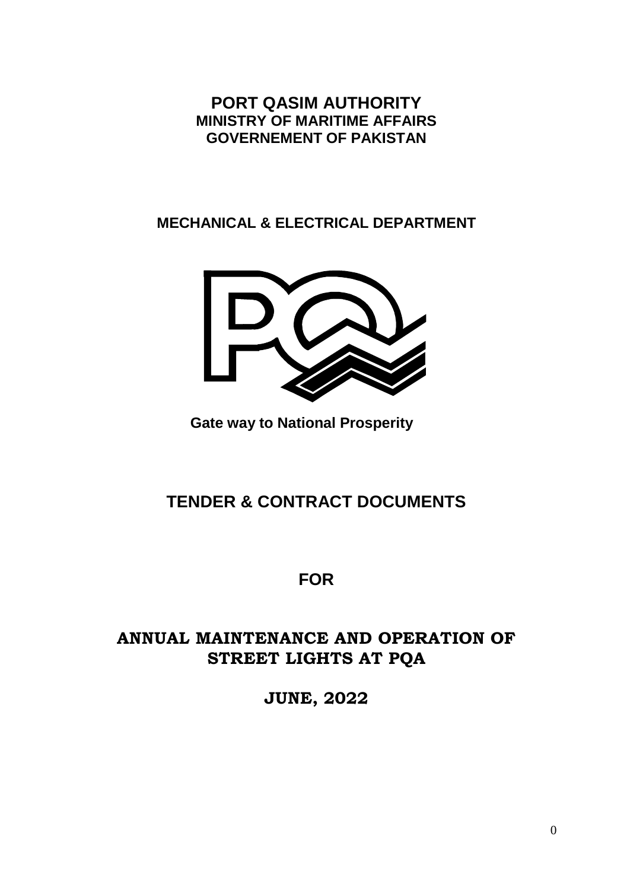**PORT QASIM AUTHORITY MINISTRY OF MARITIME AFFAIRS GOVERNEMENT OF PAKISTAN**

**MECHANICAL & ELECTRICAL DEPARTMENT**



**Gate way to National Prosperity** 

# **TENDER & CONTRACT DOCUMENTS**

# **FOR**

# **ANNUAL MAINTENANCE AND OPERATION OF STREET LIGHTS AT PQA**

**JUNE, 2022**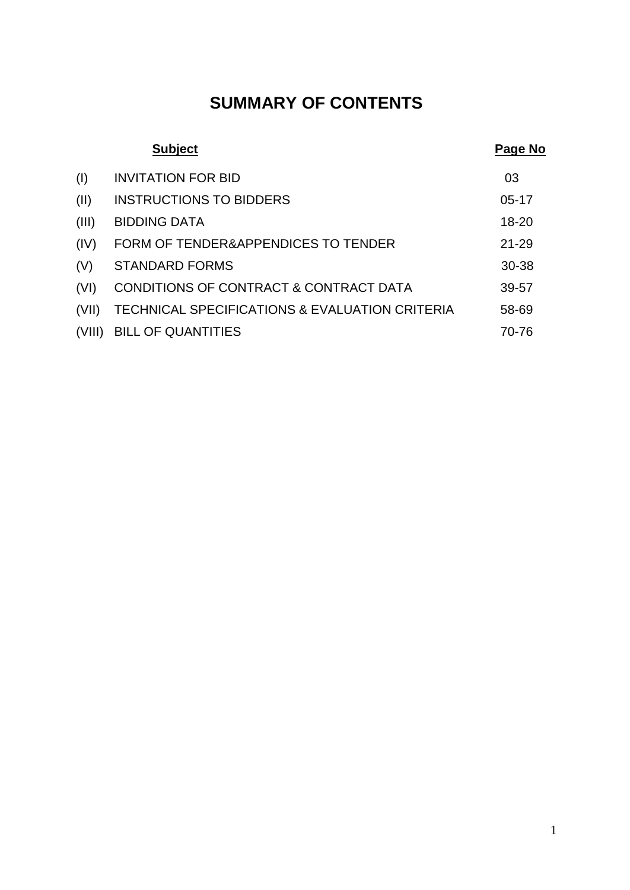# **SUMMARY OF CONTENTS**

|        | <b>Subject</b>                                 | Page No   |
|--------|------------------------------------------------|-----------|
| (1)    | <b>INVITATION FOR BID</b>                      | 03        |
| (II)   | <b>INSTRUCTIONS TO BIDDERS</b>                 | $05 - 17$ |
| (III)  | <b>BIDDING DATA</b>                            | $18 - 20$ |
| (IV)   | FORM OF TENDER&APPENDICES TO TENDER            | $21 - 29$ |
| (V)    | <b>STANDARD FORMS</b>                          | 30-38     |
| (VI)   | CONDITIONS OF CONTRACT & CONTRACT DATA         | 39-57     |
| (VII)  | TECHNICAL SPECIFICATIONS & EVALUATION CRITERIA | 58-69     |
| (VIII) | <b>BILL OF QUANTITIES</b>                      | 70-76     |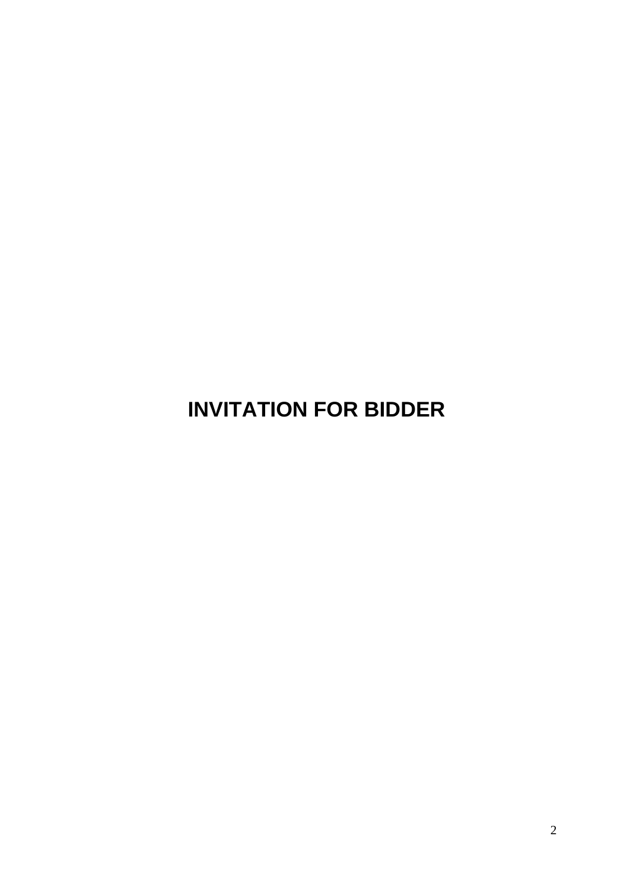**INVITATION FOR BIDDER**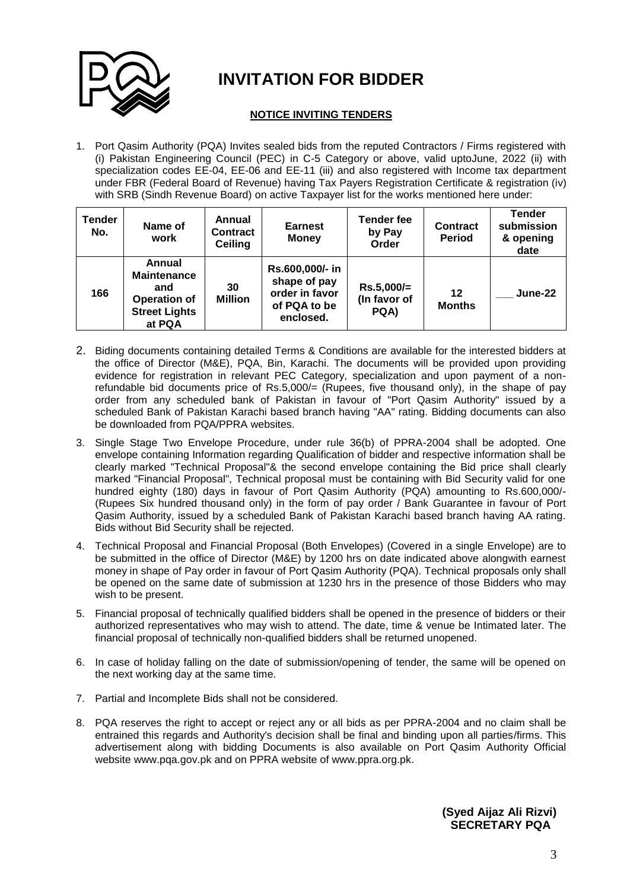

# **INVITATION FOR BIDDER**

#### **NOTICE INVITING TENDERS**

1. Port Qasim Authority (PQA) Invites sealed bids from the reputed Contractors / Firms registered with (i) Pakistan Engineering Council (PEC) in C-5 Category or above, valid uptoJune, 2022 (ii) with specialization codes EE-04, EE-06 and EE-11 (iii) and also registered with Income tax department under FBR (Federal Board of Revenue) having Tax Payers Registration Certificate & registration (iv) with SRB (Sindh Revenue Board) on active Taxpayer list for the works mentioned here under:

| <b>Tender</b><br>No. | Name of<br>work                                                                              | Annual<br><b>Contract</b><br><b>Ceiling</b> | <b>Earnest</b><br><b>Money</b>                                                 | <b>Tender fee</b><br>by Pay<br>Order | <b>Contract</b><br><b>Period</b> | <b>Tender</b><br>submission<br>& opening<br>date |
|----------------------|----------------------------------------------------------------------------------------------|---------------------------------------------|--------------------------------------------------------------------------------|--------------------------------------|----------------------------------|--------------------------------------------------|
| 166                  | Annual<br><b>Maintenance</b><br>and<br><b>Operation of</b><br><b>Street Lights</b><br>at PQA | 30<br><b>Million</b>                        | Rs.600,000/- in<br>shape of pay<br>order in favor<br>of PQA to be<br>enclosed. | $Rs.5,000/=$<br>(In favor of<br>PQA) | 12<br><b>Months</b>              | June-22                                          |

- 2. Biding documents containing detailed Terms & Conditions are available for the interested bidders at the office of Director (M&E), PQA, Bin, Karachi. The documents will be provided upon providing evidence for registration in relevant PEC Category, specialization and upon payment of a nonrefundable bid documents price of Rs.5,000/= (Rupees, five thousand only), in the shape of pay order from any scheduled bank of Pakistan in favour of "Port Qasim Authority" issued by a scheduled Bank of Pakistan Karachi based branch having "AA" rating. Bidding documents can also be downloaded from PQA/PPRA websites.
- 3. Single Stage Two Envelope Procedure, under rule 36(b) of PPRA-2004 shall be adopted. One envelope containing Information regarding Qualification of bidder and respective information shall be clearly marked "Technical Proposal"& the second envelope containing the Bid price shall clearly marked "Financial Proposal", Technical proposal must be containing with Bid Security valid for one hundred eighty (180) days in favour of Port Qasim Authority (PQA) amounting to Rs.600,000/- (Rupees Six hundred thousand only) in the form of pay order / Bank Guarantee in favour of Port Qasim Authority, issued by a scheduled Bank of Pakistan Karachi based branch having AA rating. Bids without Bid Security shall be rejected.
- 4. Technical Proposal and Financial Proposal (Both Envelopes) (Covered in a single Envelope) are to be submitted in the office of Director (M&E) by 1200 hrs on date indicated above alongwith earnest money in shape of Pay order in favour of Port Qasim Authority (PQA). Technical proposals only shall be opened on the same date of submission at 1230 hrs in the presence of those Bidders who may wish to be present.
- 5. Financial proposal of technically qualified bidders shall be opened in the presence of bidders or their authorized representatives who may wish to attend. The date, time & venue be Intimated later. The financial proposal of technically non-qualified bidders shall be returned unopened.
- 6. In case of holiday falling on the date of submission/opening of tender, the same will be opened on the next working day at the same time.
- 7. Partial and Incomplete Bids shall not be considered.
- 8. PQA reserves the right to accept or reject any or all bids as per PPRA-2004 and no claim shall be entrained this regards and Authority's decision shall be final and binding upon all parties/firms. This advertisement along with bidding Documents is also available on Port Qasim Authority Official website www.pqa.gov.pk and on PPRA website of www.ppra.org.pk.

**(Syed Aijaz Ali Rizvi) SECRETARY PQA**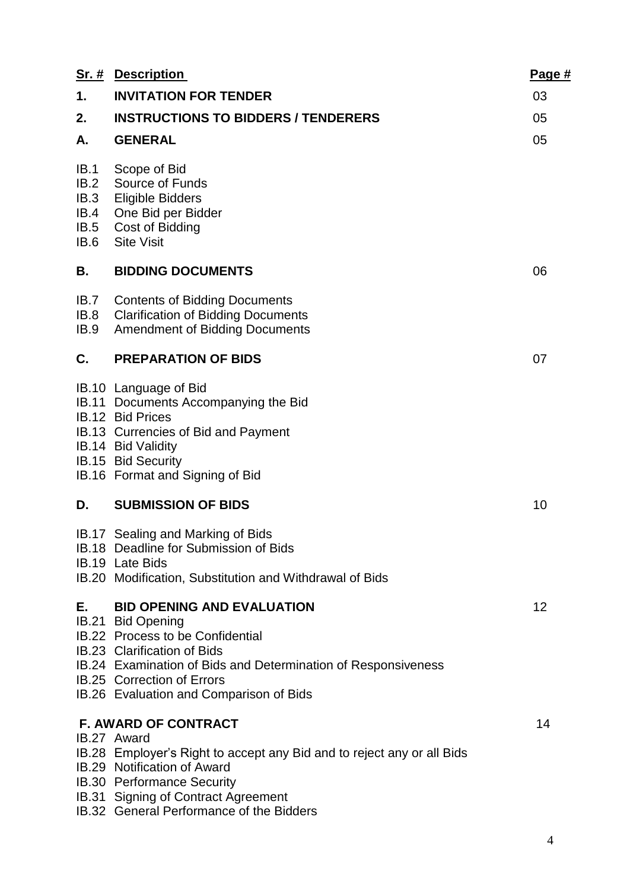|                                              | <b>Sr. # Description</b>                                                                                                                                                                                                                                                          | Page # |
|----------------------------------------------|-----------------------------------------------------------------------------------------------------------------------------------------------------------------------------------------------------------------------------------------------------------------------------------|--------|
| 1.                                           | <b>INVITATION FOR TENDER</b>                                                                                                                                                                                                                                                      | 03     |
| 2.                                           | <b>INSTRUCTIONS TO BIDDERS / TENDERERS</b>                                                                                                                                                                                                                                        | 05     |
| А.                                           | <b>GENERAL</b>                                                                                                                                                                                                                                                                    | 05     |
| IB.1<br>IB.2<br>IB.3<br>IB.4<br>IB.5<br>IB.6 | Scope of Bid<br>Source of Funds<br><b>Eligible Bidders</b><br>One Bid per Bidder<br>Cost of Bidding<br><b>Site Visit</b>                                                                                                                                                          |        |
| В.                                           | <b>BIDDING DOCUMENTS</b>                                                                                                                                                                                                                                                          | 06     |
| IB.7<br>IB.8<br>IB.9                         | <b>Contents of Bidding Documents</b><br><b>Clarification of Bidding Documents</b><br><b>Amendment of Bidding Documents</b>                                                                                                                                                        |        |
| C.                                           | <b>PREPARATION OF BIDS</b>                                                                                                                                                                                                                                                        | 07     |
|                                              | IB.10 Language of Bid<br>IB.11 Documents Accompanying the Bid<br>IB.12 Bid Prices<br>IB.13 Currencies of Bid and Payment<br>IB.14 Bid Validity<br>IB.15 Bid Security<br>IB.16 Format and Signing of Bid                                                                           |        |
| D.                                           | <b>SUBMISSION OF BIDS</b>                                                                                                                                                                                                                                                         | 10     |
|                                              | IB.17 Sealing and Marking of Bids<br>IB.18 Deadline for Submission of Bids<br>IB.19 Late Bids<br>IB.20 Modification, Substitution and Withdrawal of Bids                                                                                                                          |        |
| E., 1980                                     | <b>BID OPENING AND EVALUATION</b><br>IB.21 Bid Opening<br>IB.22 Process to be Confidential<br><b>IB.23 Clarification of Bids</b><br>IB.24 Examination of Bids and Determination of Responsiveness<br><b>IB.25 Correction of Errors</b><br>IB.26 Evaluation and Comparison of Bids | 12     |
|                                              | <b>F. AWARD OF CONTRACT</b><br>IB.27 Award<br>IB.28 Employer's Right to accept any Bid and to reject any or all Bids<br>IB.29 Notification of Award<br>IB.30 Performance Security<br>IB.31 Signing of Contract Agreement<br>ID 00 Concret Deverses and the Diddens                | 14     |

IB.32 General Performance of the Bidders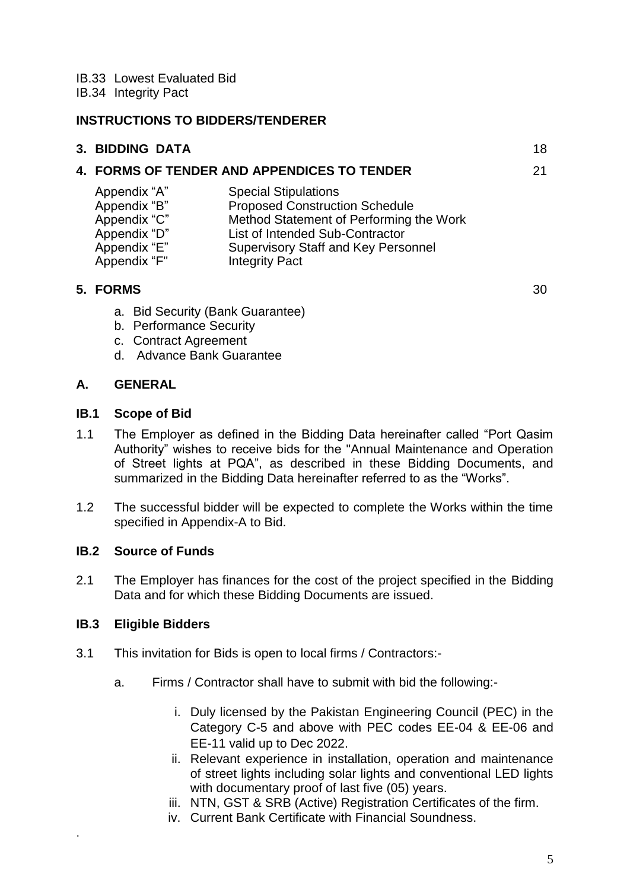IB.33 Lowest Evaluated Bid

IB.34 Integrity Pact

#### **INSTRUCTIONS TO BIDDERS/TENDERER**

| 3. BIDDING DATA                             |  |
|---------------------------------------------|--|
| 4. FORMS OF TENDER AND APPENDICES TO TENDER |  |

| Appendix "A" | <b>Special Stipulations</b>                |
|--------------|--------------------------------------------|
| Appendix "B" | <b>Proposed Construction Schedule</b>      |
| Appendix "C" | Method Statement of Performing the Work    |
| Appendix "D" | List of Intended Sub-Contractor            |
| Appendix "E" | <b>Supervisory Staff and Key Personnel</b> |
| Appendix "F" | <b>Integrity Pact</b>                      |

#### **5. FORMS** 30

- a. Bid Security (Bank Guarantee)
- b. Performance Security
- c. Contract Agreement
- d. Advance Bank Guarantee

# **A. GENERAL**

#### **IB.1 Scope of Bid**

- 1.1 The Employer as defined in the Bidding Data hereinafter called "Port Qasim Authority" wishes to receive bids for the "Annual Maintenance and Operation of Street lights at PQA", as described in these Bidding Documents, and summarized in the Bidding Data hereinafter referred to as the "Works".
- 1.2 The successful bidder will be expected to complete the Works within the time specified in Appendix-A to Bid.

#### **IB.2 Source of Funds**

2.1 The Employer has finances for the cost of the project specified in the Bidding Data and for which these Bidding Documents are issued.

#### **IB.3 Eligible Bidders**

.

- 3.1 This invitation for Bids is open to local firms / Contractors:
	- a. Firms / Contractor shall have to submit with bid the following:
		- i. Duly licensed by the Pakistan Engineering Council (PEC) in the Category C-5 and above with PEC codes EE-04 & EE-06 and EE-11 valid up to Dec 2022.
		- ii. Relevant experience in installation, operation and maintenance of street lights including solar lights and conventional LED lights with documentary proof of last five (05) years.
		- iii. NTN, GST & SRB (Active) Registration Certificates of the firm.
		- iv. Current Bank Certificate with Financial Soundness.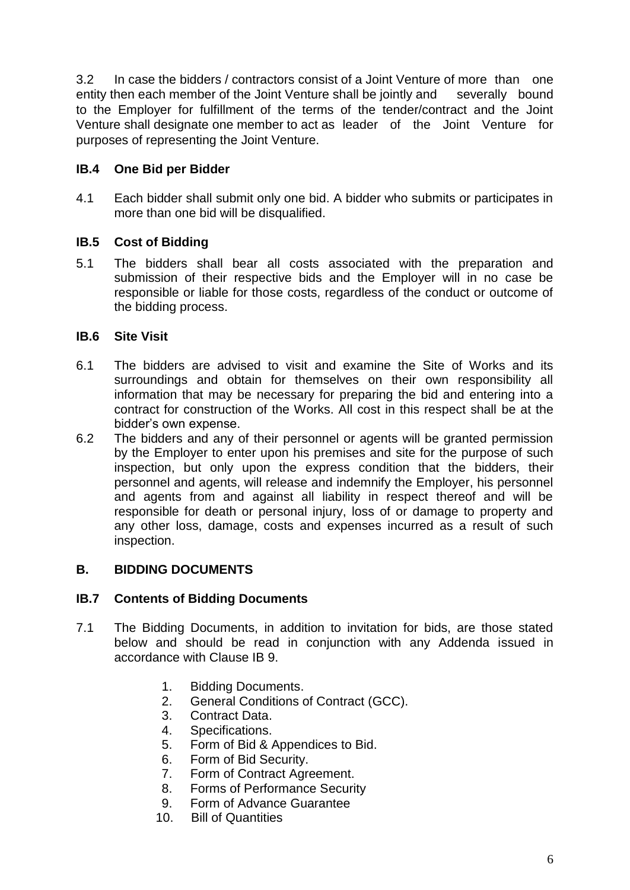3.2 In case the bidders / contractors consist of a Joint Venture of more than one entity then each member of the Joint Venture shall be jointly and severally bound to the Employer for fulfillment of the terms of the tender/contract and the Joint Venture shall designate one member to act as leader of the Joint Venture for purposes of representing the Joint Venture.

# **IB.4 One Bid per Bidder**

4.1 Each bidder shall submit only one bid. A bidder who submits or participates in more than one bid will be disqualified.

#### **IB.5 Cost of Bidding**

5.1 The bidders shall bear all costs associated with the preparation and submission of their respective bids and the Employer will in no case be responsible or liable for those costs, regardless of the conduct or outcome of the bidding process.

#### **IB.6 Site Visit**

- 6.1 The bidders are advised to visit and examine the Site of Works and its surroundings and obtain for themselves on their own responsibility all information that may be necessary for preparing the bid and entering into a contract for construction of the Works. All cost in this respect shall be at the bidder"s own expense.
- 6.2 The bidders and any of their personnel or agents will be granted permission by the Employer to enter upon his premises and site for the purpose of such inspection, but only upon the express condition that the bidders, their personnel and agents, will release and indemnify the Employer, his personnel and agents from and against all liability in respect thereof and will be responsible for death or personal injury, loss of or damage to property and any other loss, damage, costs and expenses incurred as a result of such inspection.

#### **B. BIDDING DOCUMENTS**

#### **IB.7 Contents of Bidding Documents**

- 7.1 The Bidding Documents, in addition to invitation for bids, are those stated below and should be read in conjunction with any Addenda issued in accordance with Clause IB 9.
	- 1. Bidding Documents.
	- 2. General Conditions of Contract (GCC).
	- 3. Contract Data.
	- 4. Specifications.
	- 5. Form of Bid & Appendices to Bid.
	- 6. Form of Bid Security.
	- 7. Form of Contract Agreement.
	- 8. Forms of Performance Security
	- 9. Form of Advance Guarantee
	- 10. Bill of Quantities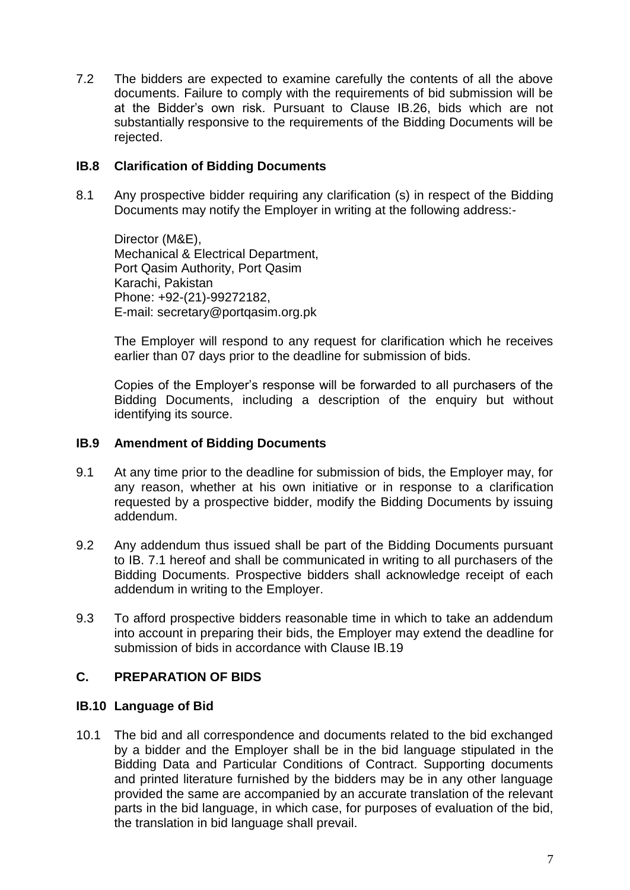7.2 The bidders are expected to examine carefully the contents of all the above documents. Failure to comply with the requirements of bid submission will be at the Bidder"s own risk. Pursuant to Clause IB.26, bids which are not substantially responsive to the requirements of the Bidding Documents will be rejected.

## **IB.8 Clarification of Bidding Documents**

8.1 Any prospective bidder requiring any clarification (s) in respect of the Bidding Documents may notify the Employer in writing at the following address:-

Director (M&E), Mechanical & Electrical Department, Port Qasim Authority, Port Qasim Karachi, Pakistan Phone: +92-(21)-99272182, E-mail: secretary@portqasim.org.pk

The Employer will respond to any request for clarification which he receives earlier than 07 days prior to the deadline for submission of bids.

Copies of the Employer"s response will be forwarded to all purchasers of the Bidding Documents, including a description of the enquiry but without identifying its source.

#### **IB.9 Amendment of Bidding Documents**

- 9.1 At any time prior to the deadline for submission of bids, the Employer may, for any reason, whether at his own initiative or in response to a clarification requested by a prospective bidder, modify the Bidding Documents by issuing addendum.
- 9.2 Any addendum thus issued shall be part of the Bidding Documents pursuant to IB. 7.1 hereof and shall be communicated in writing to all purchasers of the Bidding Documents. Prospective bidders shall acknowledge receipt of each addendum in writing to the Employer.
- 9.3 To afford prospective bidders reasonable time in which to take an addendum into account in preparing their bids, the Employer may extend the deadline for submission of bids in accordance with Clause IB.19

# **C. PREPARATION OF BIDS**

#### **IB.10 Language of Bid**

10.1 The bid and all correspondence and documents related to the bid exchanged by a bidder and the Employer shall be in the bid language stipulated in the Bidding Data and Particular Conditions of Contract. Supporting documents and printed literature furnished by the bidders may be in any other language provided the same are accompanied by an accurate translation of the relevant parts in the bid language, in which case, for purposes of evaluation of the bid, the translation in bid language shall prevail.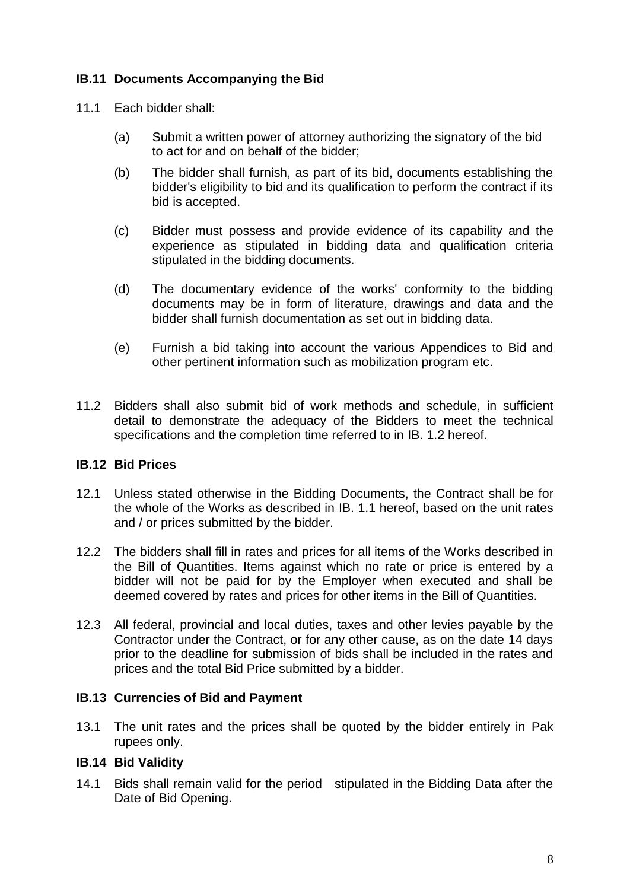# **IB.11 Documents Accompanying the Bid**

- 11.1 Each bidder shall:
	- (a) Submit a written power of attorney authorizing the signatory of the bid to act for and on behalf of the bidder;
	- (b) The bidder shall furnish, as part of its bid, documents establishing the bidder's eligibility to bid and its qualification to perform the contract if its bid is accepted.
	- (c) Bidder must possess and provide evidence of its capability and the experience as stipulated in bidding data and qualification criteria stipulated in the bidding documents.
	- (d) The documentary evidence of the works' conformity to the bidding documents may be in form of literature, drawings and data and the bidder shall furnish documentation as set out in bidding data.
	- (e) Furnish a bid taking into account the various Appendices to Bid and other pertinent information such as mobilization program etc.
- 11.2 Bidders shall also submit bid of work methods and schedule, in sufficient detail to demonstrate the adequacy of the Bidders to meet the technical specifications and the completion time referred to in IB. 1.2 hereof.

# **IB.12 Bid Prices**

- 12.1 Unless stated otherwise in the Bidding Documents, the Contract shall be for the whole of the Works as described in IB. 1.1 hereof, based on the unit rates and / or prices submitted by the bidder.
- 12.2 The bidders shall fill in rates and prices for all items of the Works described in the Bill of Quantities. Items against which no rate or price is entered by a bidder will not be paid for by the Employer when executed and shall be deemed covered by rates and prices for other items in the Bill of Quantities.
- 12.3 All federal, provincial and local duties, taxes and other levies payable by the Contractor under the Contract, or for any other cause, as on the date 14 days prior to the deadline for submission of bids shall be included in the rates and prices and the total Bid Price submitted by a bidder.

# **IB.13 Currencies of Bid and Payment**

13.1 The unit rates and the prices shall be quoted by the bidder entirely in Pak rupees only.

# **IB.14 Bid Validity**

14.1 Bids shall remain valid for the period stipulated in the Bidding Data after the Date of Bid Opening.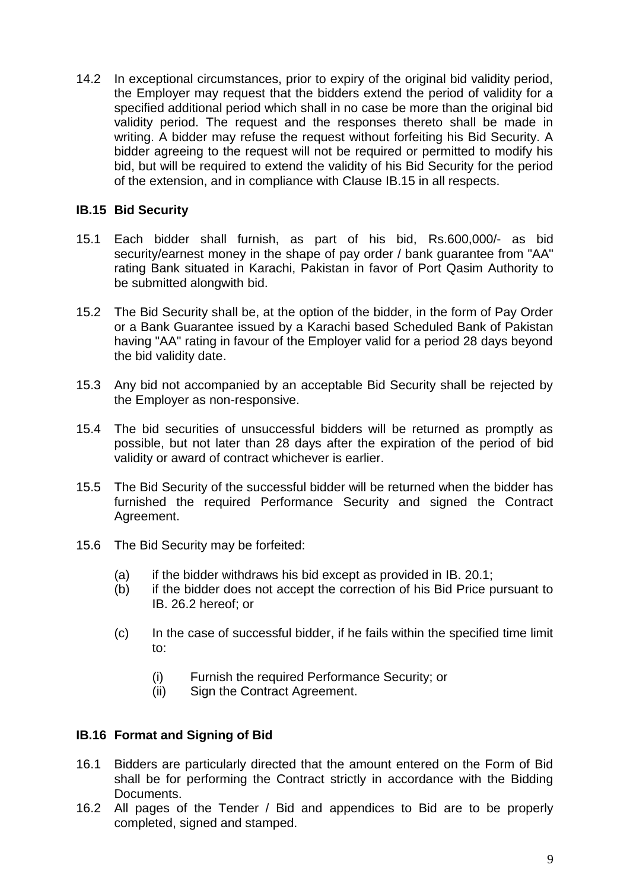14.2 In exceptional circumstances, prior to expiry of the original bid validity period, the Employer may request that the bidders extend the period of validity for a specified additional period which shall in no case be more than the original bid validity period. The request and the responses thereto shall be made in writing. A bidder may refuse the request without forfeiting his Bid Security. A bidder agreeing to the request will not be required or permitted to modify his bid, but will be required to extend the validity of his Bid Security for the period of the extension, and in compliance with Clause IB.15 in all respects.

## **IB.15 Bid Security**

- 15.1 Each bidder shall furnish, as part of his bid, Rs.600,000/- as bid security/earnest money in the shape of pay order / bank guarantee from "AA" rating Bank situated in Karachi, Pakistan in favor of Port Qasim Authority to be submitted alongwith bid.
- 15.2 The Bid Security shall be, at the option of the bidder, in the form of Pay Order or a Bank Guarantee issued by a Karachi based Scheduled Bank of Pakistan having "AA" rating in favour of the Employer valid for a period 28 days beyond the bid validity date.
- 15.3 Any bid not accompanied by an acceptable Bid Security shall be rejected by the Employer as non-responsive.
- 15.4 The bid securities of unsuccessful bidders will be returned as promptly as possible, but not later than 28 days after the expiration of the period of bid validity or award of contract whichever is earlier.
- 15.5 The Bid Security of the successful bidder will be returned when the bidder has furnished the required Performance Security and signed the Contract Agreement.
- 15.6 The Bid Security may be forfeited:
	- (a) if the bidder withdraws his bid except as provided in IB. 20.1;
	- (b) if the bidder does not accept the correction of his Bid Price pursuant to IB. 26.2 hereof; or
	- (c) In the case of successful bidder, if he fails within the specified time limit to:
		- (i) Furnish the required Performance Security; or
		- (ii) Sign the Contract Agreement.

#### **IB.16 Format and Signing of Bid**

- 16.1 Bidders are particularly directed that the amount entered on the Form of Bid shall be for performing the Contract strictly in accordance with the Bidding Documents.
- 16.2 All pages of the Tender / Bid and appendices to Bid are to be properly completed, signed and stamped.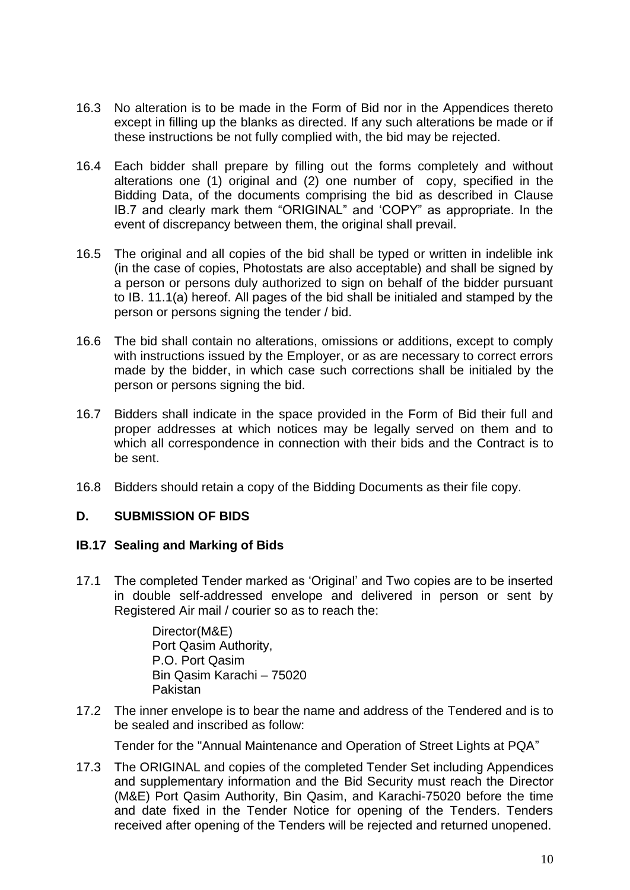- 16.3 No alteration is to be made in the Form of Bid nor in the Appendices thereto except in filling up the blanks as directed. If any such alterations be made or if these instructions be not fully complied with, the bid may be rejected.
- 16.4 Each bidder shall prepare by filling out the forms completely and without alterations one (1) original and (2) one number of copy, specified in the Bidding Data, of the documents comprising the bid as described in Clause IB.7 and clearly mark them "ORIGINAL" and "COPY" as appropriate. In the event of discrepancy between them, the original shall prevail.
- 16.5 The original and all copies of the bid shall be typed or written in indelible ink (in the case of copies, Photostats are also acceptable) and shall be signed by a person or persons duly authorized to sign on behalf of the bidder pursuant to IB. 11.1(a) hereof. All pages of the bid shall be initialed and stamped by the person or persons signing the tender / bid.
- 16.6 The bid shall contain no alterations, omissions or additions, except to comply with instructions issued by the Employer, or as are necessary to correct errors made by the bidder, in which case such corrections shall be initialed by the person or persons signing the bid.
- 16.7 Bidders shall indicate in the space provided in the Form of Bid their full and proper addresses at which notices may be legally served on them and to which all correspondence in connection with their bids and the Contract is to be sent.
- 16.8 Bidders should retain a copy of the Bidding Documents as their file copy.

#### **D. SUBMISSION OF BIDS**

#### **IB.17 Sealing and Marking of Bids**

17.1 The completed Tender marked as "Original" and Two copies are to be inserted in double self-addressed envelope and delivered in person or sent by Registered Air mail / courier so as to reach the:

> Director(M&E) Port Qasim Authority, P.O. Port Qasim Bin Qasim Karachi – 75020 Pakistan

17.2 The inner envelope is to bear the name and address of the Tendered and is to be sealed and inscribed as follow:

Tender for the "Annual Maintenance and Operation of Street Lights at PQA"

17.3 The ORIGINAL and copies of the completed Tender Set including Appendices and supplementary information and the Bid Security must reach the Director (M&E) Port Qasim Authority, Bin Qasim, and Karachi-75020 before the time and date fixed in the Tender Notice for opening of the Tenders. Tenders received after opening of the Tenders will be rejected and returned unopened.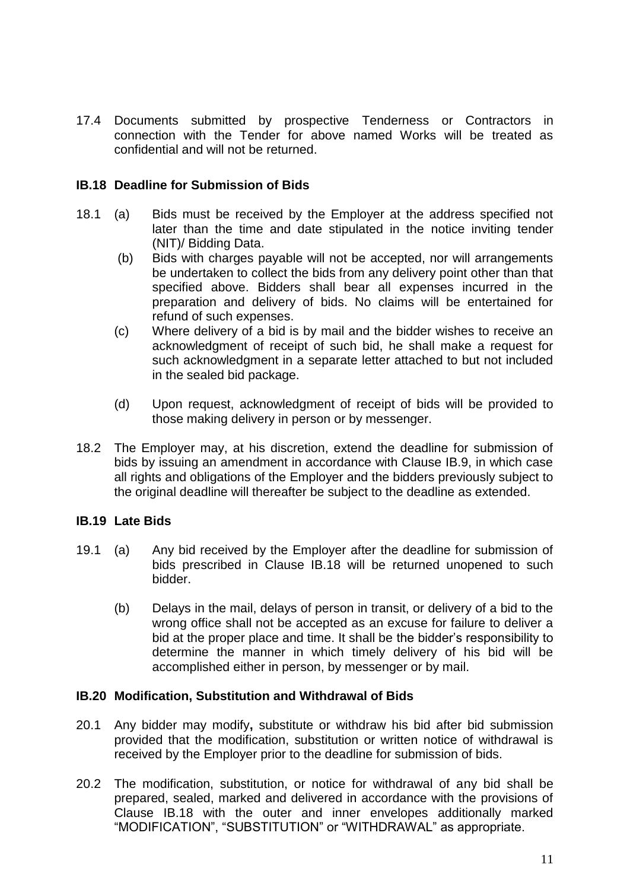17.4 Documents submitted by prospective Tenderness or Contractors in connection with the Tender for above named Works will be treated as confidential and will not be returned.

#### **IB.18 Deadline for Submission of Bids**

- 18.1 (a) Bids must be received by the Employer at the address specified not later than the time and date stipulated in the notice inviting tender (NIT)/ Bidding Data.
	- (b) Bids with charges payable will not be accepted, nor will arrangements be undertaken to collect the bids from any delivery point other than that specified above. Bidders shall bear all expenses incurred in the preparation and delivery of bids. No claims will be entertained for refund of such expenses.
	- (c) Where delivery of a bid is by mail and the bidder wishes to receive an acknowledgment of receipt of such bid, he shall make a request for such acknowledgment in a separate letter attached to but not included in the sealed bid package.
	- (d) Upon request, acknowledgment of receipt of bids will be provided to those making delivery in person or by messenger.
- 18.2 The Employer may, at his discretion, extend the deadline for submission of bids by issuing an amendment in accordance with Clause IB.9, in which case all rights and obligations of the Employer and the bidders previously subject to the original deadline will thereafter be subject to the deadline as extended.

#### **IB.19 Late Bids**

- 19.1 (a) Any bid received by the Employer after the deadline for submission of bids prescribed in Clause IB.18 will be returned unopened to such bidder.
	- (b) Delays in the mail, delays of person in transit, or delivery of a bid to the wrong office shall not be accepted as an excuse for failure to deliver a bid at the proper place and time. It shall be the bidder"s responsibility to determine the manner in which timely delivery of his bid will be accomplished either in person, by messenger or by mail.

#### **IB.20 Modification, Substitution and Withdrawal of Bids**

- 20.1 Any bidder may modify**,** substitute or withdraw his bid after bid submission provided that the modification, substitution or written notice of withdrawal is received by the Employer prior to the deadline for submission of bids.
- 20.2 The modification, substitution, or notice for withdrawal of any bid shall be prepared, sealed, marked and delivered in accordance with the provisions of Clause IB.18 with the outer and inner envelopes additionally marked "MODIFICATION", "SUBSTITUTION" or "WITHDRAWAL" as appropriate.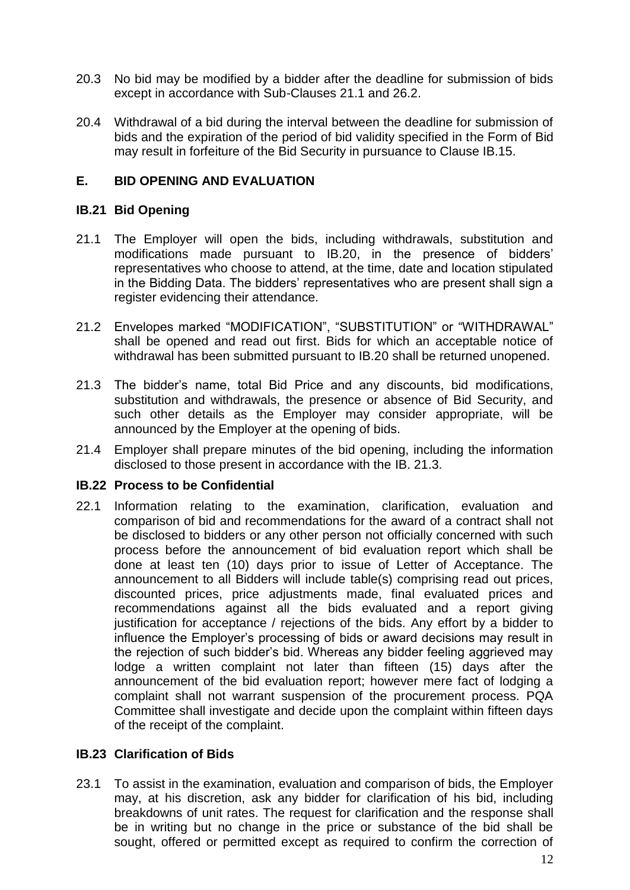- 20.3 No bid may be modified by a bidder after the deadline for submission of bids except in accordance with Sub-Clauses 21.1 and 26.2.
- 20.4 Withdrawal of a bid during the interval between the deadline for submission of bids and the expiration of the period of bid validity specified in the Form of Bid may result in forfeiture of the Bid Security in pursuance to Clause IB.15.

# **E. BID OPENING AND EVALUATION**

## **IB.21 Bid Opening**

- 21.1 The Employer will open the bids, including withdrawals, substitution and modifications made pursuant to IB.20, in the presence of bidders" representatives who choose to attend, at the time, date and location stipulated in the Bidding Data. The bidders' representatives who are present shall sign a register evidencing their attendance.
- 21.2 Envelopes marked "MODIFICATION", "SUBSTITUTION" or "WITHDRAWAL" shall be opened and read out first. Bids for which an acceptable notice of withdrawal has been submitted pursuant to IB.20 shall be returned unopened.
- 21.3 The bidder"s name, total Bid Price and any discounts, bid modifications, substitution and withdrawals, the presence or absence of Bid Security, and such other details as the Employer may consider appropriate, will be announced by the Employer at the opening of bids.
- 21.4 Employer shall prepare minutes of the bid opening, including the information disclosed to those present in accordance with the IB. 21.3.

#### **IB.22 Process to be Confidential**

22.1 Information relating to the examination, clarification, evaluation and comparison of bid and recommendations for the award of a contract shall not be disclosed to bidders or any other person not officially concerned with such process before the announcement of bid evaluation report which shall be done at least ten (10) days prior to issue of Letter of Acceptance. The announcement to all Bidders will include table(s) comprising read out prices, discounted prices, price adjustments made, final evaluated prices and recommendations against all the bids evaluated and a report giving justification for acceptance / rejections of the bids. Any effort by a bidder to influence the Employer"s processing of bids or award decisions may result in the rejection of such bidder"s bid. Whereas any bidder feeling aggrieved may lodge a written complaint not later than fifteen (15) days after the announcement of the bid evaluation report; however mere fact of lodging a complaint shall not warrant suspension of the procurement process. PQA Committee shall investigate and decide upon the complaint within fifteen days of the receipt of the complaint.

# **IB.23 Clarification of Bids**

23.1 To assist in the examination, evaluation and comparison of bids, the Employer may, at his discretion, ask any bidder for clarification of his bid, including breakdowns of unit rates. The request for clarification and the response shall be in writing but no change in the price or substance of the bid shall be sought, offered or permitted except as required to confirm the correction of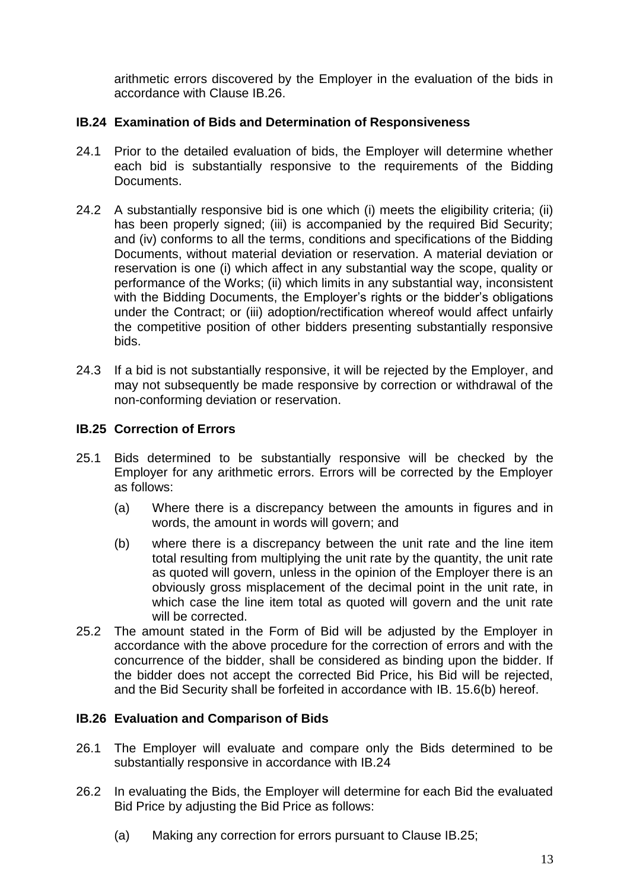arithmetic errors discovered by the Employer in the evaluation of the bids in accordance with Clause IB.26.

# **IB.24 Examination of Bids and Determination of Responsiveness**

- 24.1 Prior to the detailed evaluation of bids, the Employer will determine whether each bid is substantially responsive to the requirements of the Bidding Documents.
- 24.2 A substantially responsive bid is one which (i) meets the eligibility criteria; (ii) has been properly signed; (iii) is accompanied by the required Bid Security; and (iv) conforms to all the terms, conditions and specifications of the Bidding Documents, without material deviation or reservation. A material deviation or reservation is one (i) which affect in any substantial way the scope, quality or performance of the Works; (ii) which limits in any substantial way, inconsistent with the Bidding Documents, the Employer's rights or the bidder's obligations under the Contract; or (iii) adoption/rectification whereof would affect unfairly the competitive position of other bidders presenting substantially responsive bids.
- 24.3 If a bid is not substantially responsive, it will be rejected by the Employer, and may not subsequently be made responsive by correction or withdrawal of the non-conforming deviation or reservation.

# **IB.25 Correction of Errors**

- 25.1 Bids determined to be substantially responsive will be checked by the Employer for any arithmetic errors. Errors will be corrected by the Employer as follows:
	- (a) Where there is a discrepancy between the amounts in figures and in words, the amount in words will govern; and
	- (b) where there is a discrepancy between the unit rate and the line item total resulting from multiplying the unit rate by the quantity, the unit rate as quoted will govern, unless in the opinion of the Employer there is an obviously gross misplacement of the decimal point in the unit rate, in which case the line item total as quoted will govern and the unit rate will be corrected.
- 25.2 The amount stated in the Form of Bid will be adjusted by the Employer in accordance with the above procedure for the correction of errors and with the concurrence of the bidder, shall be considered as binding upon the bidder. If the bidder does not accept the corrected Bid Price, his Bid will be rejected, and the Bid Security shall be forfeited in accordance with IB. 15.6(b) hereof.

# **IB.26 Evaluation and Comparison of Bids**

- 26.1 The Employer will evaluate and compare only the Bids determined to be substantially responsive in accordance with IB.24
- 26.2 In evaluating the Bids, the Employer will determine for each Bid the evaluated Bid Price by adjusting the Bid Price as follows:
	- (a) Making any correction for errors pursuant to Clause IB.25;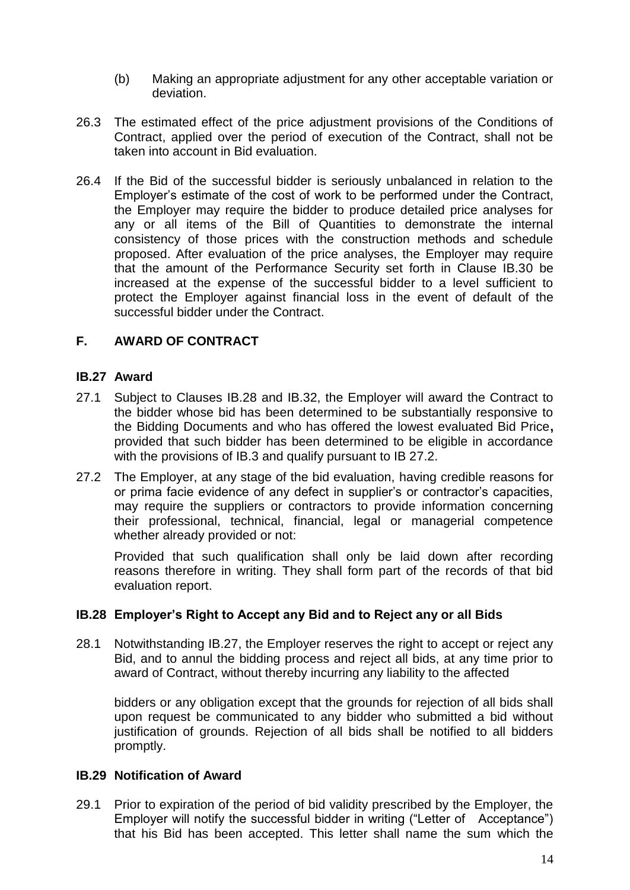- (b) Making an appropriate adjustment for any other acceptable variation or deviation.
- 26.3 The estimated effect of the price adjustment provisions of the Conditions of Contract, applied over the period of execution of the Contract, shall not be taken into account in Bid evaluation.
- 26.4 If the Bid of the successful bidder is seriously unbalanced in relation to the Employer"s estimate of the cost of work to be performed under the Contract, the Employer may require the bidder to produce detailed price analyses for any or all items of the Bill of Quantities to demonstrate the internal consistency of those prices with the construction methods and schedule proposed. After evaluation of the price analyses, the Employer may require that the amount of the Performance Security set forth in Clause IB.30 be increased at the expense of the successful bidder to a level sufficient to protect the Employer against financial loss in the event of default of the successful bidder under the Contract.

#### **F. AWARD OF CONTRACT**

#### **IB.27 Award**

- 27.1 Subject to Clauses IB.28 and IB.32, the Employer will award the Contract to the bidder whose bid has been determined to be substantially responsive to the Bidding Documents and who has offered the lowest evaluated Bid Price**,**  provided that such bidder has been determined to be eligible in accordance with the provisions of IB.3 and qualify pursuant to IB 27.2.
- 27.2 The Employer, at any stage of the bid evaluation, having credible reasons for or prima facie evidence of any defect in supplier"s or contractor"s capacities, may require the suppliers or contractors to provide information concerning their professional, technical, financial, legal or managerial competence whether already provided or not:

Provided that such qualification shall only be laid down after recording reasons therefore in writing. They shall form part of the records of that bid evaluation report.

#### **IB.28 Employer's Right to Accept any Bid and to Reject any or all Bids**

28.1 Notwithstanding IB.27, the Employer reserves the right to accept or reject any Bid, and to annul the bidding process and reject all bids, at any time prior to award of Contract, without thereby incurring any liability to the affected

bidders or any obligation except that the grounds for rejection of all bids shall upon request be communicated to any bidder who submitted a bid without justification of grounds. Rejection of all bids shall be notified to all bidders promptly.

#### **IB.29 Notification of Award**

29.1 Prior to expiration of the period of bid validity prescribed by the Employer, the Employer will notify the successful bidder in writing ("Letter of Acceptance") that his Bid has been accepted. This letter shall name the sum which the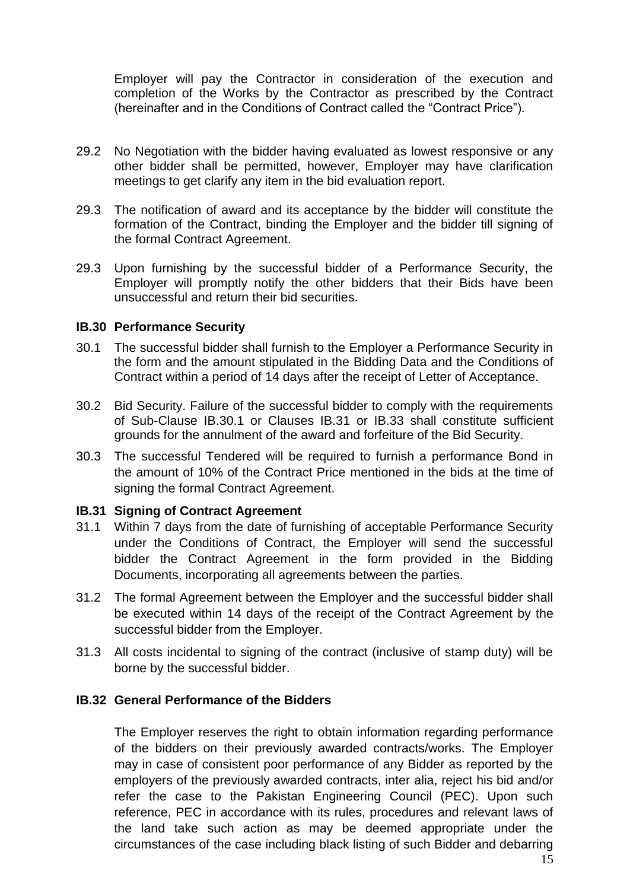Employer will pay the Contractor in consideration of the execution and completion of the Works by the Contractor as prescribed by the Contract (hereinafter and in the Conditions of Contract called the "Contract Price").

- 29.2 No Negotiation with the bidder having evaluated as lowest responsive or any other bidder shall be permitted, however, Employer may have clarification meetings to get clarify any item in the bid evaluation report.
- 29.3 The notification of award and its acceptance by the bidder will constitute the formation of the Contract, binding the Employer and the bidder till signing of the formal Contract Agreement.
- 29.3 Upon furnishing by the successful bidder of a Performance Security, the Employer will promptly notify the other bidders that their Bids have been unsuccessful and return their bid securities.

#### **IB.30 Performance Security**

- 30.1 The successful bidder shall furnish to the Employer a Performance Security in the form and the amount stipulated in the Bidding Data and the Conditions of Contract within a period of 14 days after the receipt of Letter of Acceptance.
- 30.2 Bid Security. Failure of the successful bidder to comply with the requirements of Sub-Clause IB.30.1 or Clauses IB.31 or IB.33 shall constitute sufficient grounds for the annulment of the award and forfeiture of the Bid Security.
- 30.3 The successful Tendered will be required to furnish a performance Bond in the amount of 10% of the Contract Price mentioned in the bids at the time of signing the formal Contract Agreement.

#### **IB.31 Signing of Contract Agreement**

- 31.1 Within 7 days from the date of furnishing of acceptable Performance Security under the Conditions of Contract, the Employer will send the successful bidder the Contract Agreement in the form provided in the Bidding Documents, incorporating all agreements between the parties.
- 31.2 The formal Agreement between the Employer and the successful bidder shall be executed within 14 days of the receipt of the Contract Agreement by the successful bidder from the Employer.
- 31.3 All costs incidental to signing of the contract (inclusive of stamp duty) will be borne by the successful bidder.

#### **IB.32 General Performance of the Bidders**

The Employer reserves the right to obtain information regarding performance of the bidders on their previously awarded contracts/works. The Employer may in case of consistent poor performance of any Bidder as reported by the employers of the previously awarded contracts, inter alia, reject his bid and/or refer the case to the Pakistan Engineering Council (PEC). Upon such reference, PEC in accordance with its rules, procedures and relevant laws of the land take such action as may be deemed appropriate under the circumstances of the case including black listing of such Bidder and debarring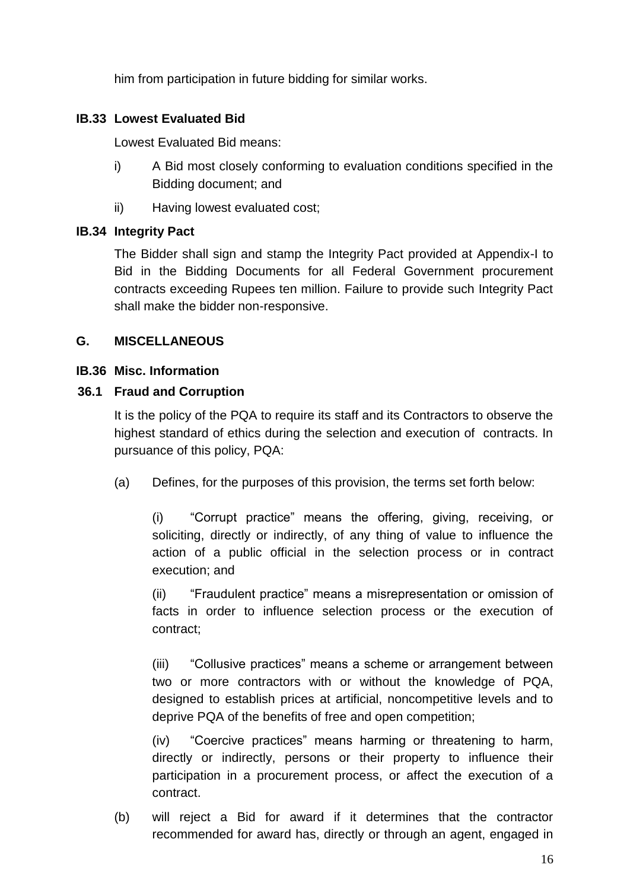him from participation in future bidding for similar works.

# **IB.33 Lowest Evaluated Bid**

Lowest Evaluated Bid means:

- i) A Bid most closely conforming to evaluation conditions specified in the Bidding document; and
- ii) Having lowest evaluated cost;

# **IB.34 Integrity Pact**

The Bidder shall sign and stamp the Integrity Pact provided at Appendix-I to Bid in the Bidding Documents for all Federal Government procurement contracts exceeding Rupees ten million. Failure to provide such Integrity Pact shall make the bidder non-responsive.

# **G. MISCELLANEOUS**

# **IB.36 Misc. Information**

# **36.1 Fraud and Corruption**

It is the policy of the PQA to require its staff and its Contractors to observe the highest standard of ethics during the selection and execution of contracts. In pursuance of this policy, PQA:

(a) Defines, for the purposes of this provision, the terms set forth below:

(i) "Corrupt practice" means the offering, giving, receiving, or soliciting, directly or indirectly, of any thing of value to influence the action of a public official in the selection process or in contract execution; and

(ii) "Fraudulent practice" means a misrepresentation or omission of facts in order to influence selection process or the execution of contract;

(iii) "Collusive practices" means a scheme or arrangement between two or more contractors with or without the knowledge of PQA, designed to establish prices at artificial, noncompetitive levels and to deprive PQA of the benefits of free and open competition;

(iv) "Coercive practices" means harming or threatening to harm, directly or indirectly, persons or their property to influence their participation in a procurement process, or affect the execution of a contract.

(b) will reject a Bid for award if it determines that the contractor recommended for award has, directly or through an agent, engaged in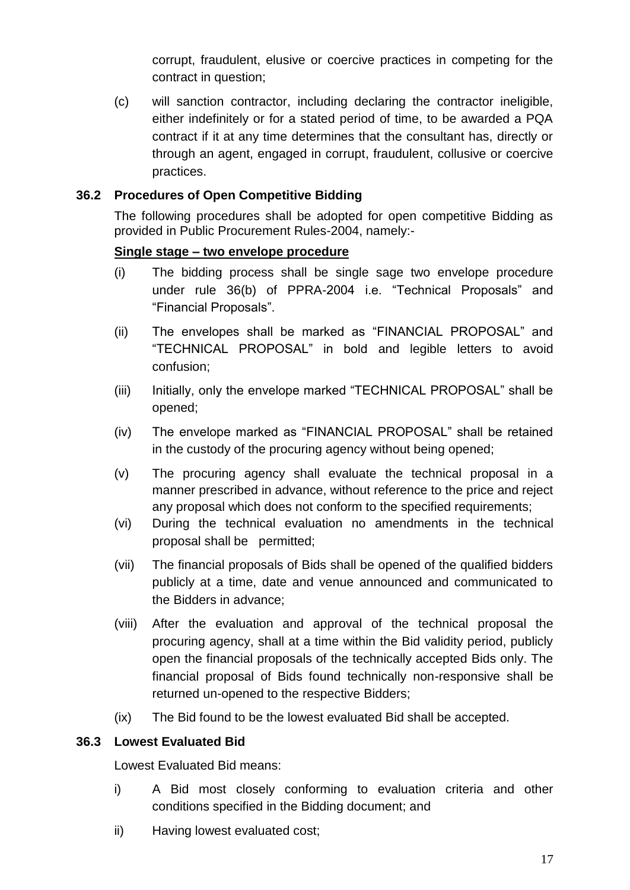corrupt, fraudulent, elusive or coercive practices in competing for the contract in question;

(c) will sanction contractor, including declaring the contractor ineligible, either indefinitely or for a stated period of time, to be awarded a PQA contract if it at any time determines that the consultant has, directly or through an agent, engaged in corrupt, fraudulent, collusive or coercive practices.

# **36.2 Procedures of Open Competitive Bidding**

The following procedures shall be adopted for open competitive Bidding as provided in Public Procurement Rules-2004, namely:-

# **Single stage – two envelope procedure**

- (i) The bidding process shall be single sage two envelope procedure under rule 36(b) of PPRA-2004 i.e. "Technical Proposals" and "Financial Proposals".
- (ii) The envelopes shall be marked as "FINANCIAL PROPOSAL" and "TECHNICAL PROPOSAL" in bold and legible letters to avoid confusion;
- (iii) Initially, only the envelope marked "TECHNICAL PROPOSAL" shall be opened;
- (iv) The envelope marked as "FINANCIAL PROPOSAL" shall be retained in the custody of the procuring agency without being opened;
- (v) The procuring agency shall evaluate the technical proposal in a manner prescribed in advance, without reference to the price and reject any proposal which does not conform to the specified requirements;
- (vi) During the technical evaluation no amendments in the technical proposal shall be permitted;
- (vii) The financial proposals of Bids shall be opened of the qualified bidders publicly at a time, date and venue announced and communicated to the Bidders in advance;
- (viii) After the evaluation and approval of the technical proposal the procuring agency, shall at a time within the Bid validity period, publicly open the financial proposals of the technically accepted Bids only. The financial proposal of Bids found technically non-responsive shall be returned un-opened to the respective Bidders;
- (ix) The Bid found to be the lowest evaluated Bid shall be accepted.

# **36.3 Lowest Evaluated Bid**

Lowest Evaluated Bid means:

- i) A Bid most closely conforming to evaluation criteria and other conditions specified in the Bidding document; and
- ii) Having lowest evaluated cost;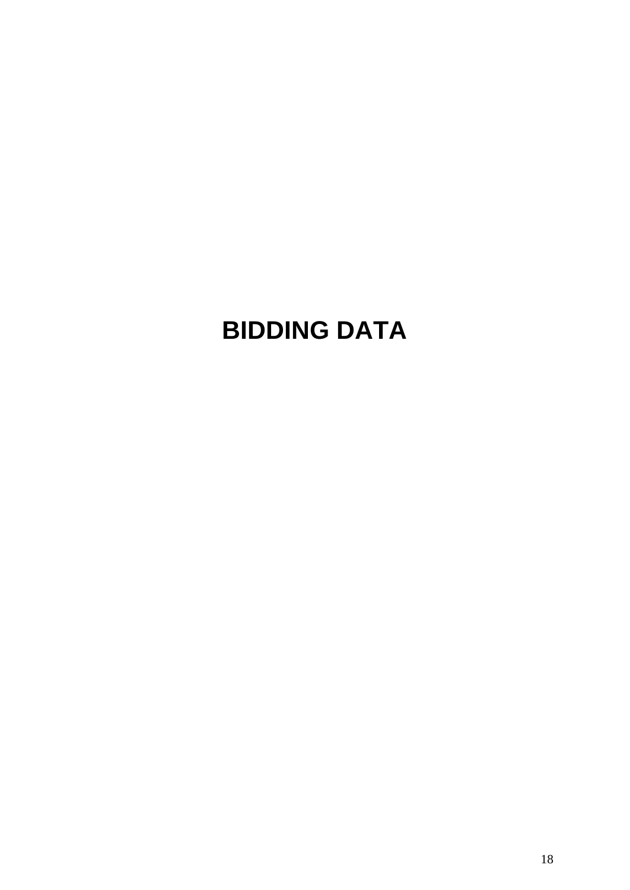# **BIDDING DATA**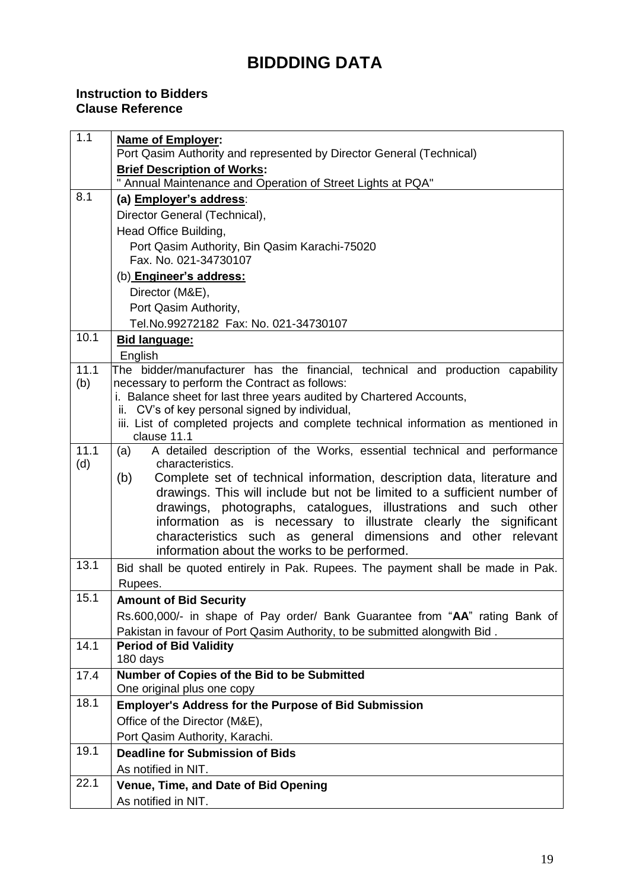# **BIDDDING DATA**

# **Instruction to Bidders Clause Reference**

| 1.1  | <b>Name of Employer:</b>                                                                                                           |
|------|------------------------------------------------------------------------------------------------------------------------------------|
|      | Port Qasim Authority and represented by Director General (Technical)<br><b>Brief Description of Works:</b>                         |
|      | " Annual Maintenance and Operation of Street Lights at PQA"                                                                        |
| 8.1  | (a) Employer's address:                                                                                                            |
|      | Director General (Technical),                                                                                                      |
|      | Head Office Building,                                                                                                              |
|      | Port Qasim Authority, Bin Qasim Karachi-75020                                                                                      |
|      | Fax. No. 021-34730107                                                                                                              |
|      | (b) Engineer's address:                                                                                                            |
|      | Director (M&E),                                                                                                                    |
|      | Port Qasim Authority,                                                                                                              |
|      | Tel.No.99272182 Fax: No. 021-34730107                                                                                              |
| 10.1 | <b>Bid language:</b>                                                                                                               |
|      | English                                                                                                                            |
| 11.1 | The bidder/manufacturer has the financial, technical and production capability                                                     |
| (b)  | necessary to perform the Contract as follows:                                                                                      |
|      | i. Balance sheet for last three years audited by Chartered Accounts,<br>ii. CV's of key personal signed by individual,             |
|      | iii. List of completed projects and complete technical information as mentioned in                                                 |
|      | clause 11.1                                                                                                                        |
| 11.1 | A detailed description of the Works, essential technical and performance<br>(a)                                                    |
| (d)  | characteristics.                                                                                                                   |
|      | Complete set of technical information, description data, literature and<br>(b)                                                     |
|      | drawings. This will include but not be limited to a sufficient number of                                                           |
|      | drawings, photographs, catalogues, illustrations and such other                                                                    |
|      | information as is necessary to illustrate clearly the significant<br>characteristics such as general dimensions and other relevant |
|      | information about the works to be performed.                                                                                       |
| 13.1 | Bid shall be quoted entirely in Pak. Rupees. The payment shall be made in Pak.                                                     |
|      | Rupees.                                                                                                                            |
| 15.1 | <b>Amount of Bid Security</b>                                                                                                      |
|      | Rs.600,000/- in shape of Pay order/ Bank Guarantee from "AA" rating Bank of                                                        |
|      | Pakistan in favour of Port Qasim Authority, to be submitted alongwith Bid.                                                         |
| 14.1 | <b>Period of Bid Validity</b>                                                                                                      |
|      | 180 days                                                                                                                           |
| 17.4 | Number of Copies of the Bid to be Submitted                                                                                        |
|      | One original plus one copy                                                                                                         |
| 18.1 | <b>Employer's Address for the Purpose of Bid Submission</b>                                                                        |
|      | Office of the Director (M&E),                                                                                                      |
|      | Port Qasim Authority, Karachi.                                                                                                     |
| 19.1 | <b>Deadline for Submission of Bids</b>                                                                                             |
|      | As notified in NIT.                                                                                                                |
| 22.1 | Venue, Time, and Date of Bid Opening                                                                                               |
|      | As notified in NIT.                                                                                                                |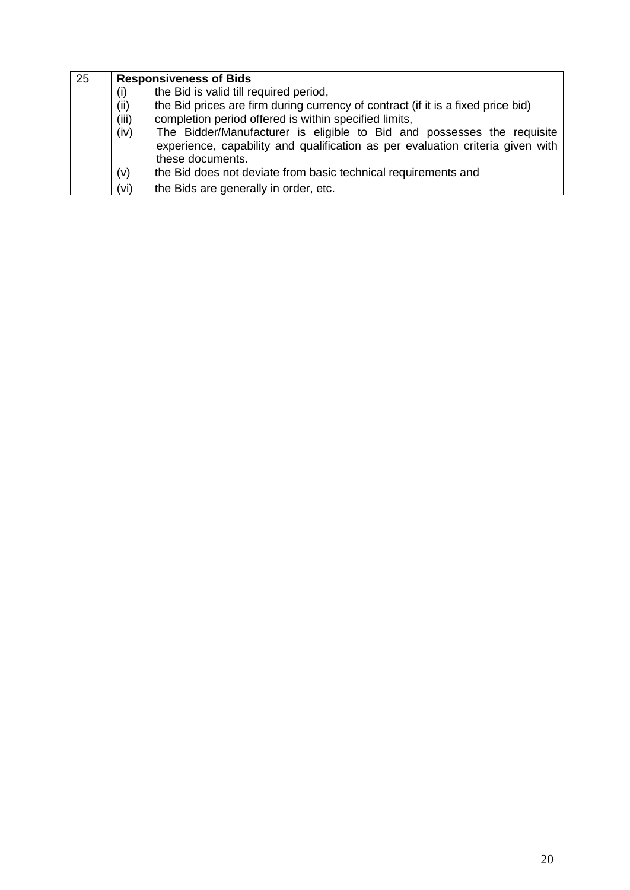| 25 |       | <b>Responsiveness of Bids</b>                                                                                                                                                |  |  |  |
|----|-------|------------------------------------------------------------------------------------------------------------------------------------------------------------------------------|--|--|--|
|    | (i)   | the Bid is valid till required period,                                                                                                                                       |  |  |  |
|    | (ii)  | the Bid prices are firm during currency of contract (if it is a fixed price bid)                                                                                             |  |  |  |
|    | (iii) | completion period offered is within specified limits,                                                                                                                        |  |  |  |
|    | (iv)  | The Bidder/Manufacturer is eligible to Bid and possesses the requisite<br>experience, capability and qualification as per evaluation criteria given with<br>these documents. |  |  |  |
|    | (v)   | the Bid does not deviate from basic technical requirements and                                                                                                               |  |  |  |
|    | (vi)  | the Bids are generally in order, etc.                                                                                                                                        |  |  |  |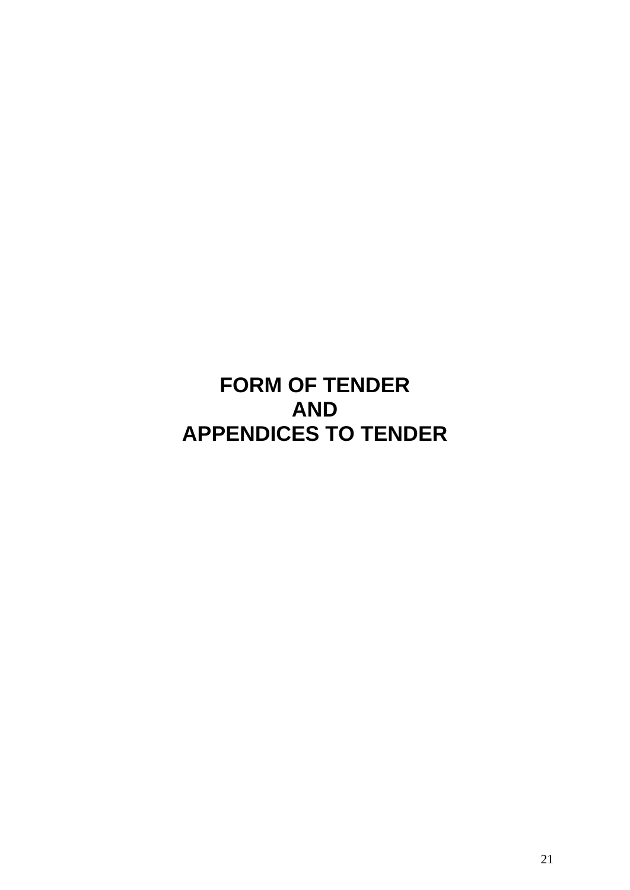# **FORM OF TENDER AND APPENDICES TO TENDER**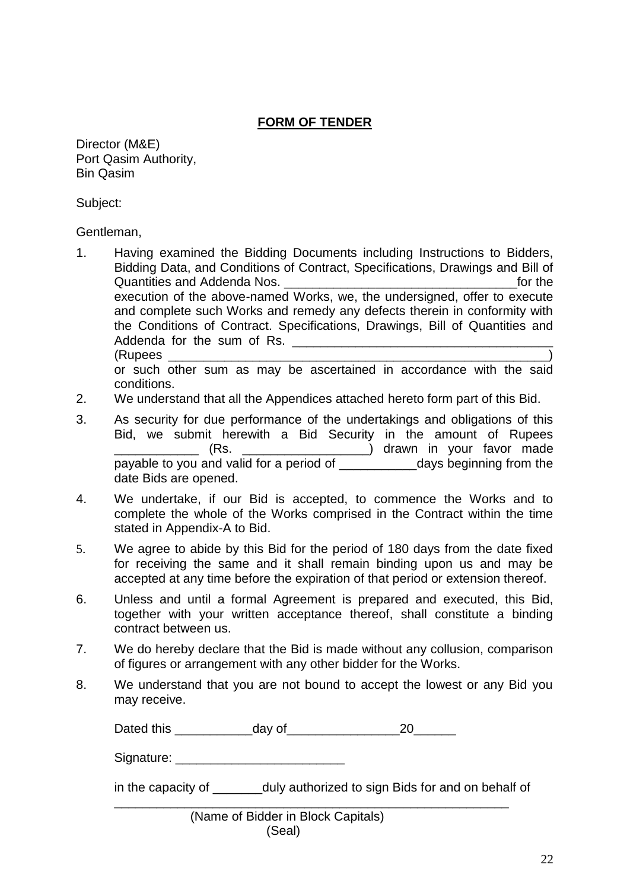# **FORM OF TENDER**

Director (M&E) Port Qasim Authority, Bin Qasim

Subject:

Gentleman,

- 1. Having examined the Bidding Documents including Instructions to Bidders, Bidding Data, and Conditions of Contract, Specifications, Drawings and Bill of Quantities and Addenda Nos. \_\_\_\_\_\_\_\_\_\_\_\_\_\_\_\_\_\_\_\_\_\_\_\_\_\_\_\_\_\_\_\_\_for the execution of the above-named Works, we, the undersigned, offer to execute and complete such Works and remedy any defects therein in conformity with the Conditions of Contract. Specifications, Drawings, Bill of Quantities and Addenda for the sum of Rs. (Rupees \_\_\_\_\_\_\_\_\_\_\_\_\_\_\_\_\_\_\_\_\_\_\_\_\_\_\_\_\_\_\_\_\_\_\_\_\_\_\_\_\_\_\_\_\_\_\_\_\_\_\_\_\_\_) or such other sum as may be ascertained in accordance with the said conditions.
- 2. We understand that all the Appendices attached hereto form part of this Bid.
- 3. As security for due performance of the undertakings and obligations of this Bid, we submit herewith a Bid Security in the amount of Rupees \_\_\_\_\_\_\_\_\_\_\_\_ (Rs. \_\_\_\_\_\_\_\_\_\_\_\_\_\_\_\_\_\_) drawn in your favor made payable to you and valid for a period of \_\_\_\_\_\_\_\_\_\_\_days beginning from the date Bids are opened.
- 4. We undertake, if our Bid is accepted, to commence the Works and to complete the whole of the Works comprised in the Contract within the time stated in Appendix-A to Bid.
- 5. We agree to abide by this Bid for the period of 180 days from the date fixed for receiving the same and it shall remain binding upon us and may be accepted at any time before the expiration of that period or extension thereof.
- 6. Unless and until a formal Agreement is prepared and executed, this Bid, together with your written acceptance thereof, shall constitute a binding contract between us.
- 7. We do hereby declare that the Bid is made without any collusion, comparison of figures or arrangement with any other bidder for the Works.
- 8. We understand that you are not bound to accept the lowest or any Bid you may receive.

Dated this \_\_\_\_\_\_\_\_\_\_\_day of\_\_\_\_\_\_\_\_\_\_\_\_\_\_\_\_20\_\_\_\_\_\_

Signature: \_\_\_\_\_\_\_\_\_\_\_\_\_\_\_\_\_\_\_\_\_\_\_\_

in the capacity of \_\_\_\_\_\_\_duly authorized to sign Bids for and on behalf of

\_\_\_\_\_\_\_\_\_\_\_\_\_\_\_\_\_\_\_\_\_\_\_\_\_\_\_\_\_\_\_\_\_\_\_\_\_\_\_\_\_\_\_\_\_\_\_\_\_\_\_\_\_\_\_\_

| (Name of Bidder in Block Capitals) |
|------------------------------------|
| (Seal)                             |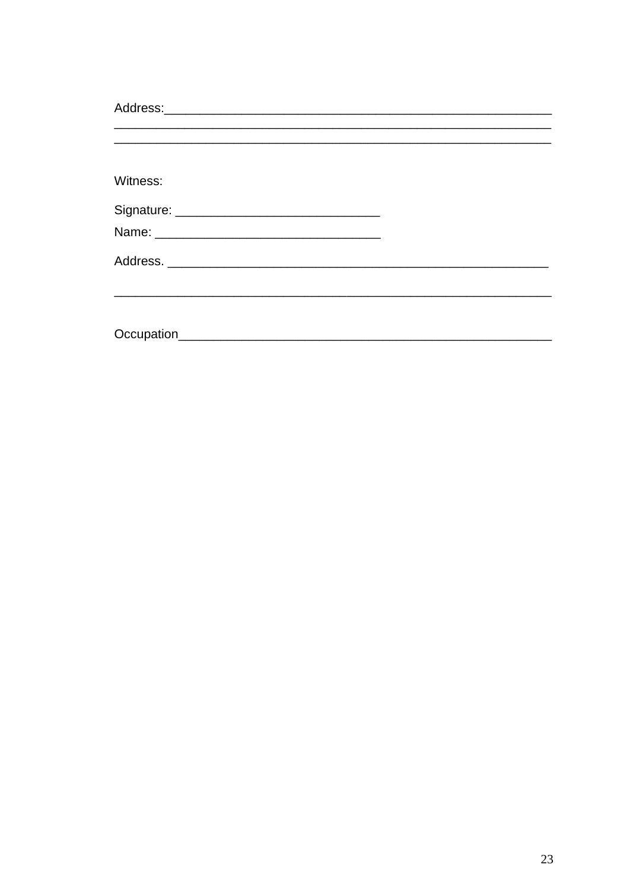| Witness: |  |
|----------|--|
|          |  |
|          |  |
|          |  |
|          |  |
|          |  |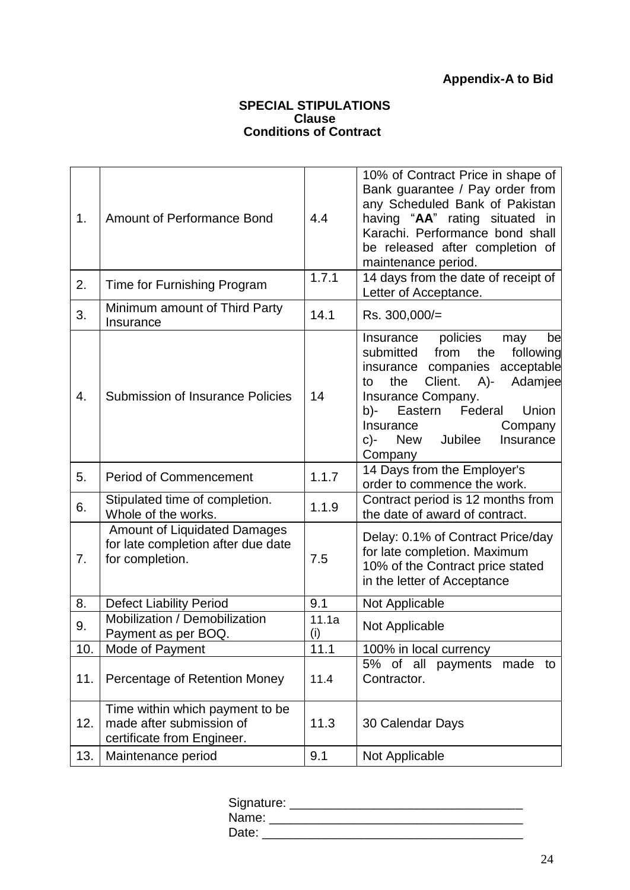# **Appendix-A to Bid**

#### **SPECIAL STIPULATIONS Clause Conditions of Contract**

 $\overline{a}$ 

| 1.               | <b>Amount of Performance Bond</b>                                                            | 4.4          | 10% of Contract Price in shape of<br>Bank guarantee / Pay order from<br>any Scheduled Bank of Pakistan<br>having "AA" rating situated in<br>Karachi. Performance bond shall<br>be released after completion of<br>maintenance period.                                                           |
|------------------|----------------------------------------------------------------------------------------------|--------------|-------------------------------------------------------------------------------------------------------------------------------------------------------------------------------------------------------------------------------------------------------------------------------------------------|
| 2.               | Time for Furnishing Program                                                                  | 1.7.1        | 14 days from the date of receipt of<br>Letter of Acceptance.                                                                                                                                                                                                                                    |
| 3.               | Minimum amount of Third Party<br>Insurance                                                   | 14.1         | Rs. 300,000/=                                                                                                                                                                                                                                                                                   |
| $\overline{4}$ . | <b>Submission of Insurance Policies</b>                                                      | 14           | policies<br>Insurance<br>be<br>may<br>from<br>the<br>submitted<br>following<br>companies acceptable<br>insurance<br>Client.<br>Adamjee<br>A)-<br>the<br>to<br>Insurance Company.<br>Federal<br>Eastern<br>Union<br>b)-<br>Insurance<br>Company<br>Jubilee<br>New<br>Insurance<br>c)-<br>Company |
| 5.               | <b>Period of Commencement</b>                                                                | 1.1.7        | 14 Days from the Employer's<br>order to commence the work.                                                                                                                                                                                                                                      |
| 6.               | Stipulated time of completion.<br>Whole of the works.                                        | 1.1.9        | Contract period is 12 months from<br>the date of award of contract.                                                                                                                                                                                                                             |
| 7 <sub>1</sub>   | <b>Amount of Liquidated Damages</b><br>for late completion after due date<br>for completion. | 7.5          | Delay: 0.1% of Contract Price/day<br>for late completion. Maximum<br>10% of the Contract price stated<br>in the letter of Acceptance                                                                                                                                                            |
| 8.               | <b>Defect Liability Period</b>                                                               | 9.1          | Not Applicable                                                                                                                                                                                                                                                                                  |
| 9.               | Mobilization / Demobilization<br>Payment as per BOQ.                                         | 11.1a<br>(i) | Not Applicable                                                                                                                                                                                                                                                                                  |
| 10.              | Mode of Payment                                                                              | 11.1         | 100% in local currency                                                                                                                                                                                                                                                                          |
| 11.              | Percentage of Retention Money                                                                | 11.4         | 5% of all<br>payments<br>made<br>to<br>Contractor.                                                                                                                                                                                                                                              |
| 12.              | Time within which payment to be<br>made after submission of<br>certificate from Engineer.    | 11.3         | 30 Calendar Days                                                                                                                                                                                                                                                                                |
| 13.              | Maintenance period                                                                           | 9.1          | Not Applicable                                                                                                                                                                                                                                                                                  |

| Signature: |  |
|------------|--|
| Name:      |  |
| Date:      |  |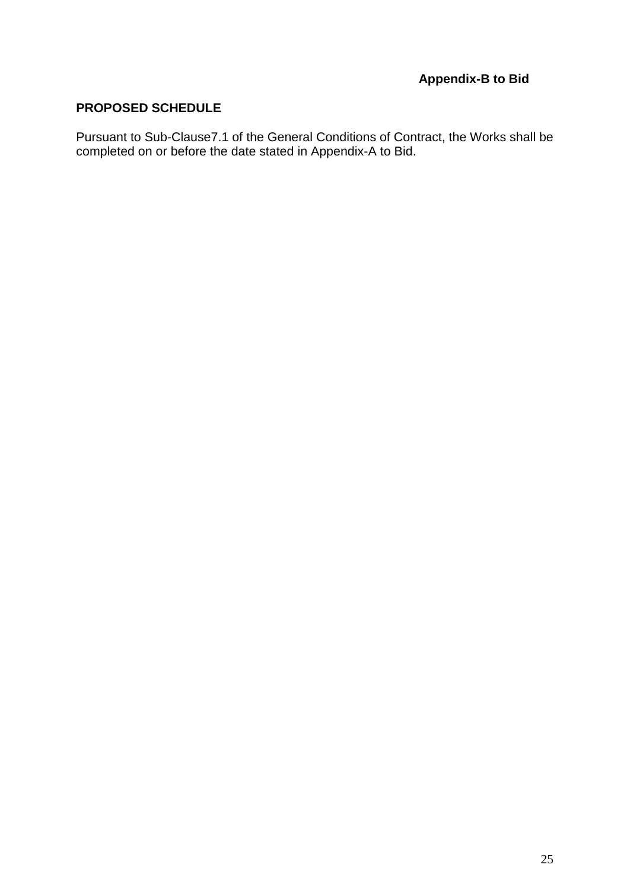## **PROPOSED SCHEDULE**

Pursuant to Sub-Clause7.1 of the General Conditions of Contract, the Works shall be completed on or before the date stated in Appendix-A to Bid.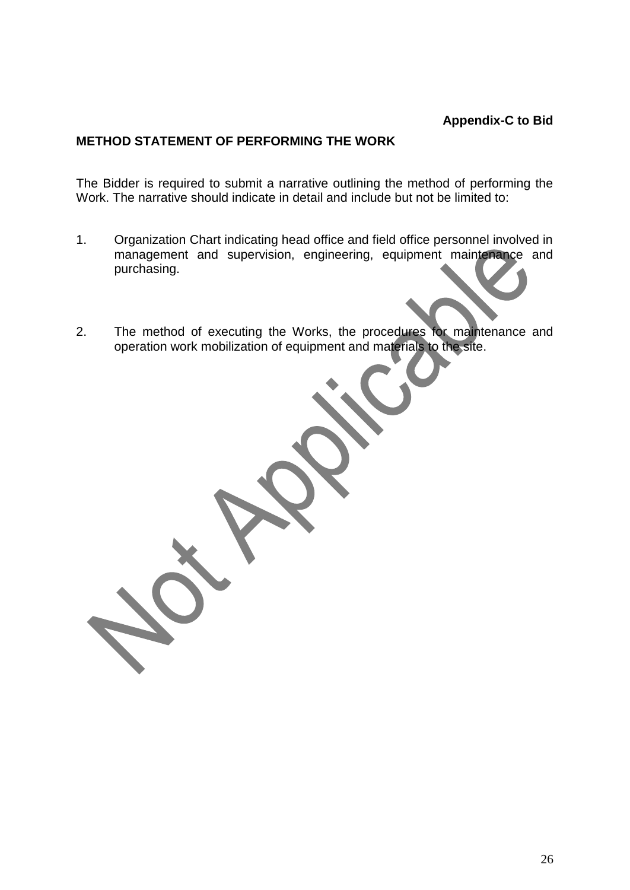## **METHOD STATEMENT OF PERFORMING THE WORK**

The Bidder is required to submit a narrative outlining the method of performing the Work. The narrative should indicate in detail and include but not be limited to:

- 1. Organization Chart indicating head office and field office personnel involved in management and supervision, engineering, equipment maintenance and purchasing.
- 2. The method of executing the Works, the procedures for maintenance and operation work mobilization of equipment and materials to the site.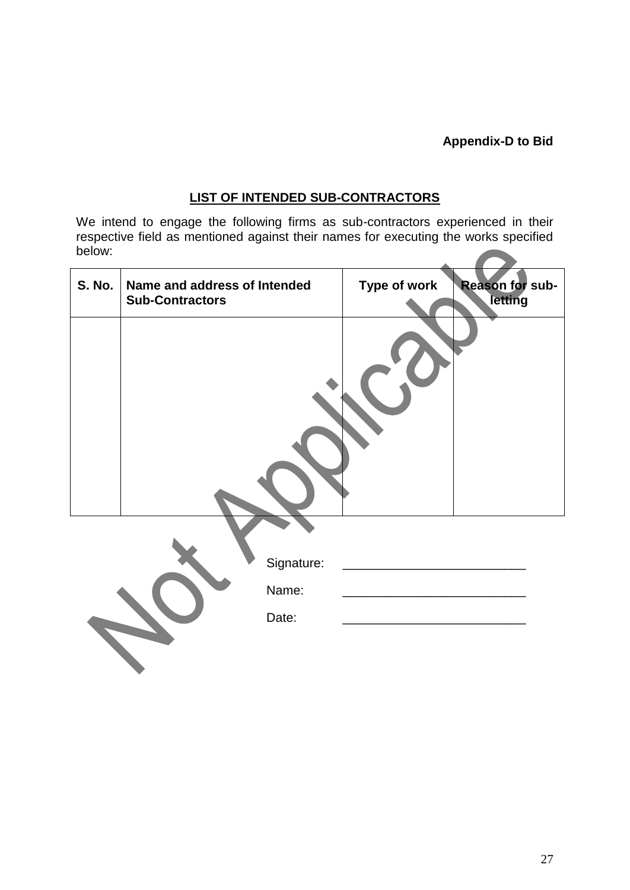# **Appendix-D to Bid**

# **LIST OF INTENDED SUB-CONTRACTORS**

We intend to engage the following firms as sub-contractors experienced in their respective field as mentioned against their names for executing the works specified below: 

| <b>S. No.</b> | Name and address of Intended<br><b>Sub-Contractors</b> |                              | Type of work | <b>Reason for sub-</b><br>letting |
|---------------|--------------------------------------------------------|------------------------------|--------------|-----------------------------------|
|               |                                                        |                              |              |                                   |
|               |                                                        | Signature:<br>Name:<br>Date: |              |                                   |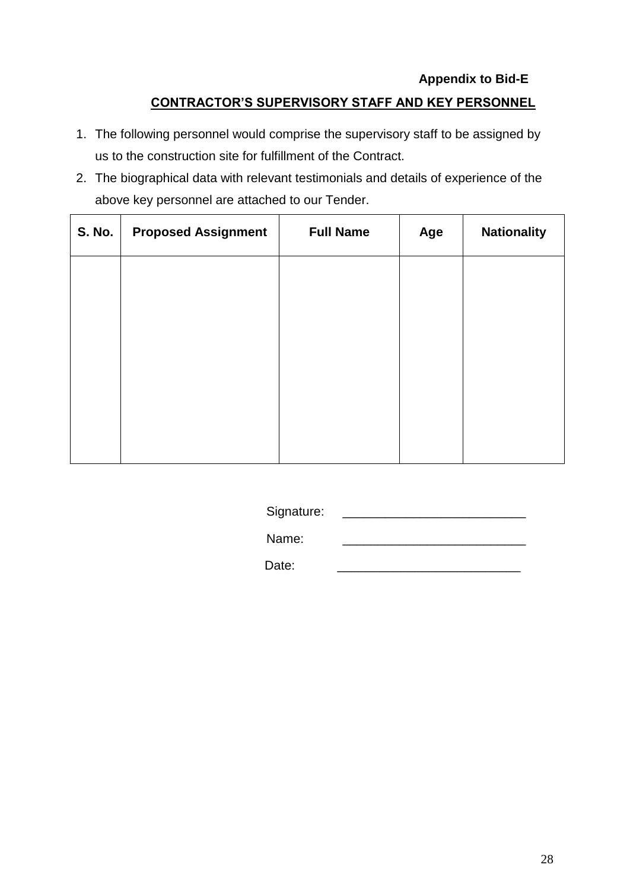# **Appendix to Bid-E**

# **CONTRACTOR'S SUPERVISORY STAFF AND KEY PERSONNEL**

- 1. The following personnel would comprise the supervisory staff to be assigned by us to the construction site for fulfillment of the Contract.
- 2. The biographical data with relevant testimonials and details of experience of the above key personnel are attached to our Tender.

| S. No. | <b>Proposed Assignment</b> | <b>Full Name</b> | Age | <b>Nationality</b> |
|--------|----------------------------|------------------|-----|--------------------|
|        |                            |                  |     |                    |
|        |                            |                  |     |                    |
|        |                            |                  |     |                    |
|        |                            |                  |     |                    |
|        |                            |                  |     |                    |

Signature: \_\_\_\_\_\_\_\_\_\_\_\_\_\_\_\_\_\_\_\_\_\_\_\_\_\_

Name:

Date: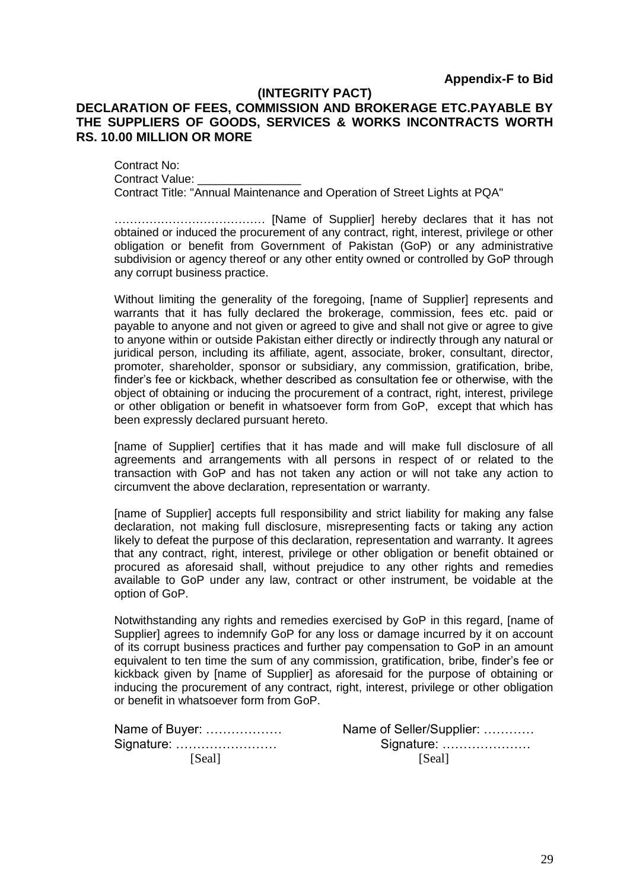#### **(INTEGRITY PACT)**

#### **DECLARATION OF FEES, COMMISSION AND BROKERAGE ETC.PAYABLE BY THE SUPPLIERS OF GOODS, SERVICES & WORKS INCONTRACTS WORTH RS. 10.00 MILLION OR MORE**

Contract No: Contract Value: Contract Title: "Annual Maintenance and Operation of Street Lights at PQA"

………………………………… [Name of Supplier] hereby declares that it has not obtained or induced the procurement of any contract, right, interest, privilege or other obligation or benefit from Government of Pakistan (GoP) or any administrative subdivision or agency thereof or any other entity owned or controlled by GoP through any corrupt business practice.

Without limiting the generality of the foregoing, [name of Supplier] represents and warrants that it has fully declared the brokerage, commission, fees etc. paid or payable to anyone and not given or agreed to give and shall not give or agree to give to anyone within or outside Pakistan either directly or indirectly through any natural or juridical person, including its affiliate, agent, associate, broker, consultant, director, promoter, shareholder, sponsor or subsidiary, any commission, gratification, bribe, finder"s fee or kickback, whether described as consultation fee or otherwise, with the object of obtaining or inducing the procurement of a contract, right, interest, privilege or other obligation or benefit in whatsoever form from GoP, except that which has been expressly declared pursuant hereto.

[name of Supplier] certifies that it has made and will make full disclosure of all agreements and arrangements with all persons in respect of or related to the transaction with GoP and has not taken any action or will not take any action to circumvent the above declaration, representation or warranty.

[name of Supplier] accepts full responsibility and strict liability for making any false declaration, not making full disclosure, misrepresenting facts or taking any action likely to defeat the purpose of this declaration, representation and warranty. It agrees that any contract, right, interest, privilege or other obligation or benefit obtained or procured as aforesaid shall, without prejudice to any other rights and remedies available to GoP under any law, contract or other instrument, be voidable at the option of GoP.

Notwithstanding any rights and remedies exercised by GoP in this regard, [name of Supplier] agrees to indemnify GoP for any loss or damage incurred by it on account of its corrupt business practices and further pay compensation to GoP in an amount equivalent to ten time the sum of any commission, gratification, bribe, finder"s fee or kickback given by [name of Supplier] as aforesaid for the purpose of obtaining or inducing the procurement of any contract, right, interest, privilege or other obligation or benefit in whatsoever form from GoP.

| Name of Buyer: | Name of Seller/Supplier: |  |
|----------------|--------------------------|--|
| Signature:     | Signature:               |  |
| <b>Seall</b>   | [Seal]                   |  |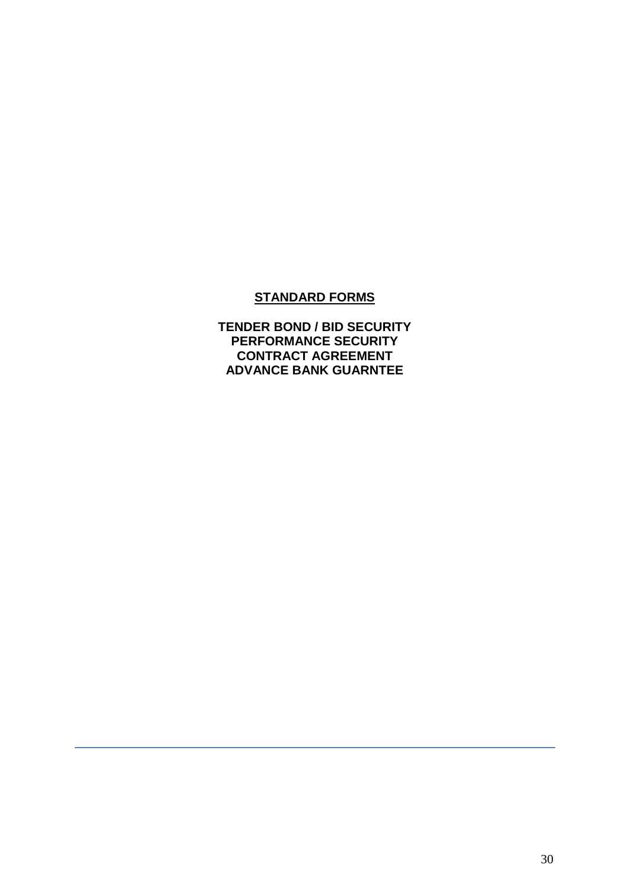## **STANDARD FORMS**

**TENDER BOND / BID SECURITY PERFORMANCE SECURITY CONTRACT AGREEMENT ADVANCE BANK GUARNTEE**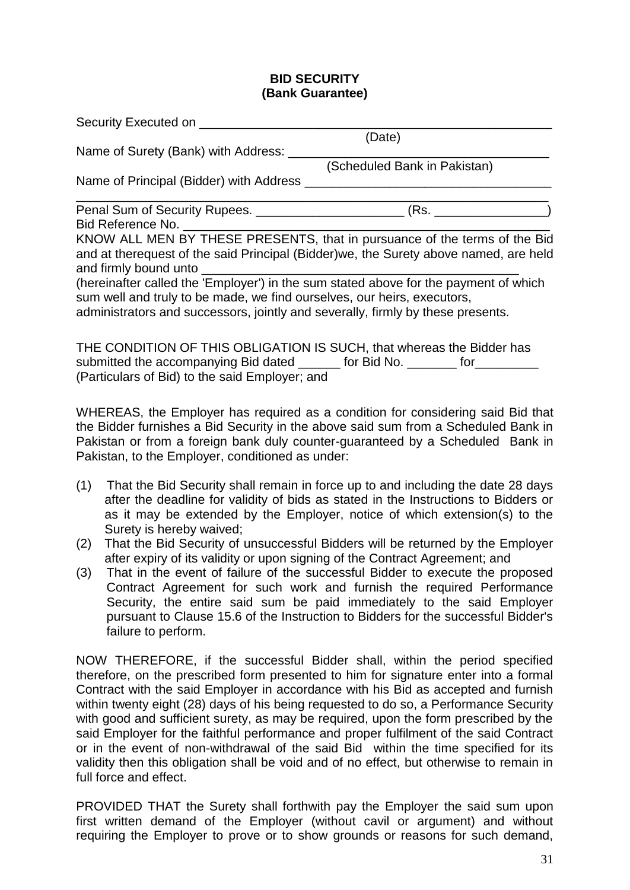#### **BID SECURITY (Bank Guarantee)**

Security Executed on

|                                                                                                                                                                 | (Date)                                                                    |  |
|-----------------------------------------------------------------------------------------------------------------------------------------------------------------|---------------------------------------------------------------------------|--|
| Name of Surety (Bank) with Address: __                                                                                                                          |                                                                           |  |
|                                                                                                                                                                 | (Scheduled Bank in Pakistan)                                              |  |
| Name of Principal (Bidder) with Address                                                                                                                         |                                                                           |  |
|                                                                                                                                                                 |                                                                           |  |
| Bid Reference No.                                                                                                                                               |                                                                           |  |
| and at therequest of the said Principal (Bidder) we, the Surety above named, are held<br>and firmly bound unto                                                  | KNOW ALL MEN BY THESE PRESENTS, that in pursuance of the terms of the Bid |  |
| (hereinafter called the 'Employer') in the sum stated above for the payment of which<br>sum well and truly to be made, we find ourselves, our heirs, executors, |                                                                           |  |
| administrators and successors, jointly and severally, firmly by these presents.                                                                                 |                                                                           |  |
| THE CONDITION OF THIS OBLIGATION IS SUCH, that whereas the Bidder has                                                                                           |                                                                           |  |

submitted the accompanying Bid dated \_\_\_\_\_\_ for Bid No. \_\_\_\_\_\_\_ for \_\_\_\_\_\_\_\_\_ (Particulars of Bid) to the said Employer; and

WHEREAS, the Employer has required as a condition for considering said Bid that the Bidder furnishes a Bid Security in the above said sum from a Scheduled Bank in Pakistan or from a foreign bank duly counter-guaranteed by a Scheduled Bank in Pakistan, to the Employer, conditioned as under:

- (1) That the Bid Security shall remain in force up to and including the date 28 days after the deadline for validity of bids as stated in the Instructions to Bidders or as it may be extended by the Employer, notice of which extension(s) to the Surety is hereby waived;
- (2) That the Bid Security of unsuccessful Bidders will be returned by the Employer after expiry of its validity or upon signing of the Contract Agreement; and
- (3) That in the event of failure of the successful Bidder to execute the proposed Contract Agreement for such work and furnish the required Performance Security, the entire said sum be paid immediately to the said Employer pursuant to Clause 15.6 of the Instruction to Bidders for the successful Bidder's failure to perform.

NOW THEREFORE, if the successful Bidder shall, within the period specified therefore, on the prescribed form presented to him for signature enter into a formal Contract with the said Employer in accordance with his Bid as accepted and furnish within twenty eight (28) days of his being requested to do so, a Performance Security with good and sufficient surety, as may be required, upon the form prescribed by the said Employer for the faithful performance and proper fulfilment of the said Contract or in the event of non-withdrawal of the said Bid within the time specified for its validity then this obligation shall be void and of no effect, but otherwise to remain in full force and effect.

PROVIDED THAT the Surety shall forthwith pay the Employer the said sum upon first written demand of the Employer (without cavil or argument) and without requiring the Employer to prove or to show grounds or reasons for such demand,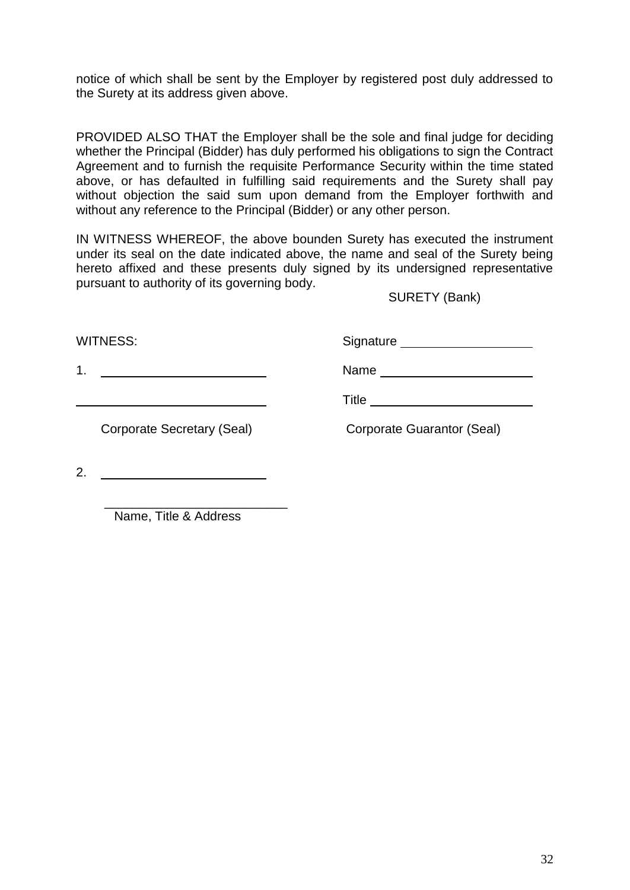notice of which shall be sent by the Employer by registered post duly addressed to the Surety at its address given above.

PROVIDED ALSO THAT the Employer shall be the sole and final judge for deciding whether the Principal (Bidder) has duly performed his obligations to sign the Contract Agreement and to furnish the requisite Performance Security within the time stated above, or has defaulted in fulfilling said requirements and the Surety shall pay without objection the said sum upon demand from the Employer forthwith and without any reference to the Principal (Bidder) or any other person.

IN WITNESS WHEREOF, the above bounden Surety has executed the instrument under its seal on the date indicated above, the name and seal of the Surety being hereto affixed and these presents duly signed by its undersigned representative pursuant to authority of its governing body.

SURETY (Bank)

WITNESS: Signature Signature

1. Name

Title **The Community of the Community Community** 

Corporate Secretary (Seal) Corporate Guarantor (Seal)

2.

 \_\_\_\_\_\_\_\_\_\_\_\_\_\_\_\_\_\_\_\_\_\_\_\_\_\_ Name, Title & Address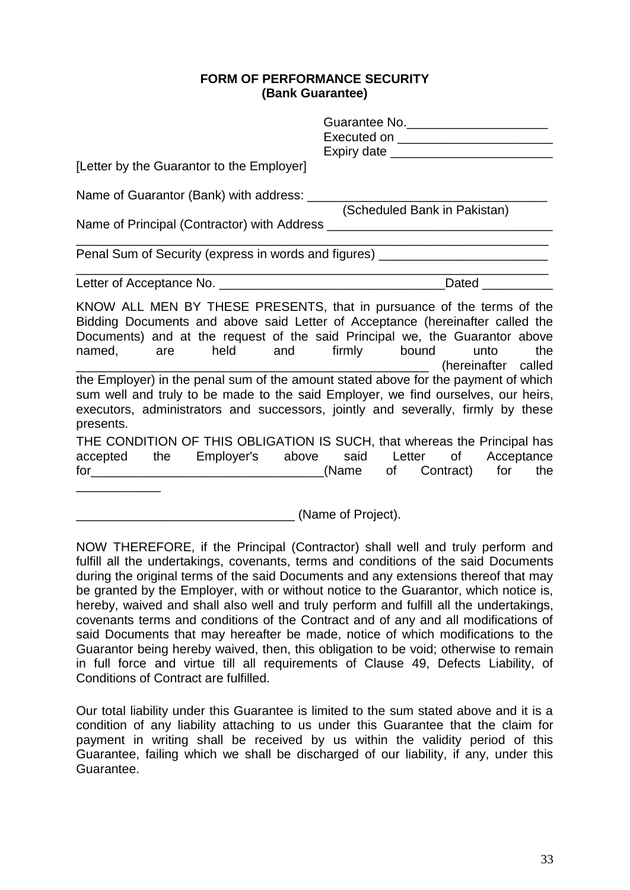#### **FORM OF PERFORMANCE SECURITY (Bank Guarantee)**

| [Letter by the Guarantor to the Employer]                                                                                                                                                                                                                                          | Guarantee No. _______________________ |
|------------------------------------------------------------------------------------------------------------------------------------------------------------------------------------------------------------------------------------------------------------------------------------|---------------------------------------|
|                                                                                                                                                                                                                                                                                    | (Scheduled Bank in Pakistan)          |
| Penal Sum of Security (express in words and figures) ___________________________                                                                                                                                                                                                   |                                       |
|                                                                                                                                                                                                                                                                                    |                                       |
| KNOW ALL MEN BY THESE PRESENTS, that in pursuance of the terms of the<br>Bidding Documents and above said Letter of Acceptance (hereinafter called the<br>Documents) and at the request of the said Principal we, the Guarantor above<br>named, are held and firmly bound unto the | (hereinafter called                   |
| the Employer) in the penal sum of the amount stated above for the payment of which<br>sum well and truly to be made to the said Employer, we find ourselves, our heirs,<br>executors, administrators and successors, jointly and severally, firmly by these<br>presents.           |                                       |
| THE CONDITION OF THIS OBLIGATION IS SUCH, that whereas the Principal has<br>accepted the Employer's above said Letter of Acceptance                                                                                                                                                |                                       |

(Name of Project).

NOW THEREFORE, if the Principal (Contractor) shall well and truly perform and fulfill all the undertakings, covenants, terms and conditions of the said Documents during the original terms of the said Documents and any extensions thereof that may be granted by the Employer, with or without notice to the Guarantor, which notice is, hereby, waived and shall also well and truly perform and fulfill all the undertakings, covenants terms and conditions of the Contract and of any and all modifications of said Documents that may hereafter be made, notice of which modifications to the Guarantor being hereby waived, then, this obligation to be void; otherwise to remain in full force and virtue till all requirements of Clause 49, Defects Liability, of Conditions of Contract are fulfilled.

Our total liability under this Guarantee is limited to the sum stated above and it is a condition of any liability attaching to us under this Guarantee that the claim for payment in writing shall be received by us within the validity period of this Guarantee, failing which we shall be discharged of our liability, if any, under this Guarantee.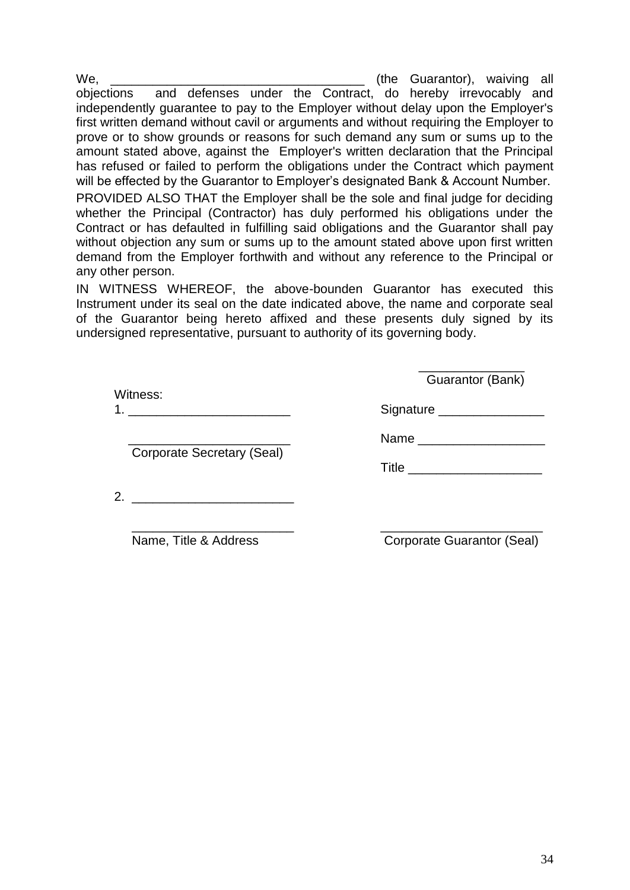We, waiving all the Guarantor), waiving all objections and defenses under the Contract, do hereby irrevocably and independently guarantee to pay to the Employer without delay upon the Employer's first written demand without cavil or arguments and without requiring the Employer to prove or to show grounds or reasons for such demand any sum or sums up to the amount stated above, against the Employer's written declaration that the Principal has refused or failed to perform the obligations under the Contract which payment will be effected by the Guarantor to Employer's designated Bank & Account Number. PROVIDED ALSO THAT the Employer shall be the sole and final judge for deciding whether the Principal (Contractor) has duly performed his obligations under the Contract or has defaulted in fulfilling said obligations and the Guarantor shall pay without objection any sum or sums up to the amount stated above upon first written demand from the Employer forthwith and without any reference to the Principal or

IN WITNESS WHEREOF, the above-bounden Guarantor has executed this Instrument under its seal on the date indicated above, the name and corporate seal of the Guarantor being hereto affixed and these presents duly signed by its undersigned representative, pursuant to authority of its governing body.

|          | Guarantor (Bank) |
|----------|------------------|
| Witness: |                  |
| 4        | Signature        |

Corporate Secretary (Seal)

any other person.

\_\_\_\_\_\_\_\_\_\_\_\_\_\_\_\_\_\_\_\_\_\_\_ Name \_\_\_\_\_\_\_\_\_\_\_\_\_\_\_\_\_\_

Title \_\_\_\_\_\_\_\_\_\_\_\_\_\_\_\_\_\_\_

2. \_\_\_\_\_\_\_\_\_\_\_\_\_\_\_\_\_\_\_\_\_\_\_

\_\_\_\_\_\_\_\_\_\_\_\_\_\_\_\_\_\_\_\_\_\_\_ \_\_\_\_\_\_\_\_\_\_\_\_\_\_\_\_\_\_\_\_\_\_\_

Name, Title & Address Corporate Guarantor (Seal)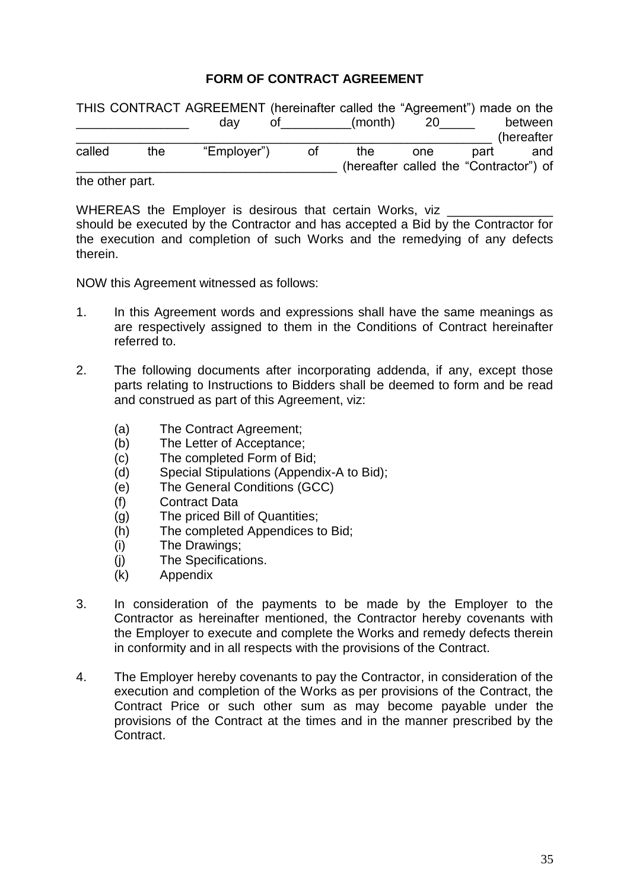# **FORM OF CONTRACT AGREEMENT**

|        |                          | THIS CONTRACT AGREEMENT (hereinafter called the "Agreement") made on the |                                 |         |                                        |      |            |
|--------|--------------------------|--------------------------------------------------------------------------|---------------------------------|---------|----------------------------------------|------|------------|
|        |                          | day                                                                      | $\mathsf{ot}$ and $\mathsf{ot}$ | (month) | 20                                     |      | between    |
|        |                          |                                                                          |                                 |         |                                        |      | (hereafter |
| called | the                      | "Employer")                                                              | οf                              | the     | one                                    | part | and        |
|        |                          |                                                                          |                                 |         | (hereafter called the "Contractor") of |      |            |
|        | المحصور والمتحاط والملاء |                                                                          |                                 |         |                                        |      |            |

the other part.

WHEREAS the Employer is desirous that certain Works, viz should be executed by the Contractor and has accepted a Bid by the Contractor for the execution and completion of such Works and the remedying of any defects therein.

NOW this Agreement witnessed as follows:

- 1. In this Agreement words and expressions shall have the same meanings as are respectively assigned to them in the Conditions of Contract hereinafter referred to.
- 2. The following documents after incorporating addenda, if any, except those parts relating to Instructions to Bidders shall be deemed to form and be read and construed as part of this Agreement, viz:
	- (a) The Contract Agreement;
	- (b) The Letter of Acceptance;
	- (c) The completed Form of Bid;
	- (d) Special Stipulations (Appendix-A to Bid);
	- (e) The General Conditions (GCC)
	- (f) Contract Data
	- (g) The priced Bill of Quantities;
	- (h) The completed Appendices to Bid;
	- (i) The Drawings;
	- (j) The Specifications.
	- (k) Appendix
- 3. In consideration of the payments to be made by the Employer to the Contractor as hereinafter mentioned, the Contractor hereby covenants with the Employer to execute and complete the Works and remedy defects therein in conformity and in all respects with the provisions of the Contract.
- 4. The Employer hereby covenants to pay the Contractor, in consideration of the execution and completion of the Works as per provisions of the Contract, the Contract Price or such other sum as may become payable under the provisions of the Contract at the times and in the manner prescribed by the Contract.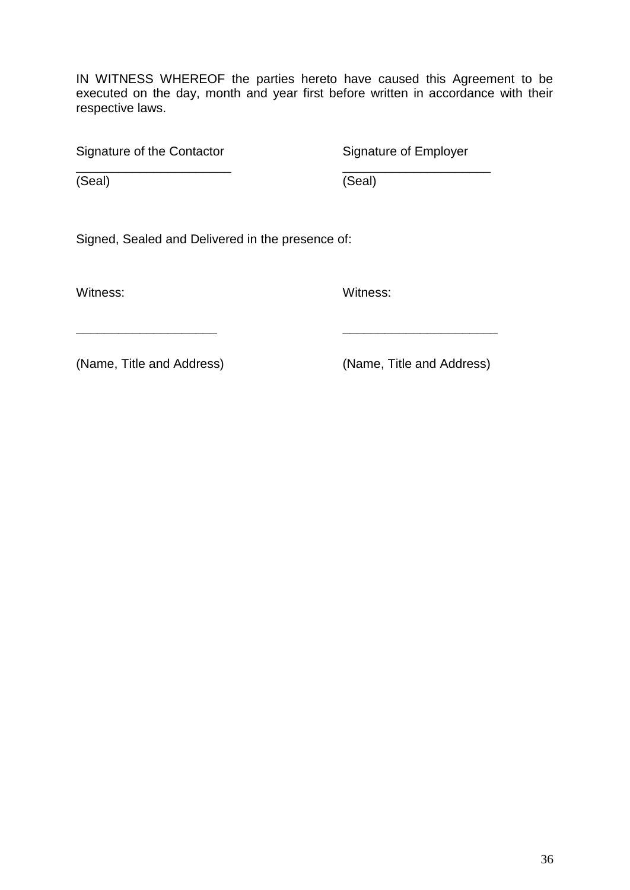IN WITNESS WHEREOF the parties hereto have caused this Agreement to be executed on the day, month and year first before written in accordance with their respective laws.

\_\_\_\_\_\_\_\_\_\_\_\_\_\_\_\_\_\_\_\_\_\_ \_\_\_\_\_\_\_\_\_\_\_\_\_\_\_\_\_\_\_\_\_

**\_\_\_\_\_\_\_\_\_\_\_\_\_\_\_\_\_\_\_\_ \_\_\_\_\_\_\_\_\_\_\_\_\_\_\_\_\_\_\_\_\_\_**

Signature of the Contactor Signature of Employer

(Seal) (Seal)

Signed, Sealed and Delivered in the presence of:

Witness: Witness: Witness:

(Name, Title and Address) (Name, Title and Address)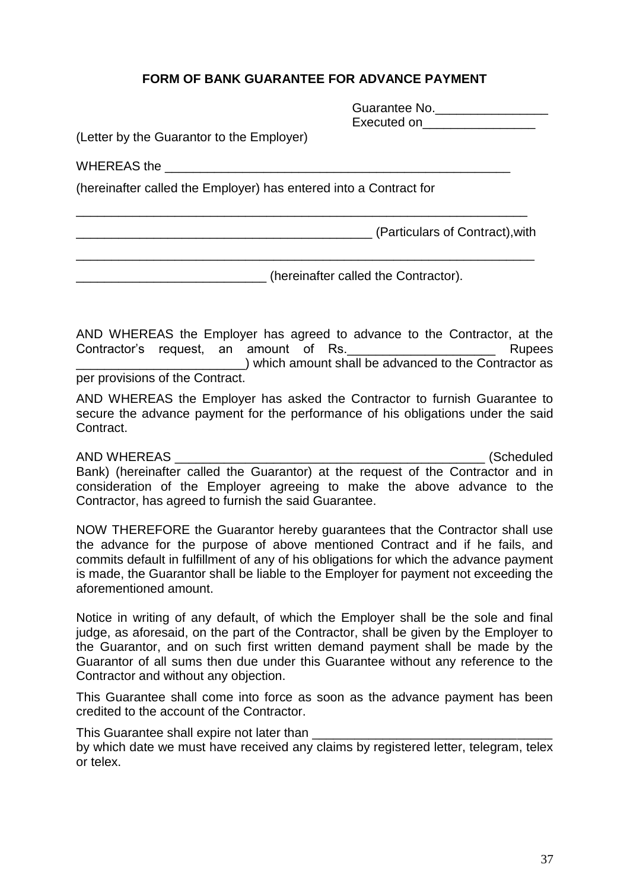# **FORM OF BANK GUARANTEE FOR ADVANCE PAYMENT**

\_\_\_\_\_\_\_\_\_\_\_\_\_\_\_\_\_\_\_\_\_\_\_\_\_\_\_\_\_\_\_\_\_\_\_\_\_\_\_\_\_\_\_\_\_\_\_\_\_\_\_\_\_\_\_\_\_\_\_\_\_\_\_\_

\_\_\_\_\_\_\_\_\_\_\_\_\_\_\_\_\_\_\_\_\_\_\_\_\_\_\_\_\_\_\_\_\_\_\_\_\_\_\_\_\_\_\_\_\_\_\_\_\_\_\_\_\_\_\_\_\_\_\_\_\_\_\_\_\_

| Guarantee No. |  |
|---------------|--|
| Executed on   |  |

(Letter by the Guarantor to the Employer)

WHEREAS the

(hereinafter called the Employer) has entered into a Contract for

\_\_\_\_\_\_\_\_\_\_\_\_\_\_\_\_\_\_\_\_\_\_\_\_\_\_\_\_\_\_\_\_\_\_\_\_\_\_\_\_\_\_ (Particulars of Contract),with

\_\_\_\_\_\_\_\_\_\_\_\_\_\_\_\_\_\_\_\_\_\_\_\_\_\_\_ (hereinafter called the Contractor).

AND WHEREAS the Employer has agreed to advance to the Contractor, at the Contractor's request, an amount of Rs. The contractor's Rupees \_\_\_\_\_\_\_\_\_\_\_\_\_\_\_\_\_\_\_\_\_\_\_\_) which amount shall be advanced to the Contractor as per provisions of the Contract.

AND WHEREAS the Employer has asked the Contractor to furnish Guarantee to secure the advance payment for the performance of his obligations under the said Contract.

AND WHEREAS \_\_\_\_\_\_\_\_\_\_\_\_\_\_\_\_\_\_\_\_\_\_\_\_\_\_\_\_\_\_\_\_\_\_\_\_\_\_\_\_\_\_\_\_ (Scheduled Bank) (hereinafter called the Guarantor) at the request of the Contractor and in consideration of the Employer agreeing to make the above advance to the Contractor, has agreed to furnish the said Guarantee.

NOW THEREFORE the Guarantor hereby guarantees that the Contractor shall use the advance for the purpose of above mentioned Contract and if he fails, and commits default in fulfillment of any of his obligations for which the advance payment is made, the Guarantor shall be liable to the Employer for payment not exceeding the aforementioned amount.

Notice in writing of any default, of which the Employer shall be the sole and final judge, as aforesaid, on the part of the Contractor, shall be given by the Employer to the Guarantor, and on such first written demand payment shall be made by the Guarantor of all sums then due under this Guarantee without any reference to the Contractor and without any objection.

This Guarantee shall come into force as soon as the advance payment has been credited to the account of the Contractor.

This Guarantee shall expire not later than by which date we must have received any claims by registered letter, telegram, telex or telex.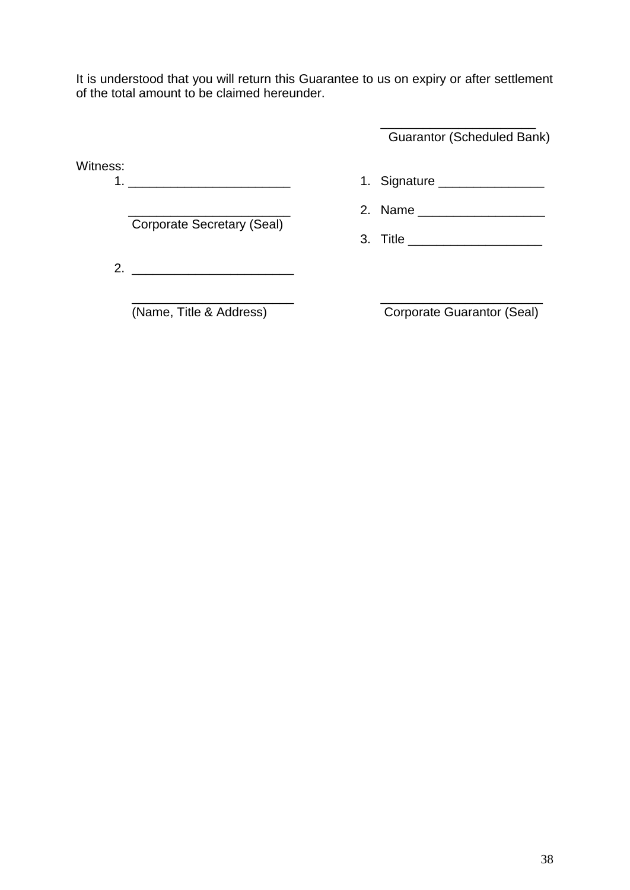It is understood that you will return this Guarantee to us on expiry or after settlement of the total amount to be claimed hereunder.

> \_\_\_\_\_\_\_\_\_\_\_\_\_\_\_\_\_\_\_\_\_\_ Guarantor (Scheduled Bank)

Witness:

1. Signature \_\_\_\_\_\_\_\_\_\_\_\_\_\_\_\_\_\_\_\_\_\_ 2. Name

3. Title \_\_\_\_\_\_\_\_\_\_\_\_\_\_\_\_\_\_\_

Corporate Secretary (Seal)

2. \_\_\_\_\_\_\_\_\_\_\_\_\_\_\_\_\_\_\_\_\_\_\_

(Name, Title & Address)

Corporate Guarantor (Seal)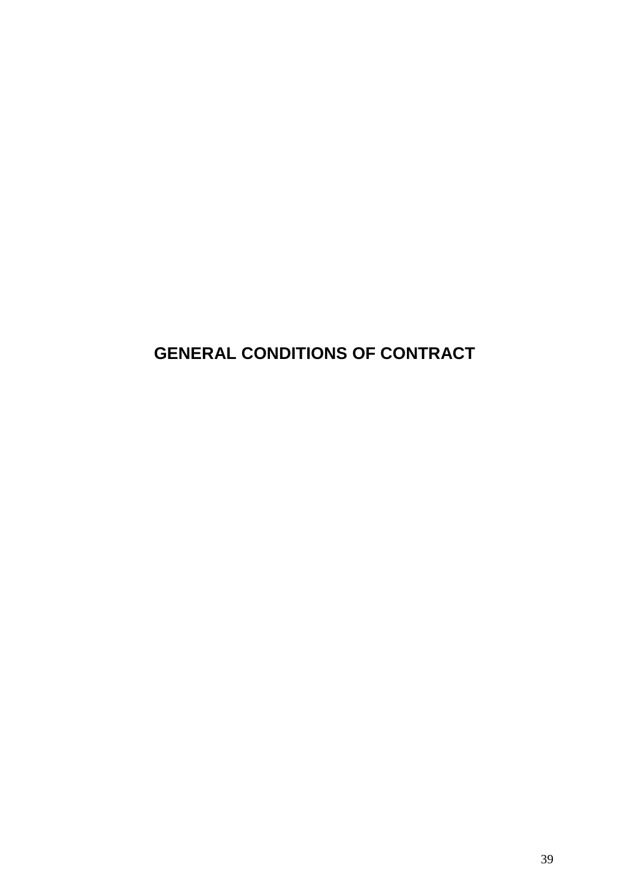# **GENERAL CONDITIONS OF CONTRACT**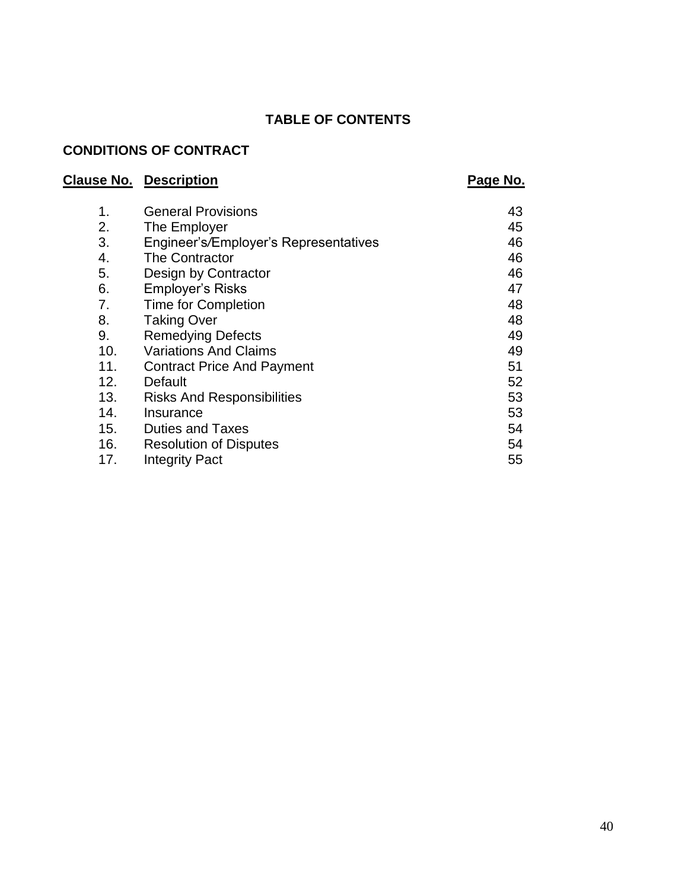# **TABLE OF CONTENTS**

# **CONDITIONS OF CONTRACT**

# **Clause No. Description Page No. Page No.**

| $\mathbf 1$ . | <b>General Provisions</b>             | 43 |
|---------------|---------------------------------------|----|
| 2.            | The Employer                          | 45 |
| 3.            | Engineer's/Employer's Representatives | 46 |
| 4.            | The Contractor                        | 46 |
| 5.            | Design by Contractor                  | 46 |
| 6.            | Employer's Risks                      | 47 |
| 7.            | <b>Time for Completion</b>            | 48 |
| 8.            | <b>Taking Over</b>                    | 48 |
| 9.            | <b>Remedying Defects</b>              | 49 |
| 10.           | <b>Variations And Claims</b>          | 49 |
| 11.           | <b>Contract Price And Payment</b>     | 51 |
| 12.           | Default                               | 52 |
| 13.           | <b>Risks And Responsibilities</b>     | 53 |
| 14.           | Insurance                             | 53 |
| 15.           | <b>Duties and Taxes</b>               | 54 |
| 16.           | <b>Resolution of Disputes</b>         | 54 |
| 17.           | <b>Integrity Pact</b>                 | 55 |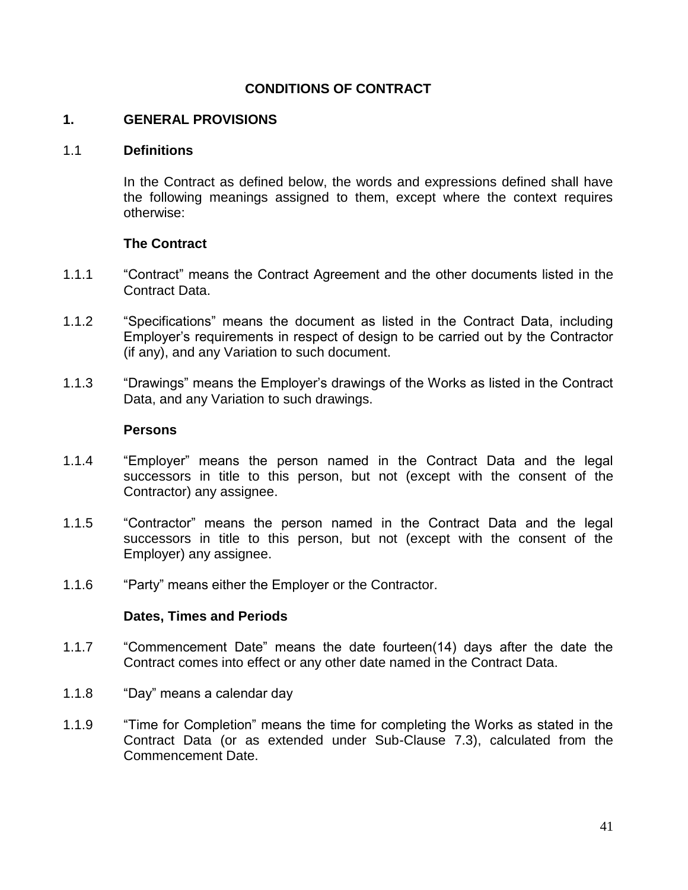# **CONDITIONS OF CONTRACT**

#### **1. GENERAL PROVISIONS**

#### 1.1 **Definitions**

In the Contract as defined below, the words and expressions defined shall have the following meanings assigned to them, except where the context requires otherwise:

#### **The Contract**

- 1.1.1 "Contract" means the Contract Agreement and the other documents listed in the Contract Data.
- 1.1.2 "Specifications" means the document as listed in the Contract Data, including Employer"s requirements in respect of design to be carried out by the Contractor (if any), and any Variation to such document.
- 1.1.3 "Drawings" means the Employer"s drawings of the Works as listed in the Contract Data, and any Variation to such drawings.

#### **Persons**

- 1.1.4 "Employer" means the person named in the Contract Data and the legal successors in title to this person, but not (except with the consent of the Contractor) any assignee.
- 1.1.5 "Contractor" means the person named in the Contract Data and the legal successors in title to this person, but not (except with the consent of the Employer) any assignee.
- 1.1.6 "Party" means either the Employer or the Contractor.

#### **Dates, Times and Periods**

- 1.1.7 "Commencement Date" means the date fourteen(14) days after the date the Contract comes into effect or any other date named in the Contract Data.
- 1.1.8 "Day" means a calendar day
- 1.1.9 "Time for Completion" means the time for completing the Works as stated in the Contract Data (or as extended under Sub-Clause 7.3), calculated from the Commencement Date.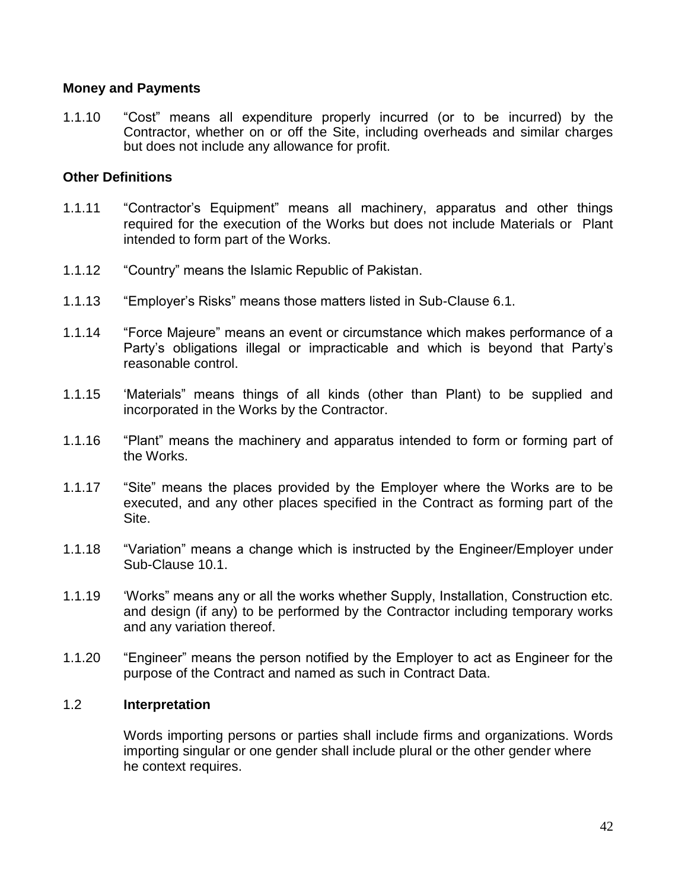#### **Money and Payments**

1.1.10 "Cost" means all expenditure properly incurred (or to be incurred) by the Contractor, whether on or off the Site, including overheads and similar charges but does not include any allowance for profit.

#### **Other Definitions**

- 1.1.11 "Contractor"s Equipment" means all machinery, apparatus and other things required for the execution of the Works but does not include Materials or Plant intended to form part of the Works.
- 1.1.12 "Country" means the Islamic Republic of Pakistan.
- 1.1.13 "Employer"s Risks" means those matters listed in Sub-Clause 6.1.
- 1.1.14 "Force Majeure" means an event or circumstance which makes performance of a Party"s obligations illegal or impracticable and which is beyond that Party"s reasonable control.
- 1.1.15 "Materials" means things of all kinds (other than Plant) to be supplied and incorporated in the Works by the Contractor.
- 1.1.16 "Plant" means the machinery and apparatus intended to form or forming part of the Works.
- 1.1.17 "Site" means the places provided by the Employer where the Works are to be executed, and any other places specified in the Contract as forming part of the Site.
- 1.1.18 "Variation" means a change which is instructed by the Engineer/Employer under Sub-Clause 10.1.
- 1.1.19 "Works" means any or all the works whether Supply, Installation, Construction etc. and design (if any) to be performed by the Contractor including temporary works and any variation thereof.
- 1.1.20 "Engineer" means the person notified by the Employer to act as Engineer for the purpose of the Contract and named as such in Contract Data.

#### 1.2 **Interpretation**

Words importing persons or parties shall include firms and organizations. Words importing singular or one gender shall include plural or the other gender where he context requires.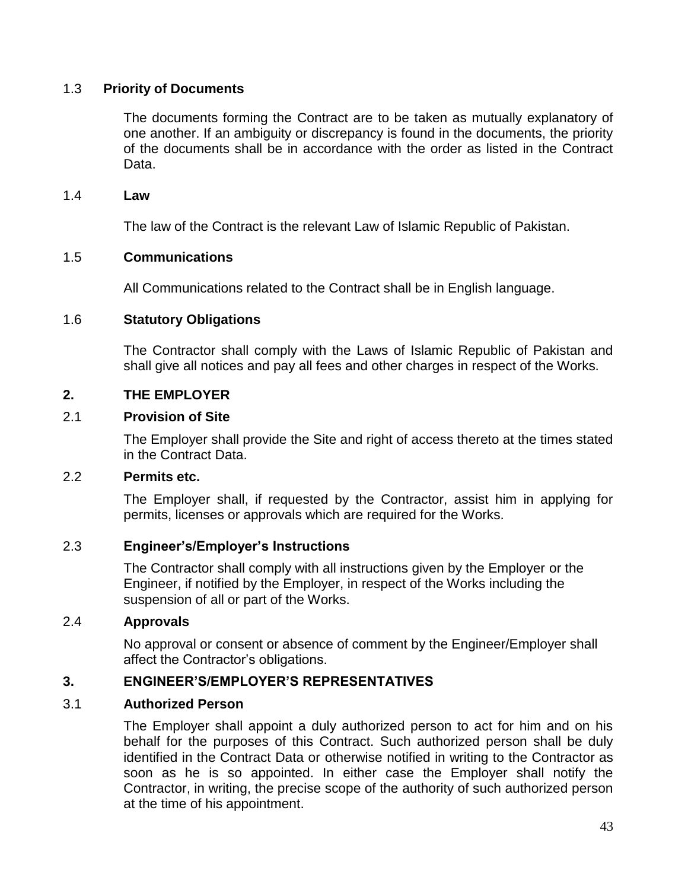#### 1.3 **Priority of Documents**

The documents forming the Contract are to be taken as mutually explanatory of one another. If an ambiguity or discrepancy is found in the documents, the priority of the documents shall be in accordance with the order as listed in the Contract Data.

#### 1.4 **Law**

The law of the Contract is the relevant Law of Islamic Republic of Pakistan.

#### 1.5 **Communications**

All Communications related to the Contract shall be in English language.

#### 1.6 **Statutory Obligations**

The Contractor shall comply with the Laws of Islamic Republic of Pakistan and shall give all notices and pay all fees and other charges in respect of the Works.

#### **2. THE EMPLOYER**

#### 2.1 **Provision of Site**

The Employer shall provide the Site and right of access thereto at the times stated in the Contract Data.

#### 2.2 **Permits etc.**

The Employer shall, if requested by the Contractor, assist him in applying for permits, licenses or approvals which are required for the Works.

#### 2.3 **Engineer's/Employer's Instructions**

The Contractor shall comply with all instructions given by the Employer or the Engineer, if notified by the Employer, in respect of the Works including the suspension of all or part of the Works.

#### 2.4 **Approvals**

No approval or consent or absence of comment by the Engineer/Employer shall affect the Contractor"s obligations.

#### **3. ENGINEER'S/EMPLOYER'S REPRESENTATIVES**

#### 3.1 **Authorized Person**

The Employer shall appoint a duly authorized person to act for him and on his behalf for the purposes of this Contract. Such authorized person shall be duly identified in the Contract Data or otherwise notified in writing to the Contractor as soon as he is so appointed. In either case the Employer shall notify the Contractor, in writing, the precise scope of the authority of such authorized person at the time of his appointment.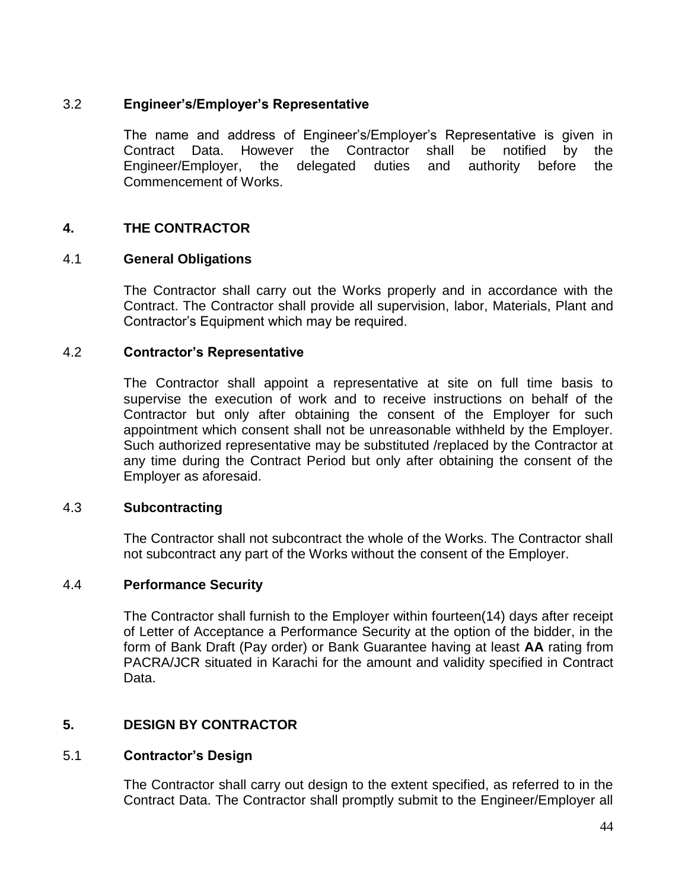# 3.2 **Engineer's/Employer's Representative**

The name and address of Engineer"s/Employer"s Representative is given in Contract Data. However the Contractor shall be notified by the Engineer/Employer, the delegated duties and authority before the Commencement of Works.

# **4. THE CONTRACTOR**

#### 4.1 **General Obligations**

The Contractor shall carry out the Works properly and in accordance with the Contract. The Contractor shall provide all supervision, labor, Materials, Plant and Contractor"s Equipment which may be required.

#### 4.2 **Contractor's Representative**

The Contractor shall appoint a representative at site on full time basis to supervise the execution of work and to receive instructions on behalf of the Contractor but only after obtaining the consent of the Employer for such appointment which consent shall not be unreasonable withheld by the Employer. Such authorized representative may be substituted /replaced by the Contractor at any time during the Contract Period but only after obtaining the consent of the Employer as aforesaid.

#### 4.3 **Subcontracting**

The Contractor shall not subcontract the whole of the Works. The Contractor shall not subcontract any part of the Works without the consent of the Employer.

#### 4.4 **Performance Security**

The Contractor shall furnish to the Employer within fourteen(14) days after receipt of Letter of Acceptance a Performance Security at the option of the bidder, in the form of Bank Draft (Pay order) or Bank Guarantee having at least **AA** rating from PACRA/JCR situated in Karachi for the amount and validity specified in Contract Data.

#### **5. DESIGN BY CONTRACTOR**

#### 5.1 **Contractor's Design**

The Contractor shall carry out design to the extent specified, as referred to in the Contract Data. The Contractor shall promptly submit to the Engineer/Employer all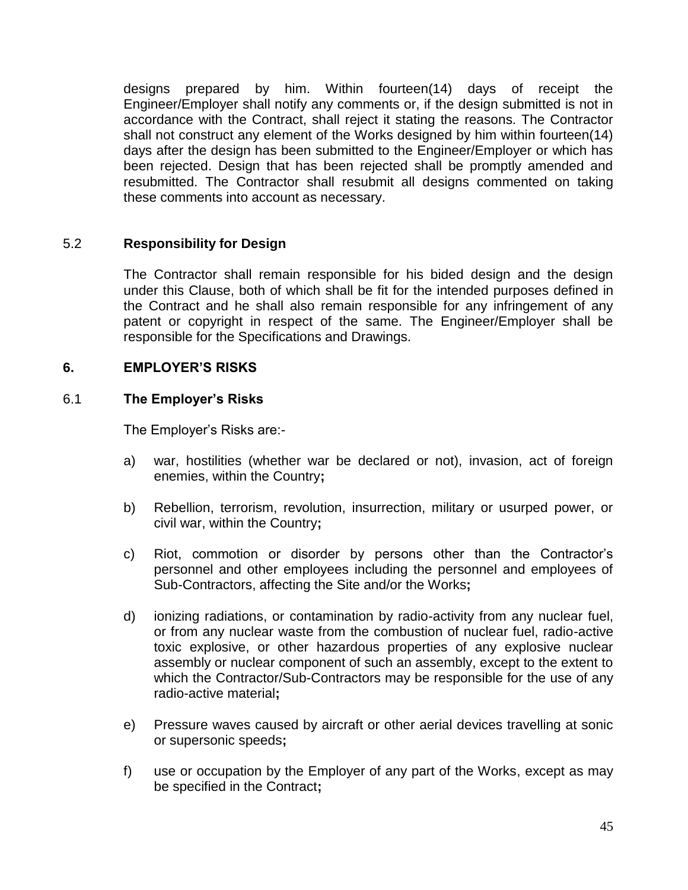designs prepared by him. Within fourteen(14) days of receipt the Engineer/Employer shall notify any comments or, if the design submitted is not in accordance with the Contract, shall reject it stating the reasons. The Contractor shall not construct any element of the Works designed by him within fourteen(14) days after the design has been submitted to the Engineer/Employer or which has been rejected. Design that has been rejected shall be promptly amended and resubmitted. The Contractor shall resubmit all designs commented on taking these comments into account as necessary.

# 5.2 **Responsibility for Design**

The Contractor shall remain responsible for his bided design and the design under this Clause, both of which shall be fit for the intended purposes defined in the Contract and he shall also remain responsible for any infringement of any patent or copyright in respect of the same. The Engineer/Employer shall be responsible for the Specifications and Drawings.

# **6. EMPLOYER'S RISKS**

#### 6.1 **The Employer's Risks**

The Employer"s Risks are:-

- a) war, hostilities (whether war be declared or not), invasion, act of foreign enemies, within the Country**;**
- b) Rebellion, terrorism, revolution, insurrection, military or usurped power, or civil war, within the Country**;**
- c) Riot, commotion or disorder by persons other than the Contractor's personnel and other employees including the personnel and employees of Sub-Contractors, affecting the Site and/or the Works**;**
- d) ionizing radiations, or contamination by radio-activity from any nuclear fuel, or from any nuclear waste from the combustion of nuclear fuel, radio-active toxic explosive, or other hazardous properties of any explosive nuclear assembly or nuclear component of such an assembly, except to the extent to which the Contractor/Sub-Contractors may be responsible for the use of any radio-active material**;**
- e) Pressure waves caused by aircraft or other aerial devices travelling at sonic or supersonic speeds**;**
- f) use or occupation by the Employer of any part of the Works, except as may be specified in the Contract**;**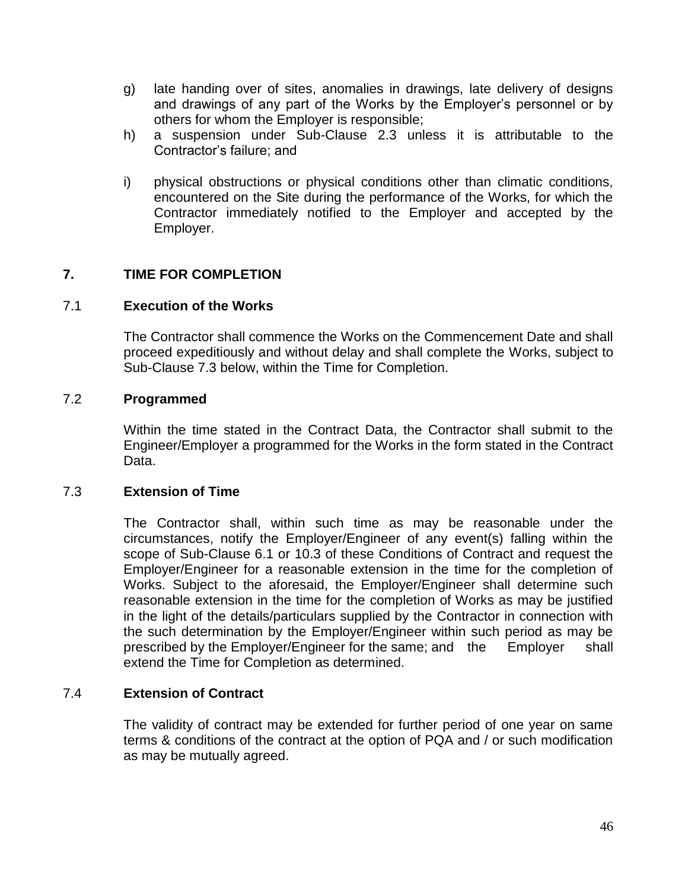- g) late handing over of sites, anomalies in drawings, late delivery of designs and drawings of any part of the Works by the Employer"s personnel or by others for whom the Employer is responsible;
- h) a suspension under Sub-Clause 2.3 unless it is attributable to the Contractor"s failure; and
- i) physical obstructions or physical conditions other than climatic conditions, encountered on the Site during the performance of the Works, for which the Contractor immediately notified to the Employer and accepted by the Employer.

# **7. TIME FOR COMPLETION**

#### 7.1 **Execution of the Works**

The Contractor shall commence the Works on the Commencement Date and shall proceed expeditiously and without delay and shall complete the Works, subject to Sub-Clause 7.3 below, within the Time for Completion.

#### 7.2 **Programmed**

Within the time stated in the Contract Data, the Contractor shall submit to the Engineer/Employer a programmed for the Works in the form stated in the Contract Data.

#### 7.3 **Extension of Time**

The Contractor shall, within such time as may be reasonable under the circumstances, notify the Employer/Engineer of any event(s) falling within the scope of Sub-Clause 6.1 or 10.3 of these Conditions of Contract and request the Employer/Engineer for a reasonable extension in the time for the completion of Works. Subject to the aforesaid, the Employer/Engineer shall determine such reasonable extension in the time for the completion of Works as may be justified in the light of the details/particulars supplied by the Contractor in connection with the such determination by the Employer/Engineer within such period as may be prescribed by the Employer/Engineer for the same; and the Employer shall extend the Time for Completion as determined.

#### 7.4 **Extension of Contract**

The validity of contract may be extended for further period of one year on same terms & conditions of the contract at the option of PQA and / or such modification as may be mutually agreed.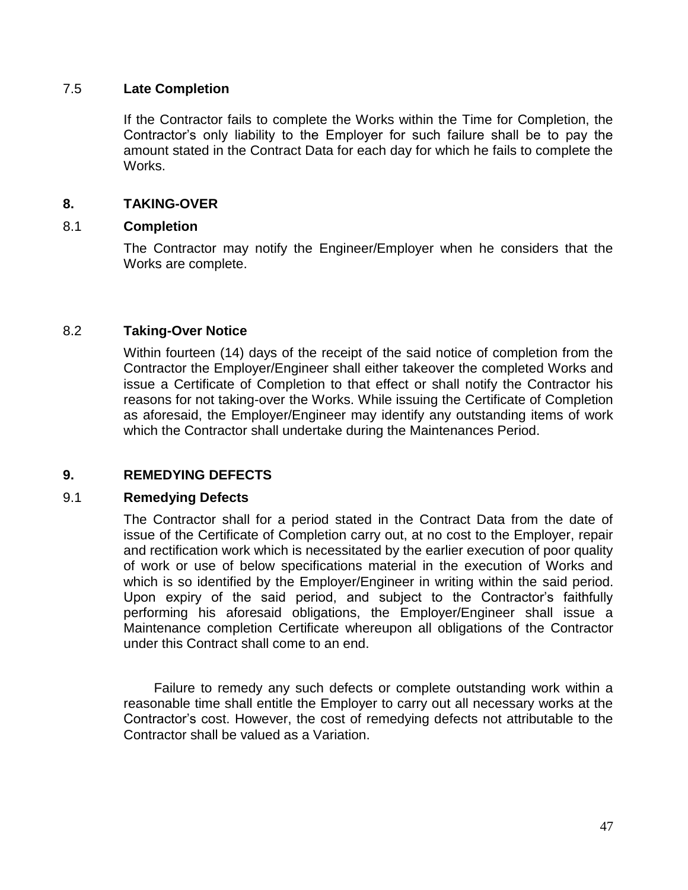#### 7.5 **Late Completion**

If the Contractor fails to complete the Works within the Time for Completion, the Contractor"s only liability to the Employer for such failure shall be to pay the amount stated in the Contract Data for each day for which he fails to complete the Works.

# **8. TAKING-OVER**

# 8.1 **Completion**

The Contractor may notify the Engineer/Employer when he considers that the Works are complete.

# 8.2 **Taking-Over Notice**

Within fourteen (14) days of the receipt of the said notice of completion from the Contractor the Employer/Engineer shall either takeover the completed Works and issue a Certificate of Completion to that effect or shall notify the Contractor his reasons for not taking-over the Works. While issuing the Certificate of Completion as aforesaid, the Employer/Engineer may identify any outstanding items of work which the Contractor shall undertake during the Maintenances Period.

# **9. REMEDYING DEFECTS**

#### 9.1 **Remedying Defects**

The Contractor shall for a period stated in the Contract Data from the date of issue of the Certificate of Completion carry out, at no cost to the Employer, repair and rectification work which is necessitated by the earlier execution of poor quality of work or use of below specifications material in the execution of Works and which is so identified by the Employer/Engineer in writing within the said period. Upon expiry of the said period, and subject to the Contractor"s faithfully performing his aforesaid obligations, the Employer/Engineer shall issue a Maintenance completion Certificate whereupon all obligations of the Contractor under this Contract shall come to an end.

Failure to remedy any such defects or complete outstanding work within a reasonable time shall entitle the Employer to carry out all necessary works at the Contractor"s cost. However, the cost of remedying defects not attributable to the Contractor shall be valued as a Variation.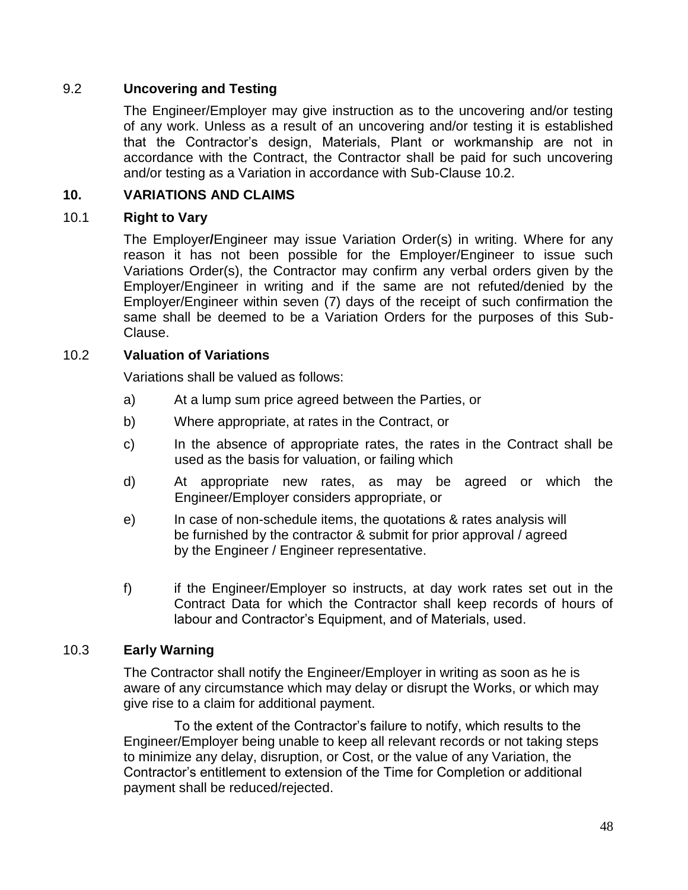# 9.2 **Uncovering and Testing**

The Engineer/Employer may give instruction as to the uncovering and/or testing of any work. Unless as a result of an uncovering and/or testing it is established that the Contractor"s design, Materials, Plant or workmanship are not in accordance with the Contract, the Contractor shall be paid for such uncovering and/or testing as a Variation in accordance with Sub-Clause 10.2.

# **10. VARIATIONS AND CLAIMS**

# 10.1 **Right to Vary**

The Employer**/**Engineer may issue Variation Order(s) in writing. Where for any reason it has not been possible for the Employer/Engineer to issue such Variations Order(s), the Contractor may confirm any verbal orders given by the Employer/Engineer in writing and if the same are not refuted/denied by the Employer/Engineer within seven (7) days of the receipt of such confirmation the same shall be deemed to be a Variation Orders for the purposes of this Sub-Clause.

# 10.2 **Valuation of Variations**

Variations shall be valued as follows:

- a) At a lump sum price agreed between the Parties, or
- b) Where appropriate, at rates in the Contract, or
- c) In the absence of appropriate rates, the rates in the Contract shall be used as the basis for valuation, or failing which
- d) At appropriate new rates, as may be agreed or which the Engineer/Employer considers appropriate, or
- e) In case of non-schedule items, the quotations & rates analysis will be furnished by the contractor & submit for prior approval / agreed by the Engineer / Engineer representative.
- f) if the Engineer/Employer so instructs, at day work rates set out in the Contract Data for which the Contractor shall keep records of hours of labour and Contractor"s Equipment, and of Materials, used.

#### 10.3 **Early Warning**

The Contractor shall notify the Engineer/Employer in writing as soon as he is aware of any circumstance which may delay or disrupt the Works, or which may give rise to a claim for additional payment.

To the extent of the Contractor"s failure to notify, which results to the Engineer/Employer being unable to keep all relevant records or not taking steps to minimize any delay, disruption, or Cost, or the value of any Variation, the Contractor"s entitlement to extension of the Time for Completion or additional payment shall be reduced/rejected.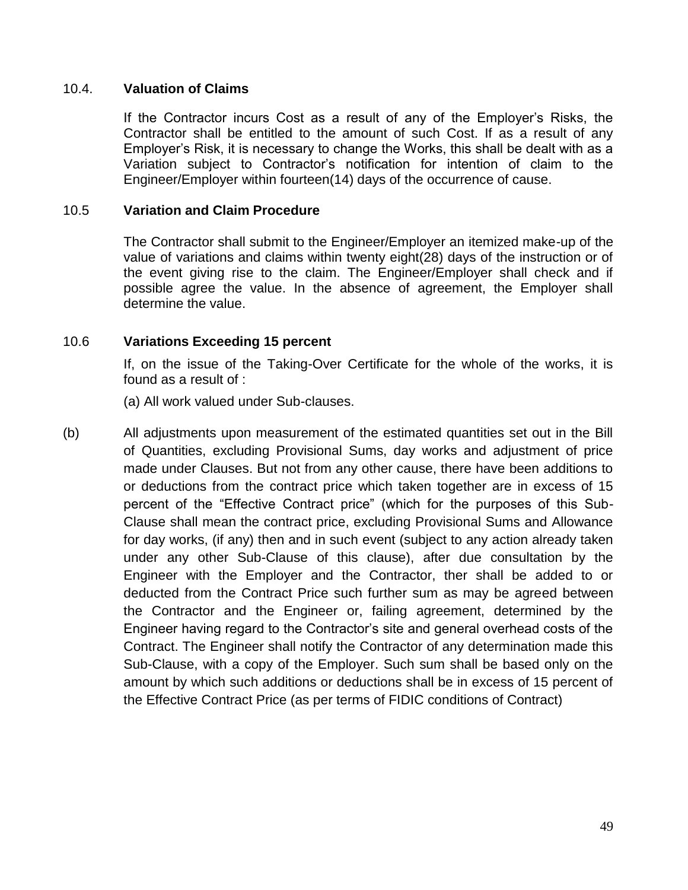#### 10.4. **Valuation of Claims**

If the Contractor incurs Cost as a result of any of the Employer"s Risks, the Contractor shall be entitled to the amount of such Cost. If as a result of any Employer"s Risk, it is necessary to change the Works, this shall be dealt with as a Variation subject to Contractor"s notification for intention of claim to the Engineer/Employer within fourteen(14) days of the occurrence of cause.

#### 10.5 **Variation and Claim Procedure**

The Contractor shall submit to the Engineer/Employer an itemized make-up of the value of variations and claims within twenty eight(28) days of the instruction or of the event giving rise to the claim. The Engineer/Employer shall check and if possible agree the value. In the absence of agreement, the Employer shall determine the value.

# 10.6 **Variations Exceeding 15 percent**

If, on the issue of the Taking-Over Certificate for the whole of the works, it is found as a result of :

(a) All work valued under Sub-clauses.

(b) All adjustments upon measurement of the estimated quantities set out in the Bill of Quantities, excluding Provisional Sums, day works and adjustment of price made under Clauses. But not from any other cause, there have been additions to or deductions from the contract price which taken together are in excess of 15 percent of the "Effective Contract price" (which for the purposes of this Sub-Clause shall mean the contract price, excluding Provisional Sums and Allowance for day works, (if any) then and in such event (subject to any action already taken under any other Sub-Clause of this clause), after due consultation by the Engineer with the Employer and the Contractor, ther shall be added to or deducted from the Contract Price such further sum as may be agreed between the Contractor and the Engineer or, failing agreement, determined by the Engineer having regard to the Contractor"s site and general overhead costs of the Contract. The Engineer shall notify the Contractor of any determination made this Sub-Clause, with a copy of the Employer. Such sum shall be based only on the amount by which such additions or deductions shall be in excess of 15 percent of the Effective Contract Price (as per terms of FIDIC conditions of Contract)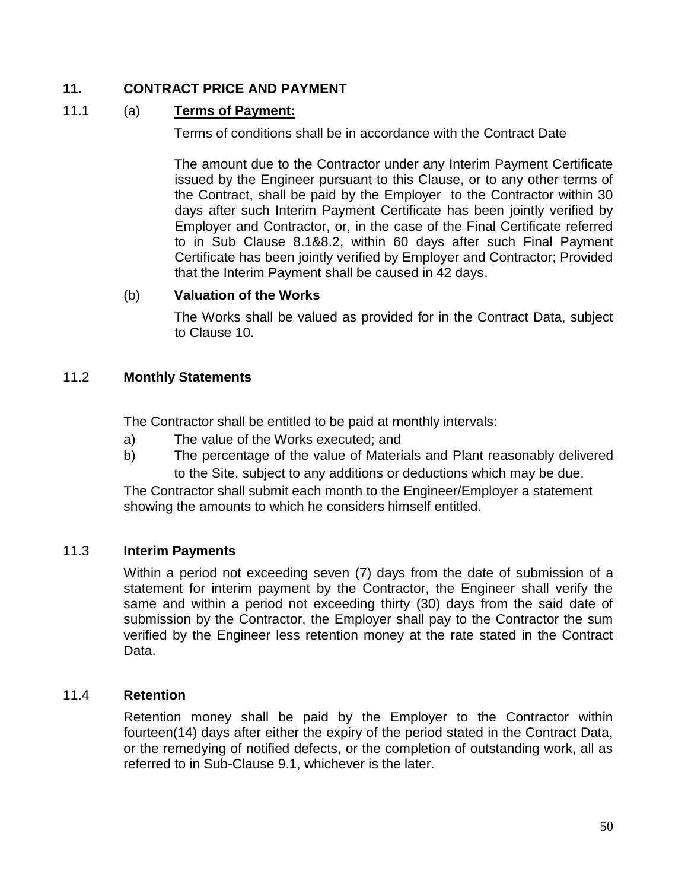# **11. CONTRACT PRICE AND PAYMENT**

# 11.1 (a) **Terms of Payment:**

Terms of conditions shall be in accordance with the Contract Date

The amount due to the Contractor under any Interim Payment Certificate issued by the Engineer pursuant to this Clause, or to any other terms of the Contract, shall be paid by the Employer to the Contractor within 30 days after such Interim Payment Certificate has been jointly verified by Employer and Contractor, or, in the case of the Final Certificate referred to in Sub Clause 8.1&8.2, within 60 days after such Final Payment Certificate has been jointly verified by Employer and Contractor; Provided that the Interim Payment shall be caused in 42 days.

# (b) **Valuation of the Works**

The Works shall be valued as provided for in the Contract Data, subject to Clause 10.

# 11.2 **Monthly Statements**

The Contractor shall be entitled to be paid at monthly intervals:

- a) The value of the Works executed; and
- b) The percentage of the value of Materials and Plant reasonably delivered to the Site, subject to any additions or deductions which may be due.

The Contractor shall submit each month to the Engineer/Employer a statement showing the amounts to which he considers himself entitled.

# 11.3 **Interim Payments**

Within a period not exceeding seven (7) days from the date of submission of a statement for interim payment by the Contractor, the Engineer shall verify the same and within a period not exceeding thirty (30) days from the said date of submission by the Contractor, the Employer shall pay to the Contractor the sum verified by the Engineer less retention money at the rate stated in the Contract Data.

#### 11.4 **Retention**

Retention money shall be paid by the Employer to the Contractor within fourteen(14) days after either the expiry of the period stated in the Contract Data, or the remedying of notified defects, or the completion of outstanding work, all as referred to in Sub-Clause 9.1, whichever is the later.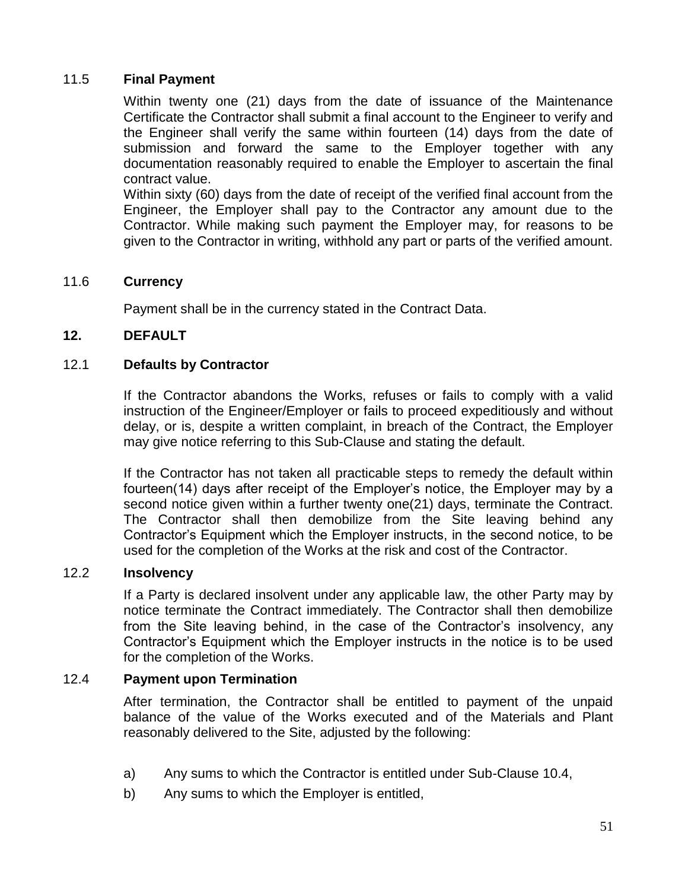# 11.5 **Final Payment**

Within twenty one (21) days from the date of issuance of the Maintenance Certificate the Contractor shall submit a final account to the Engineer to verify and the Engineer shall verify the same within fourteen (14) days from the date of submission and forward the same to the Employer together with any documentation reasonably required to enable the Employer to ascertain the final contract value.

Within sixty (60) days from the date of receipt of the verified final account from the Engineer, the Employer shall pay to the Contractor any amount due to the Contractor. While making such payment the Employer may, for reasons to be given to the Contractor in writing, withhold any part or parts of the verified amount.

# 11.6 **Currency**

Payment shall be in the currency stated in the Contract Data.

#### **12. DEFAULT**

#### 12.1 **Defaults by Contractor**

If the Contractor abandons the Works, refuses or fails to comply with a valid instruction of the Engineer/Employer or fails to proceed expeditiously and without delay, or is, despite a written complaint, in breach of the Contract, the Employer may give notice referring to this Sub-Clause and stating the default.

If the Contractor has not taken all practicable steps to remedy the default within fourteen(14) days after receipt of the Employer"s notice, the Employer may by a second notice given within a further twenty one(21) days, terminate the Contract. The Contractor shall then demobilize from the Site leaving behind any Contractor"s Equipment which the Employer instructs, in the second notice, to be used for the completion of the Works at the risk and cost of the Contractor.

#### 12.2 **Insolvency**

If a Party is declared insolvent under any applicable law, the other Party may by notice terminate the Contract immediately. The Contractor shall then demobilize from the Site leaving behind, in the case of the Contractor"s insolvency, any Contractor"s Equipment which the Employer instructs in the notice is to be used for the completion of the Works.

#### 12.4 **Payment upon Termination**

After termination, the Contractor shall be entitled to payment of the unpaid balance of the value of the Works executed and of the Materials and Plant reasonably delivered to the Site, adjusted by the following:

- a) Any sums to which the Contractor is entitled under Sub-Clause 10.4,
- b) Any sums to which the Employer is entitled,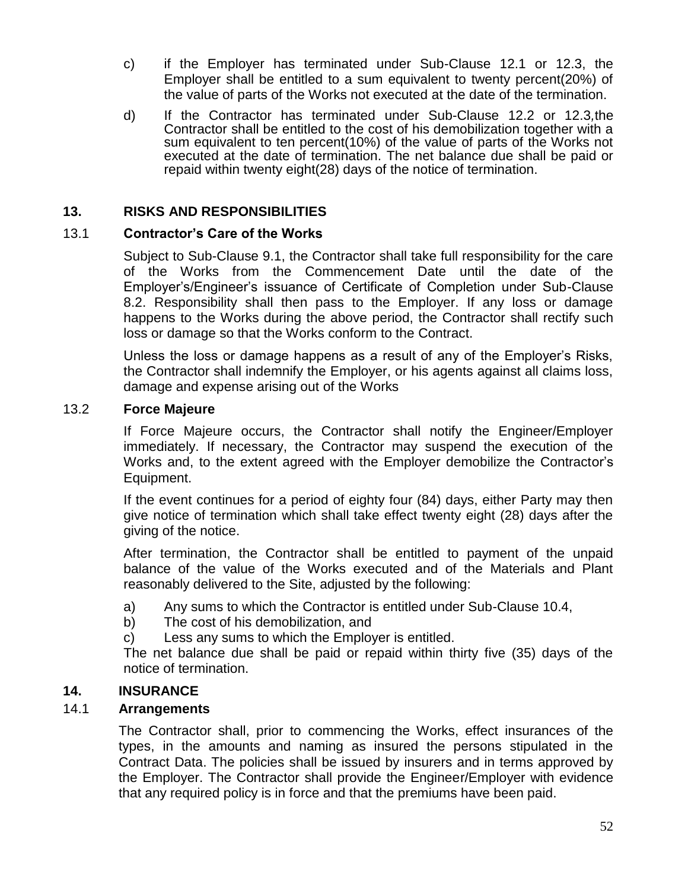- c) if the Employer has terminated under Sub-Clause 12.1 or 12.3, the Employer shall be entitled to a sum equivalent to twenty percent(20%) of the value of parts of the Works not executed at the date of the termination.
- d) If the Contractor has terminated under Sub-Clause 12.2 or 12.3*,*the Contractor shall be entitled to the cost of his demobilization together with a sum equivalent to ten percent(10%) of the value of parts of the Works not executed at the date of termination. The net balance due shall be paid or repaid within twenty eight(28) days of the notice of termination.

# **13. RISKS AND RESPONSIBILITIES**

# 13.1 **Contractor's Care of the Works**

Subject to Sub-Clause 9.1, the Contractor shall take full responsibility for the care of the Works from the Commencement Date until the date of the Employer"s/Engineer"s issuance of Certificate of Completion under Sub-Clause 8.2. Responsibility shall then pass to the Employer. If any loss or damage happens to the Works during the above period, the Contractor shall rectify such loss or damage so that the Works conform to the Contract.

Unless the loss or damage happens as a result of any of the Employer"s Risks, the Contractor shall indemnify the Employer, or his agents against all claims loss, damage and expense arising out of the Works

#### 13.2 **Force Majeure**

If Force Majeure occurs, the Contractor shall notify the Engineer/Employer immediately. If necessary, the Contractor may suspend the execution of the Works and, to the extent agreed with the Employer demobilize the Contractor"s Equipment.

If the event continues for a period of eighty four (84) days, either Party may then give notice of termination which shall take effect twenty eight (28) days after the giving of the notice.

After termination, the Contractor shall be entitled to payment of the unpaid balance of the value of the Works executed and of the Materials and Plant reasonably delivered to the Site, adjusted by the following:

- a) Any sums to which the Contractor is entitled under Sub-Clause 10.4,
- b) The cost of his demobilization, and
- c) Less any sums to which the Employer is entitled.

The net balance due shall be paid or repaid within thirty five (35) days of the notice of termination.

# **14. INSURANCE**

# 14.1 **Arrangements**

The Contractor shall, prior to commencing the Works, effect insurances of the types, in the amounts and naming as insured the persons stipulated in the Contract Data. The policies shall be issued by insurers and in terms approved by the Employer. The Contractor shall provide the Engineer/Employer with evidence that any required policy is in force and that the premiums have been paid.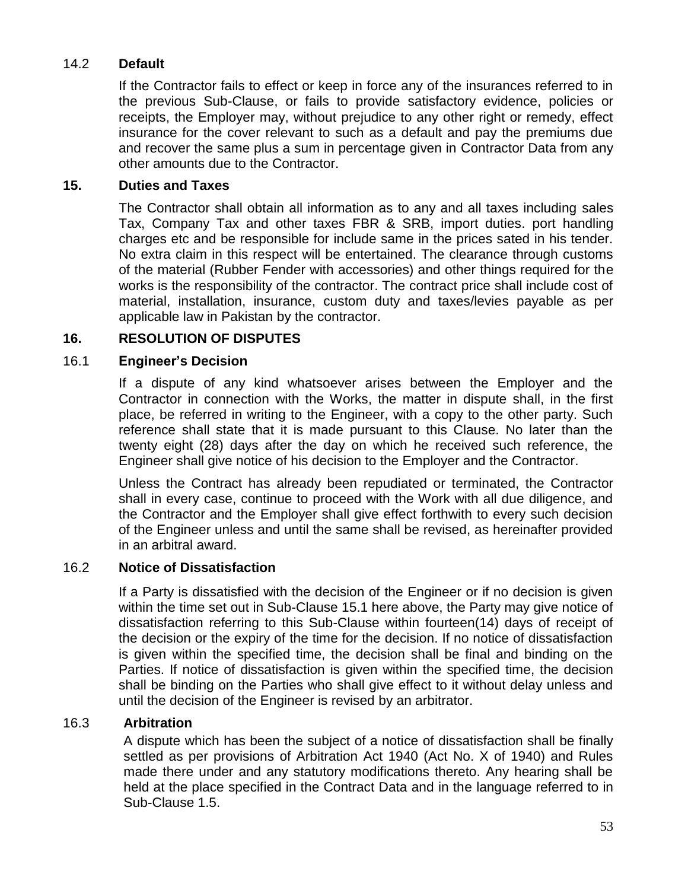# 14.2 **Default**

If the Contractor fails to effect or keep in force any of the insurances referred to in the previous Sub-Clause, or fails to provide satisfactory evidence, policies or receipts, the Employer may, without prejudice to any other right or remedy, effect insurance for the cover relevant to such as a default and pay the premiums due and recover the same plus a sum in percentage given in Contractor Data from any other amounts due to the Contractor.

# **15. Duties and Taxes**

The Contractor shall obtain all information as to any and all taxes including sales Tax, Company Tax and other taxes FBR & SRB, import duties. port handling charges etc and be responsible for include same in the prices sated in his tender. No extra claim in this respect will be entertained. The clearance through customs of the material (Rubber Fender with accessories) and other things required for the works is the responsibility of the contractor. The contract price shall include cost of material, installation, insurance, custom duty and taxes/levies payable as per applicable law in Pakistan by the contractor.

# **16. RESOLUTION OF DISPUTES**

# 16.1 **Engineer's Decision**

If a dispute of any kind whatsoever arises between the Employer and the Contractor in connection with the Works, the matter in dispute shall, in the first place, be referred in writing to the Engineer, with a copy to the other party. Such reference shall state that it is made pursuant to this Clause. No later than the twenty eight (28) days after the day on which he received such reference, the Engineer shall give notice of his decision to the Employer and the Contractor.

Unless the Contract has already been repudiated or terminated, the Contractor shall in every case, continue to proceed with the Work with all due diligence, and the Contractor and the Employer shall give effect forthwith to every such decision of the Engineer unless and until the same shall be revised, as hereinafter provided in an arbitral award.

#### 16.2 **Notice of Dissatisfaction**

If a Party is dissatisfied with the decision of the Engineer or if no decision is given within the time set out in Sub-Clause 15.1 here above, the Party may give notice of dissatisfaction referring to this Sub-Clause within fourteen(14) days of receipt of the decision or the expiry of the time for the decision. If no notice of dissatisfaction is given within the specified time, the decision shall be final and binding on the Parties. If notice of dissatisfaction is given within the specified time, the decision shall be binding on the Parties who shall give effect to it without delay unless and until the decision of the Engineer is revised by an arbitrator.

# 16.3 **Arbitration**

A dispute which has been the subject of a notice of dissatisfaction shall be finally settled as per provisions of Arbitration Act 1940 (Act No. X of 1940) and Rules made there under and any statutory modifications thereto. Any hearing shall be held at the place specified in the Contract Data and in the language referred to in Sub-Clause 1.5.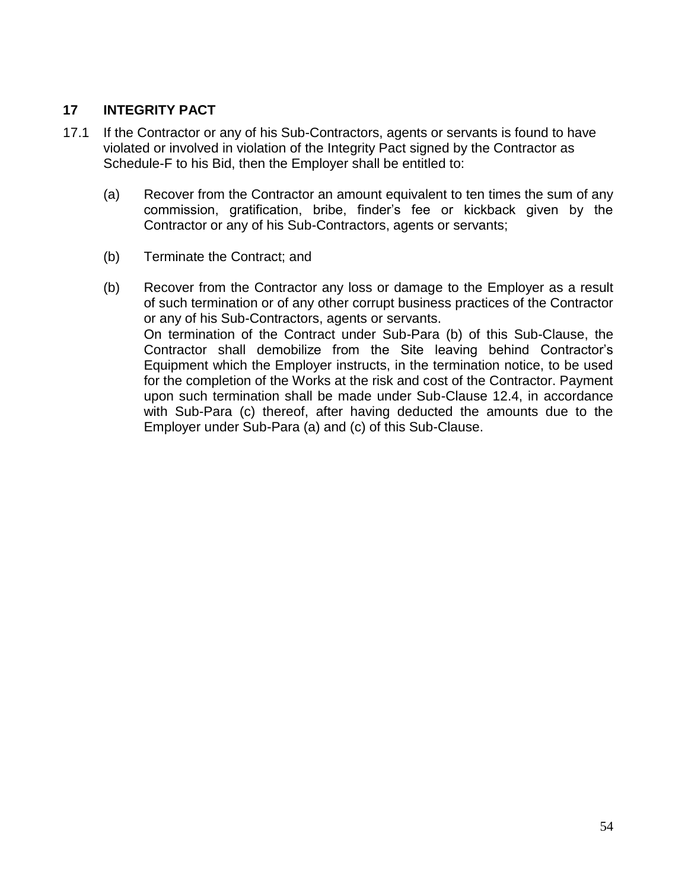# **17 INTEGRITY PACT**

- 17.1 If the Contractor or any of his Sub-Contractors, agents or servants is found to have violated or involved in violation of the Integrity Pact signed by the Contractor as Schedule-F to his Bid, then the Employer shall be entitled to:
	- (a) Recover from the Contractor an amount equivalent to ten times the sum of any commission, gratification, bribe, finder"s fee or kickback given by the Contractor or any of his Sub-Contractors, agents or servants;
	- (b) Terminate the Contract; and
	- (b) Recover from the Contractor any loss or damage to the Employer as a result of such termination or of any other corrupt business practices of the Contractor or any of his Sub-Contractors, agents or servants. On termination of the Contract under Sub-Para (b) of this Sub-Clause, the Contractor shall demobilize from the Site leaving behind Contractor"s Equipment which the Employer instructs, in the termination notice, to be used for the completion of the Works at the risk and cost of the Contractor. Payment upon such termination shall be made under Sub-Clause 12.4, in accordance with Sub-Para (c) thereof, after having deducted the amounts due to the Employer under Sub-Para (a) and (c) of this Sub-Clause.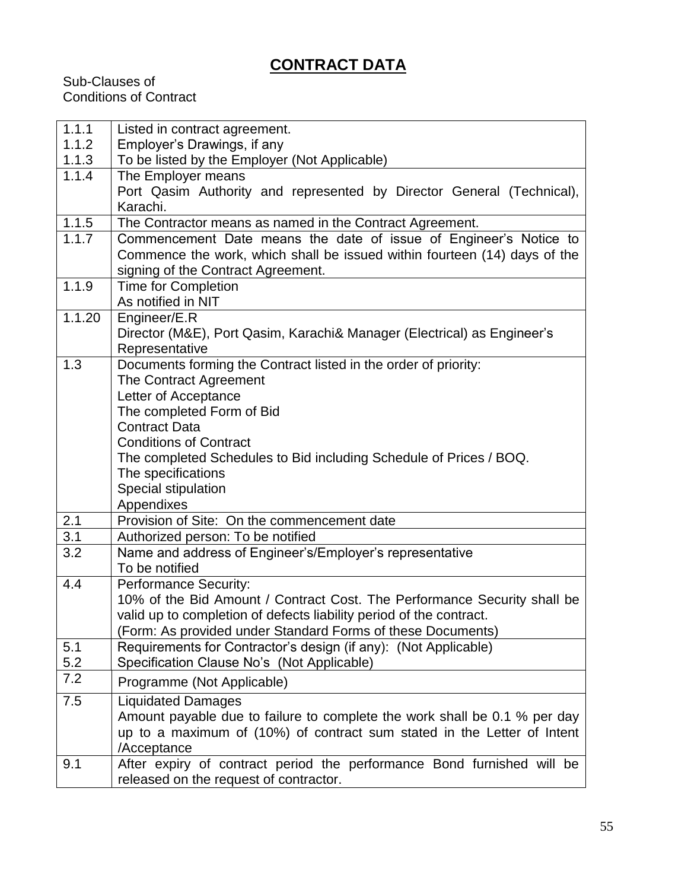# **CONTRACT DATA**

Sub-Clauses of Conditions of Contract

| 1.1.1  | Listed in contract agreement.                                                                                                                                                        |
|--------|--------------------------------------------------------------------------------------------------------------------------------------------------------------------------------------|
| 1.1.2  | Employer's Drawings, if any                                                                                                                                                          |
| 1.1.3  | To be listed by the Employer (Not Applicable)                                                                                                                                        |
| 1.1.4  | The Employer means                                                                                                                                                                   |
|        | Port Qasim Authority and represented by Director General (Technical),                                                                                                                |
|        | Karachi.                                                                                                                                                                             |
| 1.1.5  | The Contractor means as named in the Contract Agreement.                                                                                                                             |
| 1.1.7  | Commencement Date means the date of issue of Engineer's Notice to<br>Commence the work, which shall be issued within fourteen (14) days of the<br>signing of the Contract Agreement. |
| 1.1.9  | <b>Time for Completion</b>                                                                                                                                                           |
|        | As notified in NIT                                                                                                                                                                   |
| 1.1.20 | Engineer/E.R                                                                                                                                                                         |
|        | Director (M&E), Port Qasim, Karachi& Manager (Electrical) as Engineer's<br>Representative                                                                                            |
| 1.3    | Documents forming the Contract listed in the order of priority:                                                                                                                      |
|        | The Contract Agreement                                                                                                                                                               |
|        | Letter of Acceptance                                                                                                                                                                 |
|        | The completed Form of Bid                                                                                                                                                            |
|        | <b>Contract Data</b>                                                                                                                                                                 |
|        | <b>Conditions of Contract</b>                                                                                                                                                        |
|        | The completed Schedules to Bid including Schedule of Prices / BOQ.                                                                                                                   |
|        | The specifications                                                                                                                                                                   |
|        | Special stipulation                                                                                                                                                                  |
|        | Appendixes                                                                                                                                                                           |
| 2.1    | Provision of Site: On the commencement date                                                                                                                                          |
| 3.1    | Authorized person: To be notified                                                                                                                                                    |
| 3.2    | Name and address of Engineer's/Employer's representative<br>To be notified                                                                                                           |
| 4.4    | <b>Performance Security:</b>                                                                                                                                                         |
|        | 10% of the Bid Amount / Contract Cost. The Performance Security shall be                                                                                                             |
|        | valid up to completion of defects liability period of the contract.                                                                                                                  |
|        | (Form: As provided under Standard Forms of these Documents)                                                                                                                          |
| 5.1    | Requirements for Contractor's design (if any): (Not Applicable)                                                                                                                      |
| 5.2    | Specification Clause No's (Not Applicable)                                                                                                                                           |
| 7.2    | Programme (Not Applicable)                                                                                                                                                           |
| 7.5    | <b>Liquidated Damages</b>                                                                                                                                                            |
|        | Amount payable due to failure to complete the work shall be 0.1 % per day                                                                                                            |
|        | up to a maximum of (10%) of contract sum stated in the Letter of Intent                                                                                                              |
|        | /Acceptance                                                                                                                                                                          |
| 9.1    | After expiry of contract period the performance Bond furnished will be                                                                                                               |
|        | released on the request of contractor.                                                                                                                                               |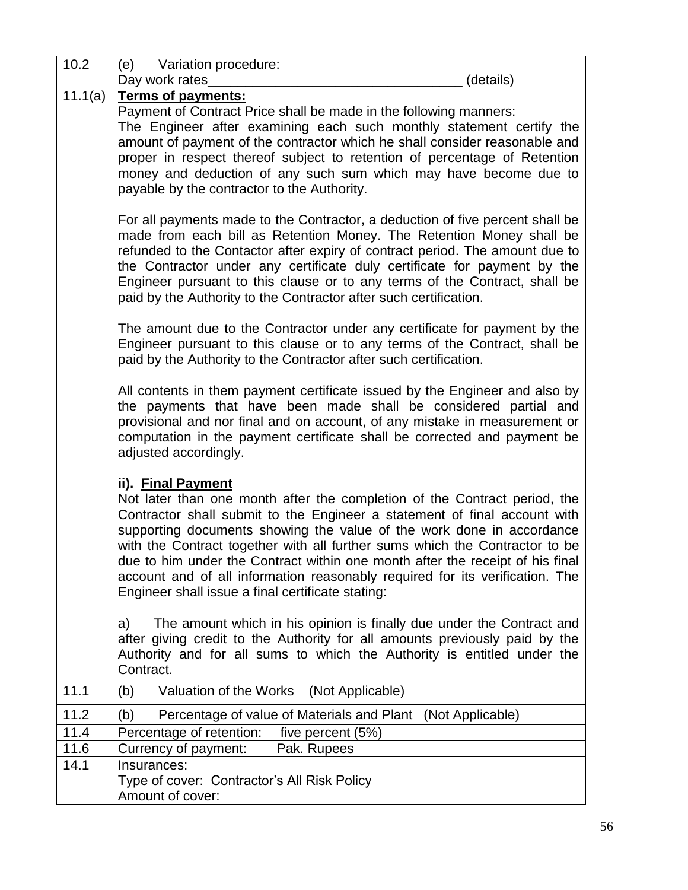| 10.2    | Variation procedure:<br>(e)                                                                                                                                                                                                                                                                                                                                                                                                                                                                                                                                |
|---------|------------------------------------------------------------------------------------------------------------------------------------------------------------------------------------------------------------------------------------------------------------------------------------------------------------------------------------------------------------------------------------------------------------------------------------------------------------------------------------------------------------------------------------------------------------|
|         | Day work rates<br>(details)                                                                                                                                                                                                                                                                                                                                                                                                                                                                                                                                |
| 11.1(a) | Terms of payments:<br>Payment of Contract Price shall be made in the following manners:<br>The Engineer after examining each such monthly statement certify the<br>amount of payment of the contractor which he shall consider reasonable and<br>proper in respect thereof subject to retention of percentage of Retention<br>money and deduction of any such sum which may have become due to<br>payable by the contractor to the Authority.                                                                                                              |
|         | For all payments made to the Contractor, a deduction of five percent shall be<br>made from each bill as Retention Money. The Retention Money shall be<br>refunded to the Contactor after expiry of contract period. The amount due to<br>the Contractor under any certificate duly certificate for payment by the<br>Engineer pursuant to this clause or to any terms of the Contract, shall be<br>paid by the Authority to the Contractor after such certification.                                                                                       |
|         | The amount due to the Contractor under any certificate for payment by the<br>Engineer pursuant to this clause or to any terms of the Contract, shall be<br>paid by the Authority to the Contractor after such certification.                                                                                                                                                                                                                                                                                                                               |
|         | All contents in them payment certificate issued by the Engineer and also by<br>the payments that have been made shall be considered partial and<br>provisional and nor final and on account, of any mistake in measurement or<br>computation in the payment certificate shall be corrected and payment be<br>adjusted accordingly.                                                                                                                                                                                                                         |
|         | ii). Final Payment<br>Not later than one month after the completion of the Contract period, the<br>Contractor shall submit to the Engineer a statement of final account with<br>supporting documents showing the value of the work done in accordance<br>with the Contract together with all further sums which the Contractor to be<br>due to him under the Contract within one month after the receipt of his final<br>account and of all information reasonably required for its verification. The<br>Engineer shall issue a final certificate stating: |
|         | The amount which in his opinion is finally due under the Contract and<br>a)<br>after giving credit to the Authority for all amounts previously paid by the<br>Authority and for all sums to which the Authority is entitled under the<br>Contract.                                                                                                                                                                                                                                                                                                         |
| 11.1    | Valuation of the Works<br>(Not Applicable)<br>(b)                                                                                                                                                                                                                                                                                                                                                                                                                                                                                                          |
| 11.2    | Percentage of value of Materials and Plant (Not Applicable)<br>(b)                                                                                                                                                                                                                                                                                                                                                                                                                                                                                         |
| 11.4    | Percentage of retention:<br>five percent (5%)                                                                                                                                                                                                                                                                                                                                                                                                                                                                                                              |
| 11.6    | Currency of payment:<br>Pak. Rupees                                                                                                                                                                                                                                                                                                                                                                                                                                                                                                                        |
| 14.1    | Insurances:<br>Type of cover: Contractor's All Risk Policy<br>Amount of cover:                                                                                                                                                                                                                                                                                                                                                                                                                                                                             |

 $\mathbf{r}$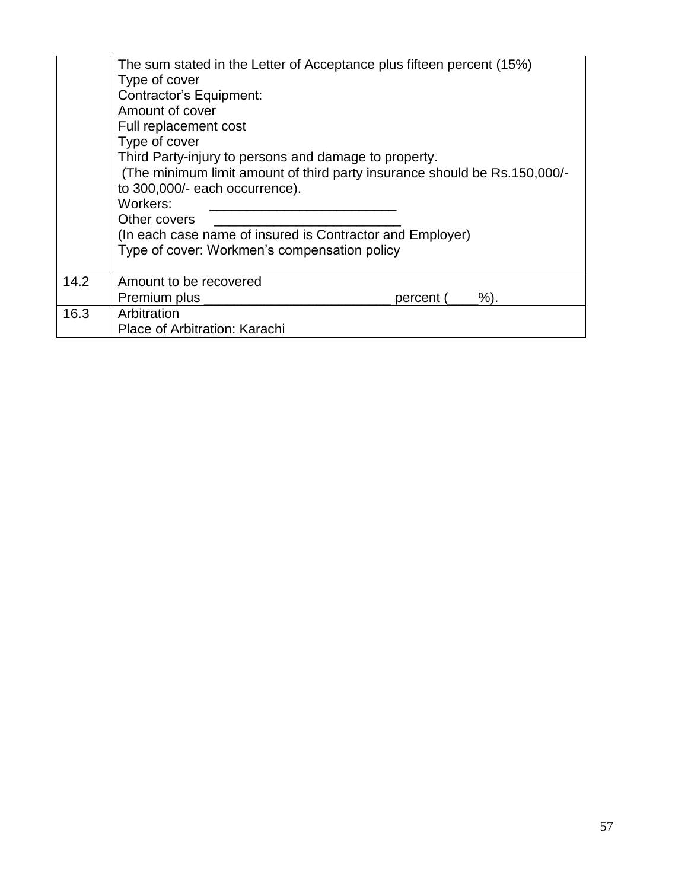|      | The sum stated in the Letter of Acceptance plus fifteen percent (15%)<br>Type of cover<br>Contractor's Equipment:<br>Amount of cover<br>Full replacement cost<br>Type of cover<br>Third Party-injury to persons and damage to property.<br>(The minimum limit amount of third party insurance should be Rs.150,000/-<br>to 300,000/- each occurrence).<br>Workers:<br>Other covers<br>(In each case name of insured is Contractor and Employer)<br>Type of cover: Workmen's compensation policy |  |  |  |  |
|------|-------------------------------------------------------------------------------------------------------------------------------------------------------------------------------------------------------------------------------------------------------------------------------------------------------------------------------------------------------------------------------------------------------------------------------------------------------------------------------------------------|--|--|--|--|
| 14.2 | Amount to be recovered                                                                                                                                                                                                                                                                                                                                                                                                                                                                          |  |  |  |  |
|      | Premium plus __<br>$%$ ).<br>percent (                                                                                                                                                                                                                                                                                                                                                                                                                                                          |  |  |  |  |
| 16.3 | Arbitration                                                                                                                                                                                                                                                                                                                                                                                                                                                                                     |  |  |  |  |
|      | Place of Arbitration: Karachi                                                                                                                                                                                                                                                                                                                                                                                                                                                                   |  |  |  |  |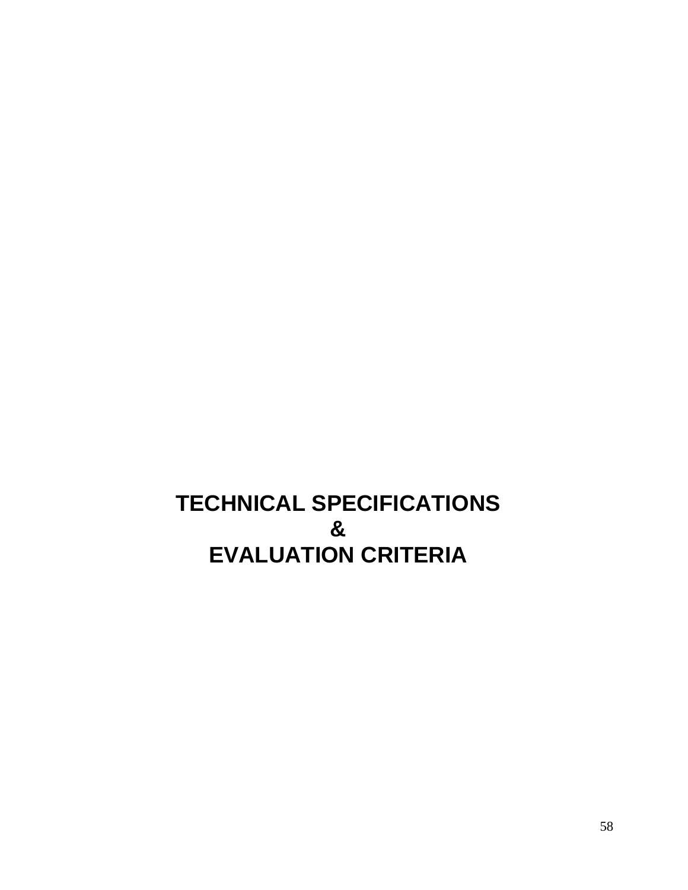# **TECHNICAL SPECIFICATIONS & EVALUATION CRITERIA**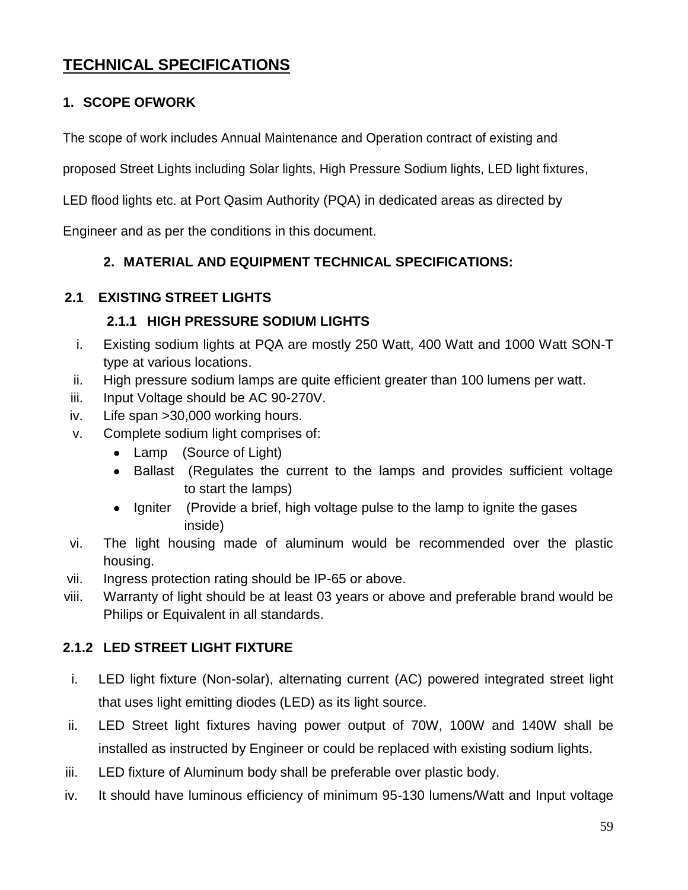# **TECHNICAL SPECIFICATIONS**

# **1. SCOPE OFWORK**

The scope of work includes Annual Maintenance and Operation contract of existing and

proposed Street Lights including Solar lights, High Pressure Sodium lights, LED light fixtures,

LED flood lights etc. at Port Qasim Authority (PQA) in dedicated areas as directed by

Engineer and as per the conditions in this document.

# **2. MATERIAL AND EQUIPMENT TECHNICAL SPECIFICATIONS:**

# **2.1 EXISTING STREET LIGHTS**

# **2.1.1 HIGH PRESSURE SODIUM LIGHTS**

- i. Existing sodium lights at PQA are mostly 250 Watt, 400 Watt and 1000 Watt SON-T type at various locations.
- ii. High pressure sodium lamps are quite efficient greater than 100 lumens per watt.
- iii. Input Voltage should be AC 90-270V.
- iv. Life span >30,000 working hours.
- v. Complete sodium light comprises of:
	- Lamp (Source of Light)
	- Ballast (Regulates the current to the lamps and provides sufficient voltage to start the lamps)
	- Igniter (Provide a brief, high voltage pulse to the lamp to ignite the gases  $\bullet$ inside)
- vi. The light housing made of aluminum would be recommended over the plastic housing.
- vii. Ingress protection rating should be IP-65 or above.
- viii. Warranty of light should be at least 03 years or above and preferable brand would be Philips or Equivalent in all standards.

# **2.1.2 LED STREET LIGHT FIXTURE**

- i. LED light fixture (Non-solar), alternating current (AC) powered integrated street light that uses light emitting diodes (LED) as its [light source.](https://en.wikipedia.org/wiki/Light)
- ii. LED Street light fixtures having power output of 70W, 100W and 140W shall be installed as instructed by Engineer or could be replaced with existing sodium lights.
- iii. LED fixture of Aluminum body shall be preferable over plastic body.
- iv. It should have luminous efficiency of minimum 95-130 lumens/Watt and Input voltage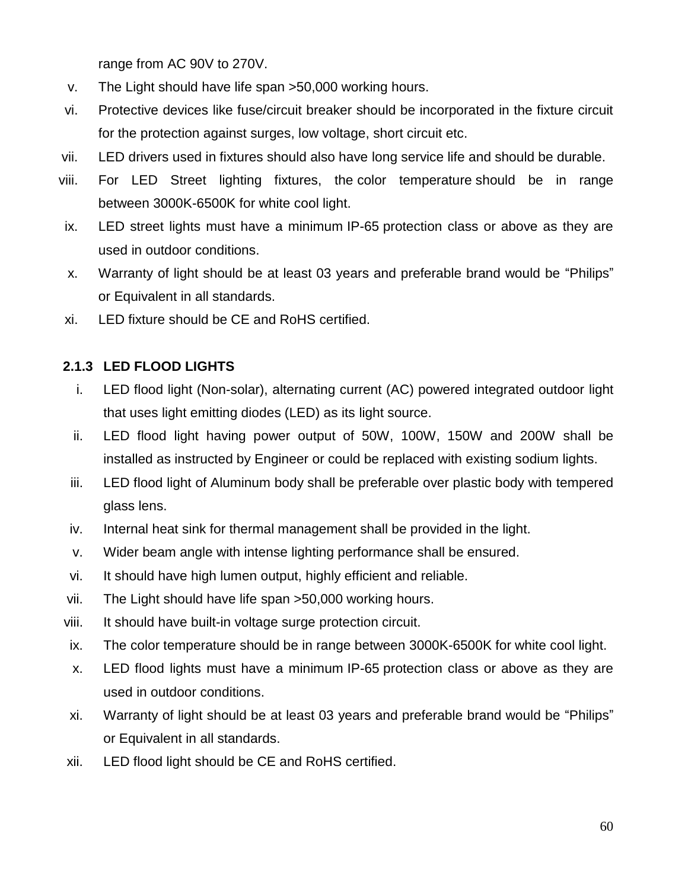range from AC 90V to 270V.

- v. The Light should have life span >50,000 working hours.
- vi. Protective devices like fuse/circuit breaker should be incorporated in the fixture circuit for the protection against surges, low voltage, short circuit etc.
- vii. LED drivers used in fixtures should also have long service life and should be durable.
- viii. For LED Street lighting fixtures, the color temperature should be in range between 3000K-6500K for white cool light.
- ix. LED street lights must have a minimum IP-65 protection class or above as they are used in outdoor conditions.
- x. Warranty of light should be at least 03 years and preferable brand would be "Philips" or Equivalent in all standards.
- xi. LED fixture should be CE and RoHS certified.

# **2.1.3 LED FLOOD LIGHTS**

- i. LED flood light (Non-solar), alternating current (AC) powered integrated outdoor light that uses light emitting diodes (LED) as its [light source.](https://en.wikipedia.org/wiki/Light)
- ii. LED flood light having power output of 50W, 100W, 150W and 200W shall be installed as instructed by Engineer or could be replaced with existing sodium lights.
- iii. LED flood light of Aluminum body shall be preferable over plastic body with tempered glass lens.
- iv. Internal heat sink for thermal management shall be provided in the light.
- v. Wider beam angle with intense lighting performance shall be ensured.
- vi. It should have high lumen output, highly efficient and reliable.
- vii. The Light should have life span >50,000 working hours.
- viii. It should have built-in voltage surge protection circuit.
- ix. The color temperature should be in range between 3000K-6500K for white cool light.
- x. LED flood lights must have a minimum IP-65 protection class or above as they are used in outdoor conditions.
- xi. Warranty of light should be at least 03 years and preferable brand would be "Philips" or Equivalent in all standards.
- xii. LED flood light should be CE and RoHS certified.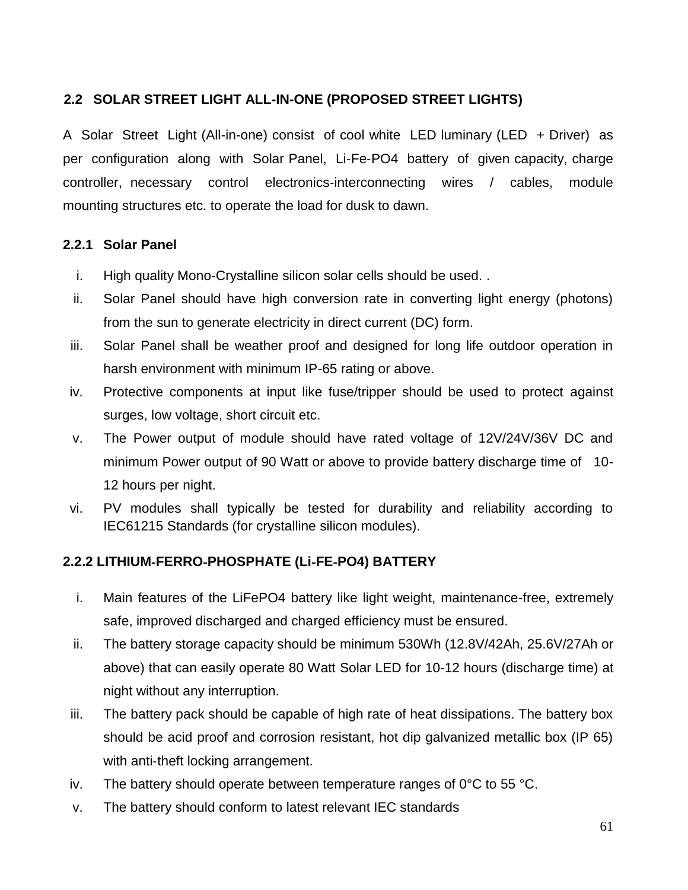# **2.2 SOLAR STREET LIGHT ALL-IN-ONE (PROPOSED STREET LIGHTS)**

A Solar Street Light (All-in-one) consist of cool white LED luminary (LED + Driver) as per configuration along with Solar Panel, Li‐Fe‐PO4 battery of given capacity, charge controller, necessary control electronics‐interconnecting wires / cables, module mounting structures etc. to operate the load for dusk to dawn.

# **2.2.1 Solar Panel**

- i. High quality Mono-Crystalline silicon solar cells should be used. .
- ii. Solar Panel should have high conversion rate in converting light energy (photons) from the sun to generate electricity in direct current (DC) form.
- iii. Solar Panel shall be weather proof and designed for long life outdoor operation in harsh environment with minimum IP-65 rating or above.
- iv. Protective components at input like fuse/tripper should be used to protect against surges, low voltage, short circuit etc.
- v. The Power output of module should have rated voltage of 12V/24V/36V DC and minimum Power output of 90 Watt or above to provide battery discharge time of 10- 12 hours per night.
- vi. PV modules shall typically be tested for durability and reliability according to IEC61215 Standards (for crystalline silicon modules).

# **2.2.2 LITHIUM**‐**FERRO**‐**PHOSPHATE (Li**‐**FE**‐**PO4) BATTERY**

- i. Main features of the LiFePO4 battery like light weight, maintenance-free, extremely safe, improved discharged and charged efficiency must be ensured.
- ii. The battery storage capacity should be minimum 530Wh (12.8V/42Ah, 25.6V/27Ah or above) that can easily operate 80 Watt Solar LED for 10-12 hours (discharge time) at night without any interruption.
- iii. The battery pack should be capable of high rate of heat dissipations. The battery box should be acid proof and corrosion resistant, hot dip galvanized metallic box (IP 65) with anti-theft locking arrangement.
- iv. The battery should operate between temperature ranges of  $0^{\circ}$ C to 55 °C.
- v. The battery should conform to latest relevant IEC standards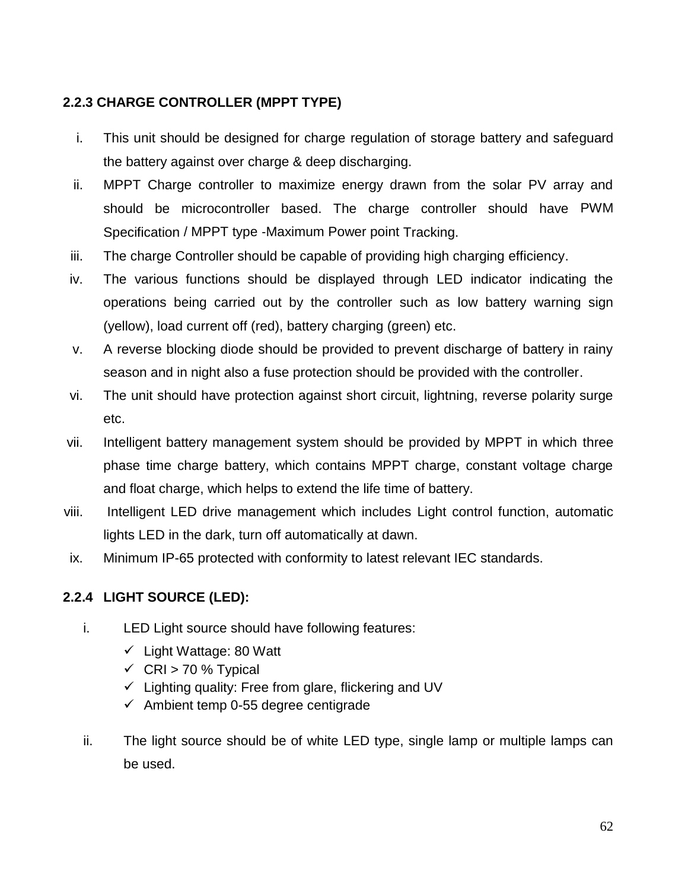# **2.2.3 CHARGE CONTROLLER (MPPT TYPE)**

- i. This unit should be designed for charge regulation of storage battery and safeguard the battery against over charge & deep discharging.
- ii. MPPT Charge controller to maximize energy drawn from the solar PV array and should be microcontroller based. The charge controller should have PWM Specification / MPPT type ‐Maximum Power point Tracking.
- iii. The charge Controller should be capable of providing high charging efficiency.
- iv. The various functions should be displayed through LED indicator indicating the operations being carried out by the controller such as low battery warning sign (yellow), load current off (red), battery charging (green) etc.
- v. A reverse blocking diode should be provided to prevent discharge of battery in rainy season and in night also a fuse protection should be provided with the controller.
- vi. The unit should have protection against short circuit, lightning, reverse polarity surge etc.
- vii. Intelligent battery management system should be provided by MPPT in which three phase time charge battery, which contains MPPT charge, constant voltage charge and float charge, which helps to extend the life time of battery.
- viii. Intelligent LED drive management which includes Light control function, automatic lights LED in the dark, turn off automatically at dawn.
- ix. Minimum IP-65 protected with conformity to latest relevant IEC standards.

# **2.2.4 LIGHT SOURCE (LED):**

- i. LED Light source should have following features:
	- $\checkmark$  Light Wattage: 80 Watt
	- $\checkmark$  CRI > 70 % Typical
	- $\checkmark$  Lighting quality: Free from glare, flickering and UV
	- $\checkmark$  Ambient temp 0-55 degree centigrade
- ii. The light source should be of white LED type, single lamp or multiple lamps can be used.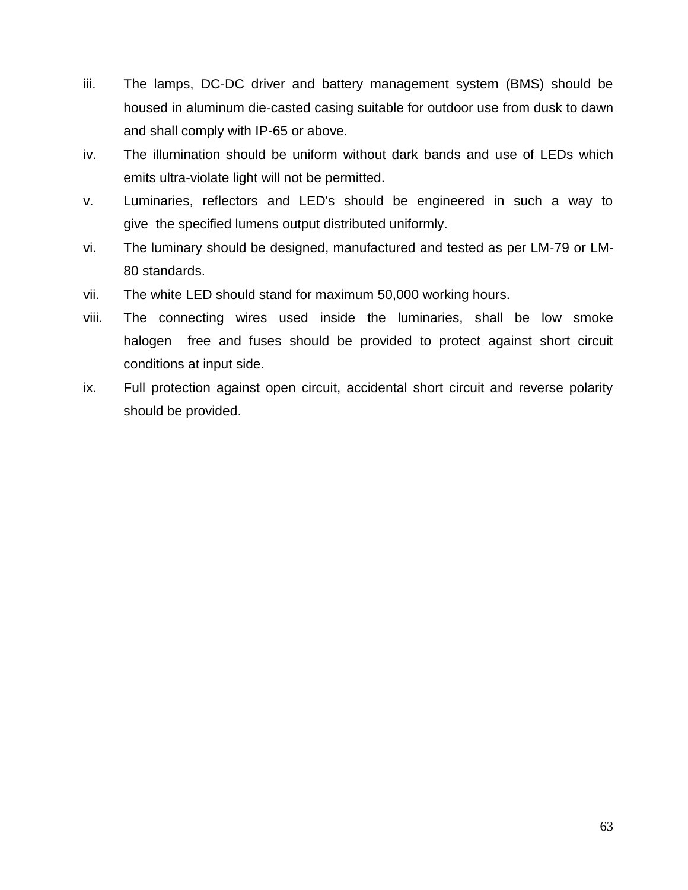- iii. The lamps, DC-DC driver and battery management system (BMS) should be housed in aluminum die‐casted casing suitable for outdoor use from dusk to dawn and shall comply with IP-65 or above.
- iv. The illumination should be uniform without dark bands and use of LEDs which emits ultra-violate light will not be permitted.
- v. Luminaries, reflectors and LED's should be engineered in such a way to give the specified lumens output distributed uniformly.
- vi. The luminary should be designed, manufactured and tested as per LM‐79 or LM-80 standards.
- vii. The white LED should stand for maximum 50,000 working hours.
- viii. The connecting wires used inside the luminaries, shall be low smoke halogen free and fuses should be provided to protect against short circuit conditions at input side.
- ix. Full protection against open circuit, accidental short circuit and reverse polarity should be provided.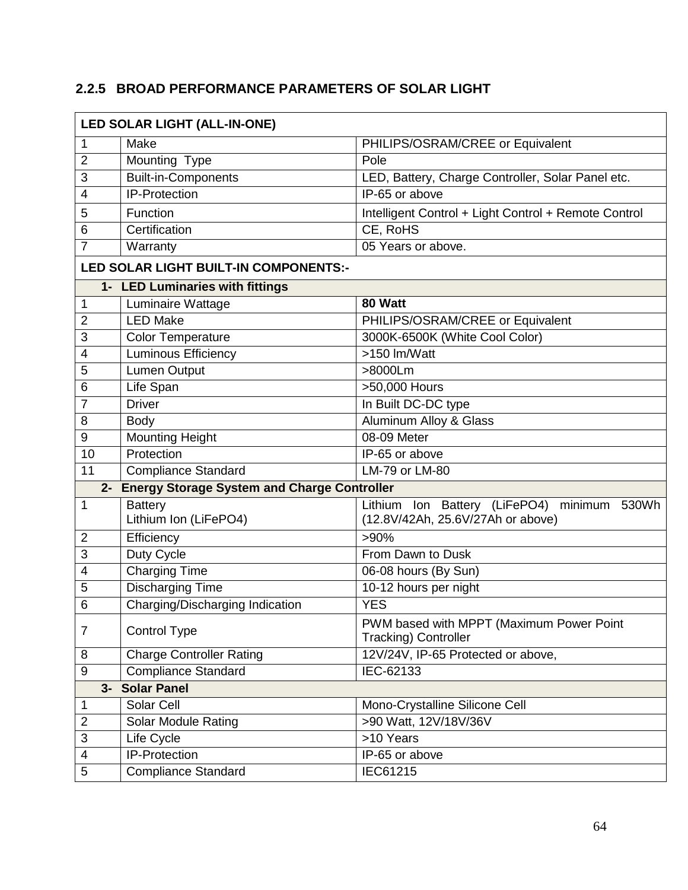# **2.2.5 BROAD PERFORMANCE PARAMETERS OF SOLAR LIGHT**

| LED SOLAR LIGHT (ALL-IN-ONE)                   |                                         |                                                                                     |  |  |
|------------------------------------------------|-----------------------------------------|-------------------------------------------------------------------------------------|--|--|
| 1                                              | Make                                    | PHILIPS/OSRAM/CREE or Equivalent                                                    |  |  |
| $\overline{2}$                                 | Mounting Type                           | Pole                                                                                |  |  |
| 3                                              | <b>Built-in-Components</b>              | LED, Battery, Charge Controller, Solar Panel etc.                                   |  |  |
| 4                                              | <b>IP-Protection</b>                    | IP-65 or above                                                                      |  |  |
| 5                                              | Function                                | Intelligent Control + Light Control + Remote Control                                |  |  |
| 6                                              | Certification                           | CE, RoHS                                                                            |  |  |
| 7                                              | Warranty                                | 05 Years or above.                                                                  |  |  |
|                                                | LED SOLAR LIGHT BUILT-IN COMPONENTS:-   |                                                                                     |  |  |
|                                                | 1- LED Luminaries with fittings         |                                                                                     |  |  |
| 1                                              | Luminaire Wattage                       | 80 Watt                                                                             |  |  |
| $\overline{2}$                                 | <b>LED Make</b>                         | PHILIPS/OSRAM/CREE or Equivalent                                                    |  |  |
| 3                                              | <b>Color Temperature</b>                | 3000K-6500K (White Cool Color)                                                      |  |  |
| 4                                              | Luminous Efficiency                     | >150 lm/Watt                                                                        |  |  |
| 5                                              | Lumen Output                            | >8000Lm                                                                             |  |  |
| 6                                              | Life Span                               | >50,000 Hours                                                                       |  |  |
| 7                                              | <b>Driver</b>                           | In Built DC-DC type                                                                 |  |  |
| 8                                              | <b>Body</b>                             | <b>Aluminum Alloy &amp; Glass</b>                                                   |  |  |
| $9\,$                                          | <b>Mounting Height</b>                  | 08-09 Meter                                                                         |  |  |
| 10                                             | Protection                              | IP-65 or above                                                                      |  |  |
| 11                                             | <b>Compliance Standard</b>              | <b>LM-79 or LM-80</b>                                                               |  |  |
| 2- Energy Storage System and Charge Controller |                                         |                                                                                     |  |  |
| 1                                              | <b>Battery</b><br>Lithium Ion (LiFePO4) | Lithium Ion Battery (LiFePO4)<br>minimum 530Wh<br>(12.8V/42Ah, 25.6V/27Ah or above) |  |  |
| $\overline{2}$                                 | Efficiency                              | $>90\%$                                                                             |  |  |
| 3                                              | Duty Cycle                              | From Dawn to Dusk                                                                   |  |  |
| 4                                              | <b>Charging Time</b>                    | 06-08 hours (By Sun)                                                                |  |  |
| 5                                              | <b>Discharging Time</b>                 | 10-12 hours per night                                                               |  |  |
| 6                                              | Charging/Discharging Indication         | <b>YES</b>                                                                          |  |  |
| $\overline{7}$                                 | Control Type                            | PWM based with MPPT (Maximum Power Point<br><b>Tracking) Controller</b>             |  |  |
| 8                                              | <b>Charge Controller Rating</b>         | 12V/24V, IP-65 Protected or above,                                                  |  |  |
| $9\,$                                          | <b>Compliance Standard</b>              | IEC-62133                                                                           |  |  |
|                                                | 3- Solar Panel                          |                                                                                     |  |  |
| 1                                              | Solar Cell                              | Mono-Crystalline Silicone Cell                                                      |  |  |
| $\overline{2}$                                 | <b>Solar Module Rating</b>              | >90 Watt, 12V/18V/36V                                                               |  |  |
| 3                                              | Life Cycle                              | >10 Years                                                                           |  |  |
| $\overline{\mathcal{A}}$                       | IP-Protection                           | IP-65 or above                                                                      |  |  |
| 5                                              | <b>Compliance Standard</b>              | IEC61215                                                                            |  |  |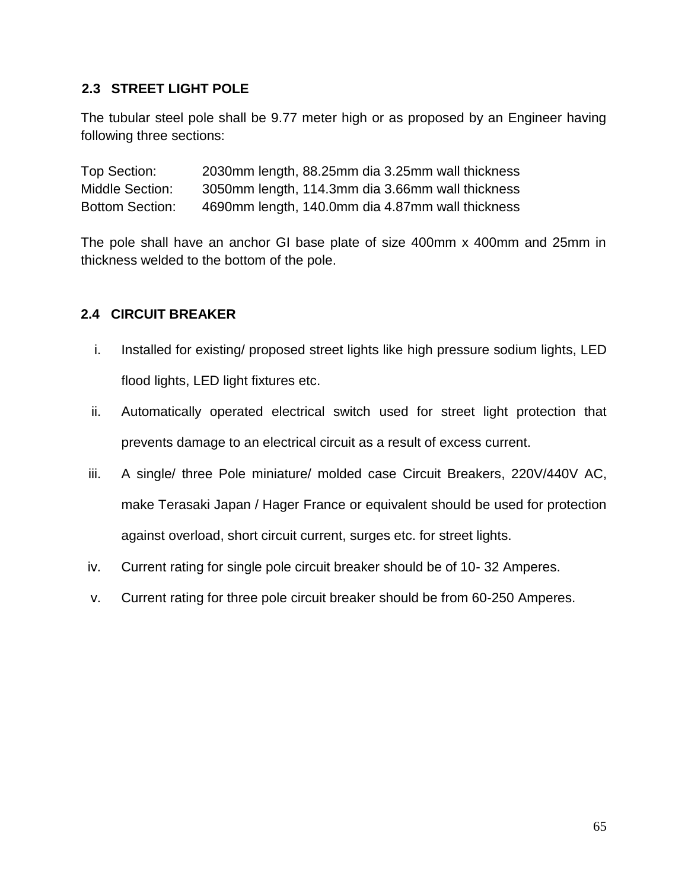# **2.3 STREET LIGHT POLE**

The tubular steel pole shall be 9.77 meter high or as proposed by an Engineer having following three sections:

Top Section: 2030mm length, 88.25mm dia 3.25mm wall thickness Middle Section: 3050mm length, 114.3mm dia 3.66mm wall thickness Bottom Section: 4690mm length, 140.0mm dia 4.87mm wall thickness

The pole shall have an anchor GI base plate of size 400mm x 400mm and 25mm in thickness welded to the bottom of the pole.

# **2.4 CIRCUIT BREAKER**

- i. Installed for existing/ proposed street lights like high pressure sodium lights, LED flood lights, LED light fixtures etc.
- ii. Automatically operated electrical switch used for street light protection that prevents damage to an electrical circuit as a result of excess current.
- iii. A single/ three Pole miniature/ molded case Circuit Breakers, 220V/440V AC, make Terasaki Japan / Hager France or equivalent should be used for protection against overload, short circuit current, surges etc. for street lights.
- iv. Current rating for single pole circuit breaker should be of 10- 32 Amperes.
- v. Current rating for three pole circuit breaker should be from 60-250 Amperes.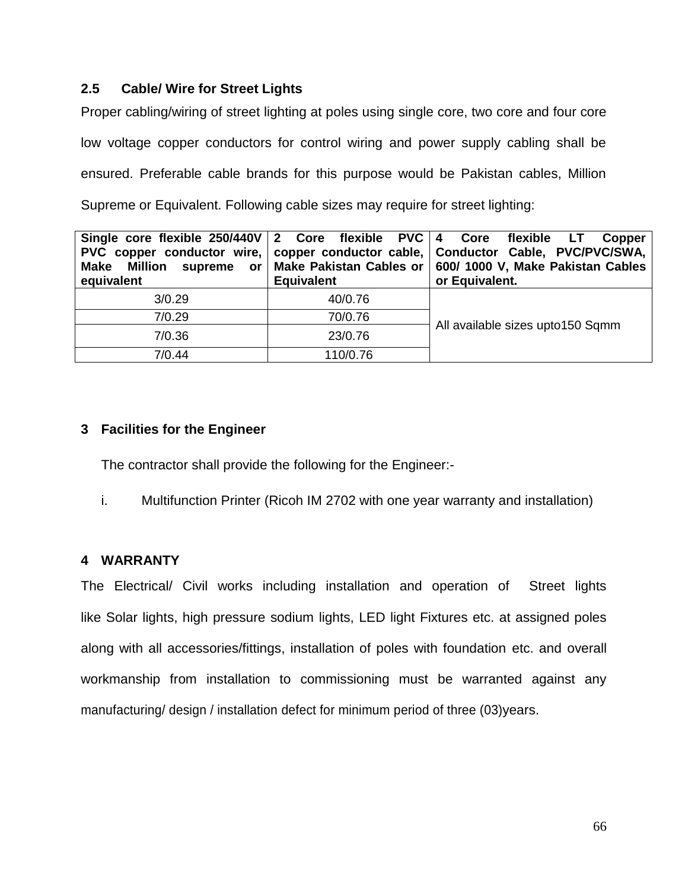#### **2.5 Cable/ Wire for Street Lights**

Proper cabling/wiring of street lighting at poles using single core, two core and four core

low voltage copper conductors for control wiring and power supply cabling shall be

ensured. Preferable cable brands for this purpose would be Pakistan cables, Million

Supreme or Equivalent. Following cable sizes may require for street lighting:

| Single core flexible 250/440V 2 Core flexible PVC 4 Core flexible LT<br>Million supreme or<br><b>Make</b><br>equivalent | <b>Equivalent</b> | Copper<br>PVC copper conductor wire,   copper conductor cable,   Conductor Cable, PVC/PVC/SWA,  <br>Make Pakistan Cables or   600/ 1000 V, Make Pakistan Cables<br>or Equivalent. |  |
|-------------------------------------------------------------------------------------------------------------------------|-------------------|-----------------------------------------------------------------------------------------------------------------------------------------------------------------------------------|--|
| 3/0.29                                                                                                                  | 40/0.76           |                                                                                                                                                                                   |  |
| 7/0.29                                                                                                                  | 70/0.76           | All available sizes upto150 Sqmm                                                                                                                                                  |  |
| 7/0.36                                                                                                                  | 23/0.76           |                                                                                                                                                                                   |  |
| 7/0.44                                                                                                                  | 110/0.76          |                                                                                                                                                                                   |  |

# **3 Facilities for the Engineer**

The contractor shall provide the following for the Engineer:-

i. Multifunction Printer (Ricoh IM 2702 with one year warranty and installation)

# **4 WARRANTY**

The Electrical/ Civil works including installation and operation of Street lights like Solar lights, high pressure sodium lights, LED light Fixtures etc. at assigned poles along with all accessories/fittings, installation of poles with foundation etc. and overall workmanship from installation to commissioning must be warranted against any manufacturing/ design / installation defect for minimum period of three (03)years.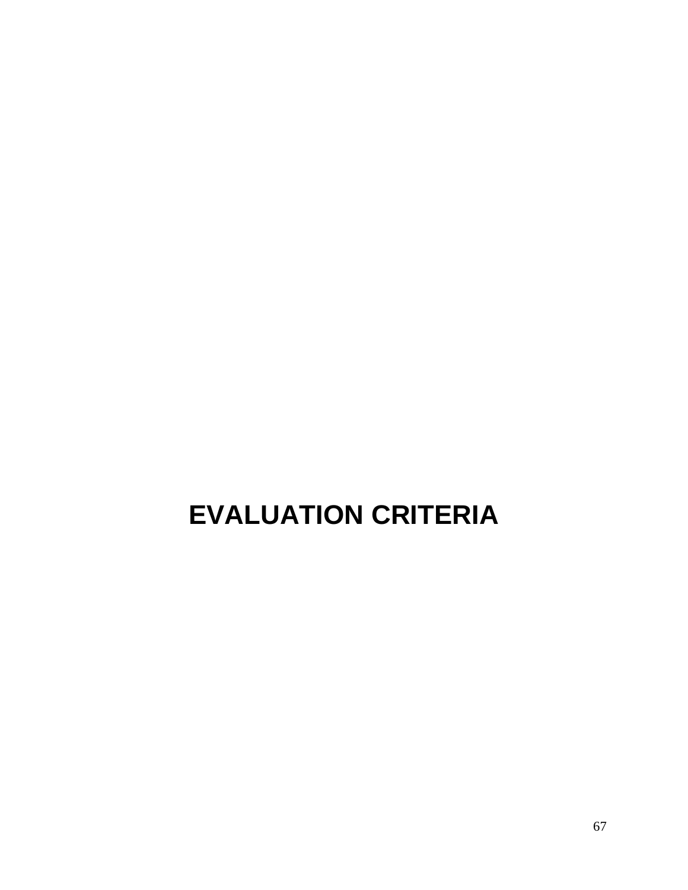# **EVALUATION CRITERIA**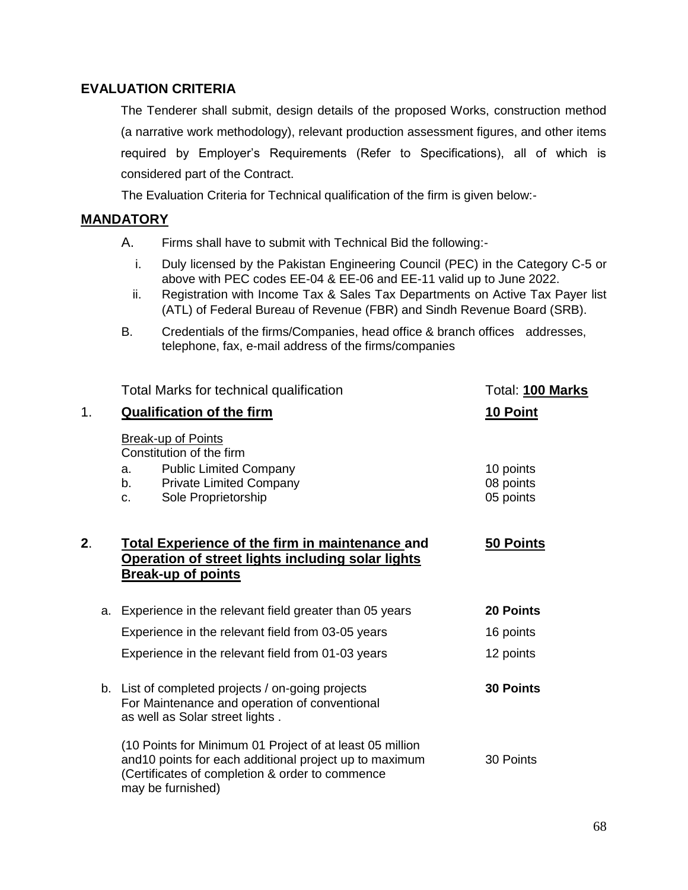#### **EVALUATION CRITERIA**

The Tenderer shall submit, design details of the proposed Works, construction method (a narrative work methodology), relevant production assessment figures, and other items required by Employer"s Requirements (Refer to Specifications), all of which is considered part of the Contract.

The Evaluation Criteria for Technical qualification of the firm is given below:-

#### **MANDATORY**

- A. Firms shall have to submit with Technical Bid the following:
	- i. Duly licensed by the Pakistan Engineering Council (PEC) in the Category C-5 or above with PEC codes EE-04 & EE-06 and EE-11 valid up to June 2022.
	- ii. Registration with Income Tax & Sales Tax Departments on Active Tax Payer list (ATL) of Federal Bureau of Revenue (FBR) and Sindh Revenue Board (SRB).
- B. Credentials of the firms/Companies, head office & branch offices addresses, telephone, fax, e-mail address of the firms/companies

|    |    | Total Marks for technical qualification                                                                                                                                                     | Total: 100 Marks |  |
|----|----|---------------------------------------------------------------------------------------------------------------------------------------------------------------------------------------------|------------------|--|
| 1. |    | <b>Qualification of the firm</b>                                                                                                                                                            | 10 Point         |  |
|    |    | <b>Break-up of Points</b><br>Constitution of the firm<br><b>Public Limited Company</b><br>10 points<br>a.                                                                                   |                  |  |
|    |    | <b>Private Limited Company</b><br>b.                                                                                                                                                        | 08 points        |  |
|    |    | Sole Proprietorship<br>C.                                                                                                                                                                   | 05 points        |  |
|    |    |                                                                                                                                                                                             |                  |  |
| 2. |    | <b>Total Experience of the firm in maintenance and</b><br>Operation of street lights including solar lights<br><b>Break-up of points</b>                                                    | <b>50 Points</b> |  |
|    | a. | Experience in the relevant field greater than 05 years                                                                                                                                      | 20 Points        |  |
|    |    | Experience in the relevant field from 03-05 years                                                                                                                                           | 16 points        |  |
|    |    | Experience in the relevant field from 01-03 years                                                                                                                                           | 12 points        |  |
|    |    | b. List of completed projects / on-going projects<br>For Maintenance and operation of conventional<br>as well as Solar street lights.                                                       | <b>30 Points</b> |  |
|    |    | (10 Points for Minimum 01 Project of at least 05 million<br>and 10 points for each additional project up to maximum<br>(Certificates of completion & order to commence<br>may be furnished) | 30 Points        |  |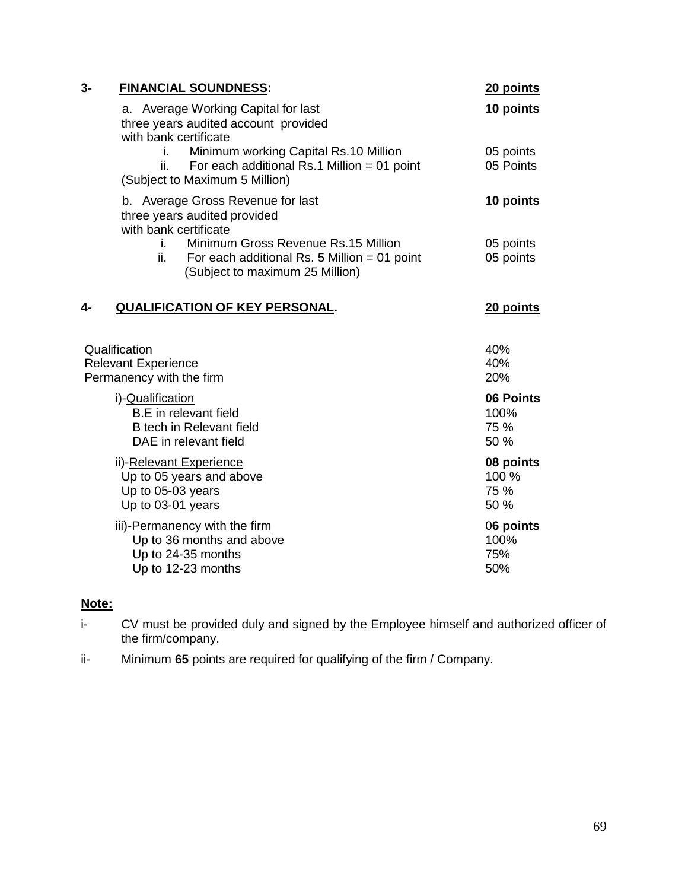| 3- | <b>FINANCIAL SOUNDNESS:</b>                                                                                                           | 20 points                          |
|----|---------------------------------------------------------------------------------------------------------------------------------------|------------------------------------|
|    | a. Average Working Capital for last<br>three years audited account provided<br>with bank certificate                                  | 10 points                          |
|    | Minimum working Capital Rs.10 Million<br>Ĺ.<br>For each additional Rs.1 Million = 01 point<br>ii.<br>(Subject to Maximum 5 Million)   | 05 points<br>05 Points             |
|    | b. Average Gross Revenue for last<br>three years audited provided<br>with bank certificate                                            | 10 points                          |
|    | Minimum Gross Revenue Rs.15 Million<br>Ť.<br>ii.<br>For each additional Rs. 5 Million = $01$ point<br>(Subject to maximum 25 Million) | 05 points<br>05 points             |
| 4- | <b>QUALIFICATION OF KEY PERSONAL.</b>                                                                                                 | 20 points                          |
|    | Qualification<br><b>Relevant Experience</b><br>Permanency with the firm                                                               | 40%<br>40%<br>20%                  |
|    | i)-Qualification<br><b>B.E</b> in relevant field<br>B tech in Relevant field<br>DAE in relevant field                                 | 06 Points<br>100%<br>75 %<br>50 %  |
|    | ii)-Relevant Experience<br>Up to 05 years and above<br>Up to 05-03 years<br>Up to 03-01 years                                         | 08 points<br>100 %<br>75 %<br>50 % |
|    | iii)-Permanency with the firm<br>Up to 36 months and above<br>Up to 24-35 months<br>Up to 12-23 months                                | 06 points<br>100%<br>75%<br>50%    |

# **Note:**

- i- CV must be provided duly and signed by the Employee himself and authorized officer of the firm/company.
- ii- Minimum **65** points are required for qualifying of the firm / Company.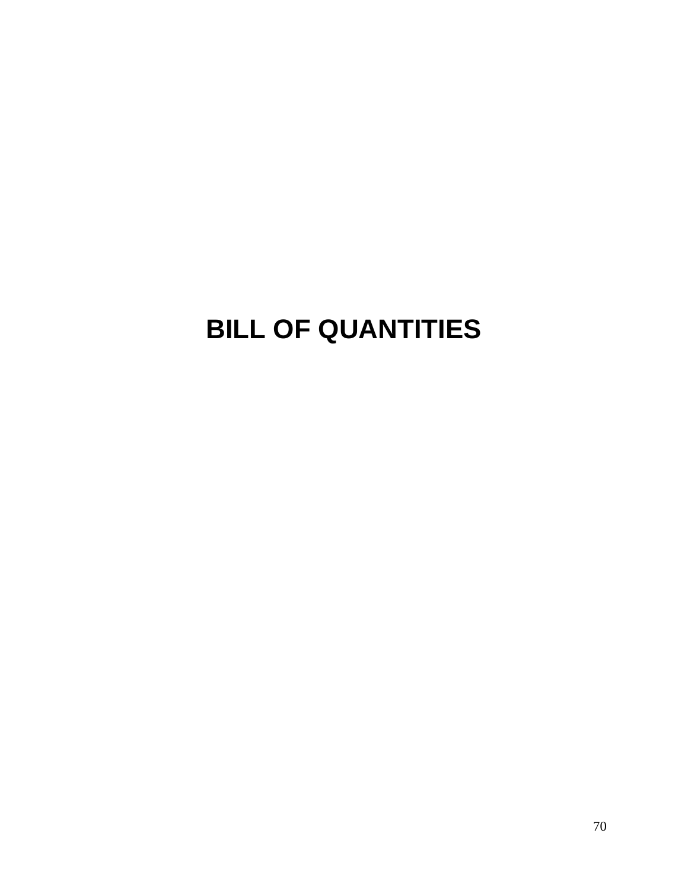# **BILL OF QUANTITIES**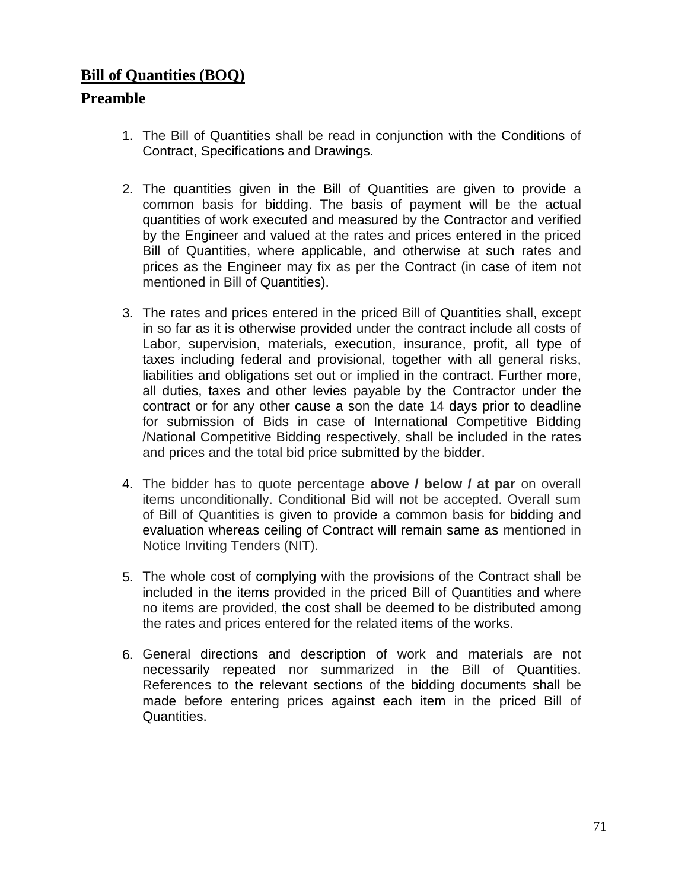## **Bill of Quantities (BOQ)**

## **Preamble**

- 1. The Bill of Quantities shall be read in conjunction with the Conditions of Contract, Specifications and Drawings.
- 2. The quantities given in the Bill of Quantities are given to provide a common basis for bidding. The basis of payment will be the actual quantities of work executed and measured by the Contractor and verified by the Engineer and valued at the rates and prices entered in the priced Bill of Quantities, where applicable, and otherwise at such rates and prices as the Engineer may fix as per the Contract (in case of item not mentioned in Bill of Quantities).
- 3. The rates and prices entered in the priced Bill of Quantities shall, except in so far as it is otherwise provided under the contract include all costs of Labor, supervision, materials, execution, insurance, profit, all type of taxes including federal and provisional, together with all general risks, liabilities and obligations set out or implied in the contract. Further more, all duties, taxes and other levies payable by the Contractor under the contract or for any other cause a son the date 14 days prior to deadline for submission of Bids in case of International Competitive Bidding /National Competitive Bidding respectively, shall be included in the rates and prices and the total bid price submitted by the bidder.
- 4. The bidder has to quote percentage **above / below / at par** on overall items unconditionally. Conditional Bid will not be accepted. Overall sum of Bill of Quantities is given to provide a common basis for bidding and evaluation whereas ceiling of Contract will remain same as mentioned in Notice Inviting Tenders (NIT).
- 5. The whole cost of complying with the provisions of the Contract shall be included in the items provided in the priced Bill of Quantities and where no items are provided, the cost shall be deemed to be distributed among the rates and prices entered for the related items of the works.
- 6. General directions and description of work and materials are not necessarily repeated nor summarized in the Bill of Quantities. References to the relevant sections of the bidding documents shall be made before entering prices against each item in the priced Bill of Quantities.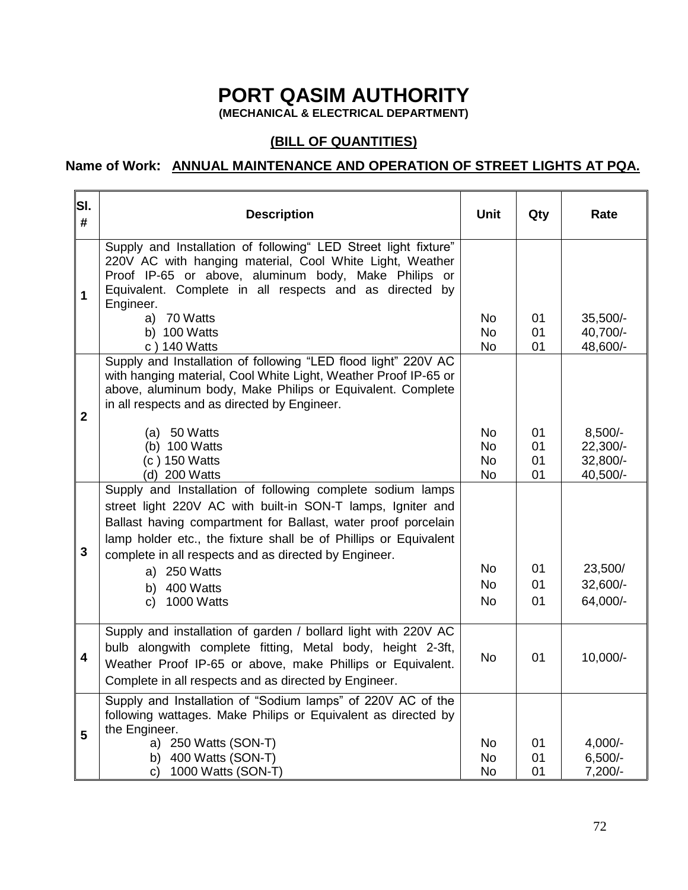# **PORT QASIM AUTHORITY**

**(MECHANICAL & ELECTRICAL DEPARTMENT)**

### **(BILL OF QUANTITIES)**

### **Name of Work: ANNUAL MAINTENANCE AND OPERATION OF STREET LIGHTS AT PQA.**

| SI.<br>#     | <b>Description</b>                                                                                                                                                                                                                                                                                                      | <b>Unit</b>                               | Qty                  | Rate                                          |
|--------------|-------------------------------------------------------------------------------------------------------------------------------------------------------------------------------------------------------------------------------------------------------------------------------------------------------------------------|-------------------------------------------|----------------------|-----------------------------------------------|
| 1            | Supply and Installation of following" LED Street light fixture"<br>220V AC with hanging material, Cool White Light, Weather<br>Proof IP-65 or above, aluminum body, Make Philips or<br>Equivalent. Complete in all respects and as directed by<br>Engineer.                                                             |                                           |                      |                                               |
|              | a) 70 Watts<br>b) 100 Watts<br>c) 140 Watts                                                                                                                                                                                                                                                                             | <b>No</b><br><b>No</b><br>No              | 01<br>01<br>01       | $35,500/-$<br>40,700/-<br>48,600/-            |
| $\mathbf{2}$ | Supply and Installation of following "LED flood light" 220V AC<br>with hanging material, Cool White Light, Weather Proof IP-65 or<br>above, aluminum body, Make Philips or Equivalent. Complete<br>in all respects and as directed by Engineer.                                                                         |                                           |                      |                                               |
|              | $(a)$ 50 Watts<br>(b) 100 Watts<br>(c) 150 Watts<br>(d) 200 Watts                                                                                                                                                                                                                                                       | No<br><b>No</b><br><b>No</b><br><b>No</b> | 01<br>01<br>01<br>01 | $8,500/-$<br>22,300/-<br>32,800/-<br>40,500/- |
| $\mathbf{3}$ | Supply and Installation of following complete sodium lamps<br>street light 220V AC with built-in SON-T lamps, Igniter and<br>Ballast having compartment for Ballast, water proof porcelain<br>lamp holder etc., the fixture shall be of Phillips or Equivalent<br>complete in all respects and as directed by Engineer. |                                           |                      |                                               |
|              | a) 250 Watts                                                                                                                                                                                                                                                                                                            | <b>No</b><br><b>No</b>                    | 01<br>01             | 23,500/                                       |
|              | 400 Watts<br>b)<br>1000 Watts<br>C)                                                                                                                                                                                                                                                                                     | <b>No</b>                                 | 01                   | 32,600/-<br>64,000/-                          |
| 4            | Supply and installation of garden / bollard light with 220V AC<br>bulb alongwith complete fitting, Metal body, height 2-3ft,<br>Weather Proof IP-65 or above, make Phillips or Equivalent.<br>Complete in all respects and as directed by Engineer.                                                                     | <b>No</b>                                 | 01                   | 10,000/-                                      |
| 5            | Supply and Installation of "Sodium lamps" of 220V AC of the<br>following wattages. Make Philips or Equivalent as directed by<br>the Engineer.<br>a) 250 Watts (SON-T)                                                                                                                                                   | No                                        | 01                   | $4,000/-$                                     |
|              | 400 Watts (SON-T)<br>b)<br>1000 Watts (SON-T)<br>c)                                                                                                                                                                                                                                                                     | No<br><b>No</b>                           | 01<br>01             | $6,500/-$<br>$7,200/-$                        |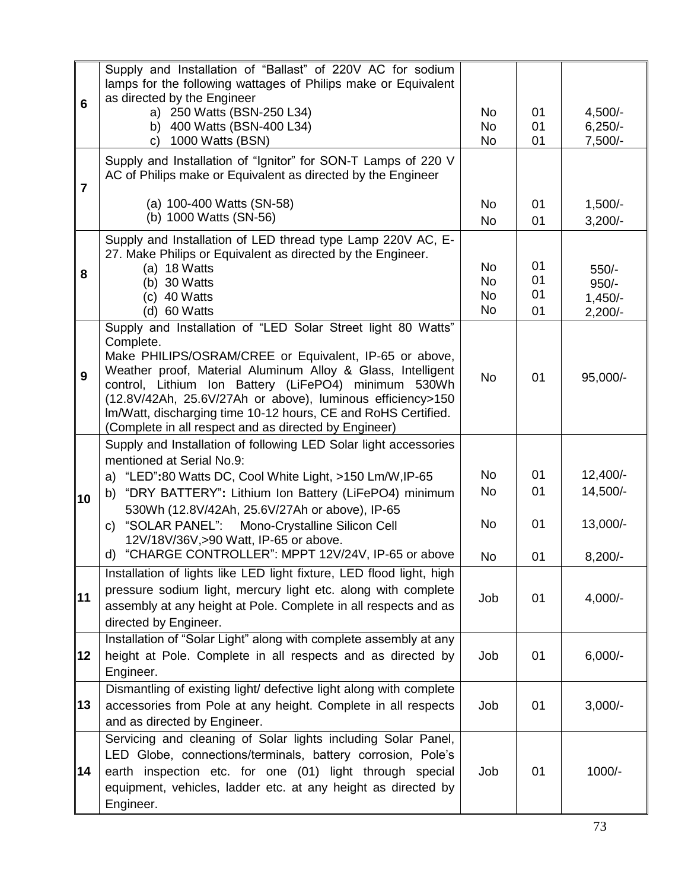| 6              | Supply and Installation of "Ballast" of 220V AC for sodium<br>lamps for the following wattages of Philips make or Equivalent<br>as directed by the Engineer                                                                                                                                                                                                                                                                                        |                                                  |                      |                                              |
|----------------|----------------------------------------------------------------------------------------------------------------------------------------------------------------------------------------------------------------------------------------------------------------------------------------------------------------------------------------------------------------------------------------------------------------------------------------------------|--------------------------------------------------|----------------------|----------------------------------------------|
|                | a) 250 Watts (BSN-250 L34)<br>b) 400 Watts (BSN-400 L34)<br>1000 Watts (BSN)<br>C)                                                                                                                                                                                                                                                                                                                                                                 | <b>No</b><br>No<br>No                            | 01<br>01<br>01       | $4,500/-$<br>$6,250/-$<br>$7,500/-$          |
| $\overline{7}$ | Supply and Installation of "Ignitor" for SON-T Lamps of 220 V<br>AC of Philips make or Equivalent as directed by the Engineer                                                                                                                                                                                                                                                                                                                      |                                                  |                      |                                              |
|                | (a) 100-400 Watts (SN-58)<br>(b) 1000 Watts (SN-56)                                                                                                                                                                                                                                                                                                                                                                                                | No<br><b>No</b>                                  | 01<br>01             | $1,500/-$<br>$3,200/-$                       |
| 8              | Supply and Installation of LED thread type Lamp 220V AC, E-<br>27. Make Philips or Equivalent as directed by the Engineer.<br>(a) 18 Watts<br>(b) 30 Watts<br>40 Watts<br>(c)<br>(d) 60 Watts                                                                                                                                                                                                                                                      | <b>No</b><br><b>No</b><br><b>No</b><br><b>No</b> | 01<br>01<br>01<br>01 | $550/-$<br>$950/-$<br>$1,450/-$<br>$2,200/-$ |
| 9              | Supply and Installation of "LED Solar Street light 80 Watts"<br>Complete.<br>Make PHILIPS/OSRAM/CREE or Equivalent, IP-65 or above,<br>Weather proof, Material Aluminum Alloy & Glass, Intelligent<br>control, Lithium Ion Battery (LiFePO4) minimum 530Wh<br>(12.8V/42Ah, 25.6V/27Ah or above), luminous efficiency>150<br>Im/Watt, discharging time 10-12 hours, CE and RoHS Certified.<br>(Complete in all respect and as directed by Engineer) | <b>No</b>                                        | 01                   | 95,000/-                                     |
| 10             | Supply and Installation of following LED Solar light accessories<br>mentioned at Serial No.9:<br>"LED":80 Watts DC, Cool White Light, >150 Lm/W, IP-65<br>a)<br>"DRY BATTERY": Lithium Ion Battery (LiFePO4) minimum<br>b)<br>530Wh (12.8V/42Ah, 25.6V/27Ah or above), IP-65<br>"SOLAR PANEL":<br>Mono-Crystalline Silicon Cell<br>C)                                                                                                              | <b>No</b><br><b>No</b><br><b>No</b>              | 01<br>01<br>01       | $12,400/-$<br>14,500/-<br>13,000/-           |
|                | 12V/18V/36V, > 90 Watt, IP-65 or above.<br>d) "CHARGE CONTROLLER": MPPT 12V/24V, IP-65 or above                                                                                                                                                                                                                                                                                                                                                    | No                                               | 01                   | $8,200/-$                                    |
| 11             | Installation of lights like LED light fixture, LED flood light, high<br>pressure sodium light, mercury light etc. along with complete<br>assembly at any height at Pole. Complete in all respects and as<br>directed by Engineer.                                                                                                                                                                                                                  | Job                                              | 01                   | $4,000/-$                                    |
| 12             | Installation of "Solar Light" along with complete assembly at any<br>height at Pole. Complete in all respects and as directed by<br>Engineer.                                                                                                                                                                                                                                                                                                      | Job                                              | 01                   | $6,000/-$                                    |
| 13             | Dismantling of existing light/ defective light along with complete<br>accessories from Pole at any height. Complete in all respects<br>and as directed by Engineer.                                                                                                                                                                                                                                                                                | Job                                              | 01                   | $3,000/-$                                    |
| 14             | Servicing and cleaning of Solar lights including Solar Panel,<br>LED Globe, connections/terminals, battery corrosion, Pole's<br>earth inspection etc. for one (01) light through special<br>equipment, vehicles, ladder etc. at any height as directed by<br>Engineer.                                                                                                                                                                             | Job                                              | 01                   | 1000/-                                       |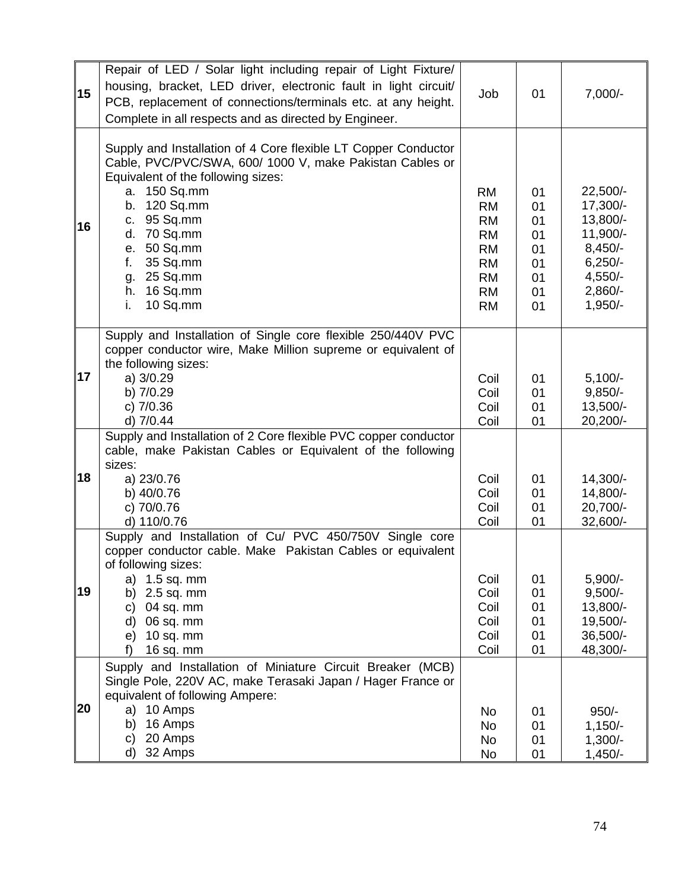| 15 | Repair of LED / Solar light including repair of Light Fixture/<br>housing, bracket, LED driver, electronic fault in light circuit/<br>PCB, replacement of connections/terminals etc. at any height.<br>Complete in all respects and as directed by Engineer.                                                          | Job                                                                                                               | 01                                                 | $7,000/-$                                                                                                     |
|----|-----------------------------------------------------------------------------------------------------------------------------------------------------------------------------------------------------------------------------------------------------------------------------------------------------------------------|-------------------------------------------------------------------------------------------------------------------|----------------------------------------------------|---------------------------------------------------------------------------------------------------------------|
| 16 | Supply and Installation of 4 Core flexible LT Copper Conductor<br>Cable, PVC/PVC/SWA, 600/ 1000 V, make Pakistan Cables or<br>Equivalent of the following sizes:<br>a. 150 Sq.mm<br>b. 120 Sq.mm<br>c. 95 Sq.mm<br>d. 70 Sq.mm<br>50 Sq.mm<br>е.<br>f.<br>35 Sq.mm<br>25 Sq.mm<br>g.<br>h. 16 Sq.mm<br>10 Sq.mm<br>i. | <b>RM</b><br><b>RM</b><br><b>RM</b><br><b>RM</b><br><b>RM</b><br><b>RM</b><br><b>RM</b><br><b>RM</b><br><b>RM</b> | 01<br>01<br>01<br>01<br>01<br>01<br>01<br>01<br>01 | 22,500/-<br>17,300/-<br>13,800/-<br>11,900/-<br>$8,450/-$<br>$6,250/-$<br>$4,550/-$<br>$2,860/-$<br>$1,950/-$ |
| 17 | Supply and Installation of Single core flexible 250/440V PVC<br>copper conductor wire, Make Million supreme or equivalent of<br>the following sizes:<br>a) $3/0.29$<br>b) 7/0.29<br>c) $7/0.36$<br>d) 7/0.44                                                                                                          | Coil<br>Coil<br>Coil<br>Coil                                                                                      | 01<br>01<br>01<br>01                               | $5,100/-$<br>$9,850/-$<br>13,500/-<br>20,200/-                                                                |
| 18 | Supply and Installation of 2 Core flexible PVC copper conductor<br>cable, make Pakistan Cables or Equivalent of the following<br>sizes:<br>a) 23/0.76<br>b) 40/0.76<br>c) 70/0.76<br>d) 110/0.76                                                                                                                      | Coil<br>Coil<br>Coil<br>Coil                                                                                      | 01<br>01<br>01<br>01                               | 14,300/-<br>14,800/-<br>20,700/-<br>32,600/-                                                                  |
| 19 | Supply and Installation of Cu/ PVC 450/750V Single core<br>copper conductor cable. Make Pakistan Cables or equivalent<br>of following sizes:<br>a) 1.5 sq. mm<br>$2.5$ sq. mm<br>b)<br>04 sq. mm<br>C)<br>06 sq. mm<br>d)<br>$10$ sq. mm<br>e)<br>f<br>16 sq. mm                                                      | Coil<br>Coil<br>Coil<br>Coil<br>Coil<br>Coil                                                                      | 01<br>01<br>01<br>01<br>01<br>01                   | $5,900/-$<br>$9,500/-$<br>13,800/-<br>19,500/-<br>36,500/-<br>48,300/-                                        |
| 20 | Supply and Installation of Miniature Circuit Breaker (MCB)<br>Single Pole, 220V AC, make Terasaki Japan / Hager France or<br>equivalent of following Ampere:<br>a) 10 Amps<br>16 Amps<br>b)<br>20 Amps<br>c)<br>32 Amps<br>d)                                                                                         | No<br>No<br><b>No</b><br>No                                                                                       | 01<br>01<br>01<br>01                               | $950/-$<br>$1,150/-$<br>$1,300/-$<br>$1,450/-$                                                                |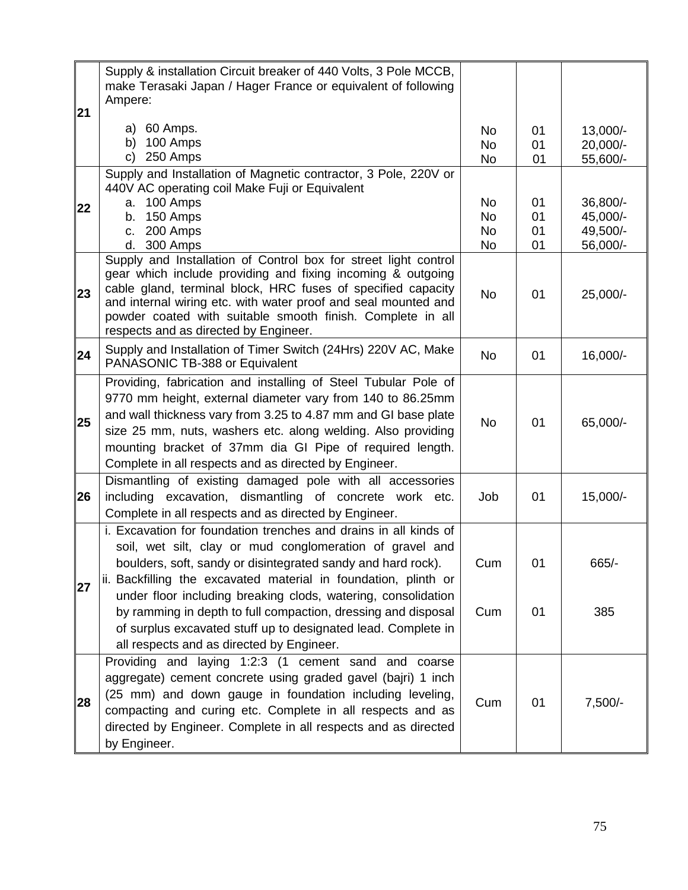|    | Supply & installation Circuit breaker of 440 Volts, 3 Pole MCCB,<br>make Terasaki Japan / Hager France or equivalent of following                                                                                                                                                                                                                                                   |                                    |                      |                                              |
|----|-------------------------------------------------------------------------------------------------------------------------------------------------------------------------------------------------------------------------------------------------------------------------------------------------------------------------------------------------------------------------------------|------------------------------------|----------------------|----------------------------------------------|
| 21 | Ampere:                                                                                                                                                                                                                                                                                                                                                                             |                                    |                      |                                              |
|    | a) 60 Amps.<br>100 Amps<br>b)<br>250 Amps<br>C)                                                                                                                                                                                                                                                                                                                                     | No<br>No<br>No                     | 01<br>01<br>01       | 13,000/-<br>20,000/-<br>55,600/-             |
| 22 | Supply and Installation of Magnetic contractor, 3 Pole, 220V or<br>440V AC operating coil Make Fuji or Equivalent<br>100 Amps<br>a.<br>150 Amps<br>b.<br>200 Amps<br>C.<br>d. 300 Amps                                                                                                                                                                                              | No<br><b>No</b><br><b>No</b><br>No | 01<br>01<br>01<br>01 | 36,800/-<br>45,000/-<br>49,500/-<br>56,000/- |
| 23 | Supply and Installation of Control box for street light control<br>gear which include providing and fixing incoming & outgoing<br>cable gland, terminal block, HRC fuses of specified capacity<br>and internal wiring etc. with water proof and seal mounted and<br>powder coated with suitable smooth finish. Complete in all<br>respects and as directed by Engineer.             | <b>No</b>                          | 01                   | 25,000/-                                     |
| 24 | Supply and Installation of Timer Switch (24Hrs) 220V AC, Make<br>PANASONIC TB-388 or Equivalent                                                                                                                                                                                                                                                                                     | <b>No</b>                          | 01                   | 16,000/-                                     |
| 25 | Providing, fabrication and installing of Steel Tubular Pole of<br>9770 mm height, external diameter vary from 140 to 86.25mm<br>and wall thickness vary from 3.25 to 4.87 mm and GI base plate<br>size 25 mm, nuts, washers etc. along welding. Also providing<br>mounting bracket of 37mm dia GI Pipe of required length.<br>Complete in all respects and as directed by Engineer. | <b>No</b>                          | 01                   | 65,000/-                                     |
| 26 | Dismantling of existing damaged pole with all accessories<br>including excavation, dismantling of concrete work etc.<br>Complete in all respects and as directed by Engineer.                                                                                                                                                                                                       | Job                                | 01                   | 15,000/-                                     |
| 27 | i. Excavation for foundation trenches and drains in all kinds of<br>soil, wet silt, clay or mud conglomeration of gravel and<br>boulders, soft, sandy or disintegrated sandy and hard rock).<br>ii. Backfilling the excavated material in foundation, plinth or                                                                                                                     | Cum                                | 01                   | 665/-                                        |
|    | under floor including breaking clods, watering, consolidation<br>by ramming in depth to full compaction, dressing and disposal<br>of surplus excavated stuff up to designated lead. Complete in<br>all respects and as directed by Engineer.                                                                                                                                        | Cum                                | 01                   | 385                                          |
| 28 | Providing and laying 1:2:3 (1 cement sand and coarse<br>aggregate) cement concrete using graded gavel (bajri) 1 inch<br>(25 mm) and down gauge in foundation including leveling,<br>compacting and curing etc. Complete in all respects and as<br>directed by Engineer. Complete in all respects and as directed<br>by Engineer.                                                    | Cum                                | 01                   | $7,500/-$                                    |